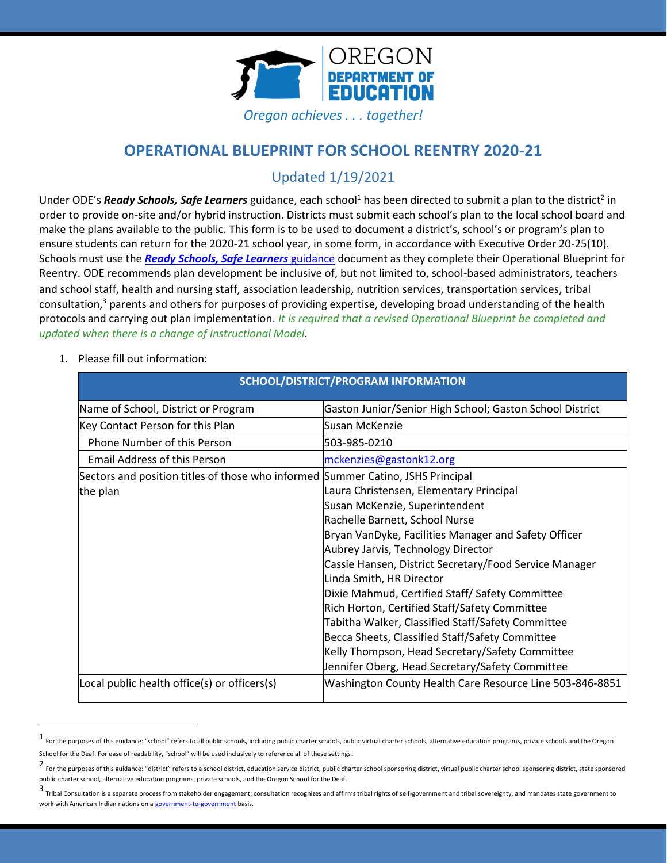

# **OPERATIONAL BLUEPRINT FOR SCHOOL REENTRY 2020-21**

# Updated 1/19/2021

Under ODE's *Ready Schools, Safe Learners* guidance, each school<sup>1</sup> has been directed to submit a plan to the district<sup>2</sup> in order to provide on-site and/or hybrid instruction. Districts must submit each school's plan to the local school board and make the plans available to the public. This form is to be used to document a district's, school's or program's plan to ensure students can return for the 2020-21 school year, in some form, in accordance with Executive Order 20-25(10). Schools must use the *[Ready Schools, Safe Learners](https://www.oregon.gov/ode/students-and-family/healthsafety/Documents/Ready%20Schools%20Safe%20Learners%202020-21%20Guidance.pdf)* [guidance](https://www.oregon.gov/ode/students-and-family/healthsafety/Documents/Ready%20Schools%20Safe%20Learners%202020-21%20Guidance.pdf) document as they complete their Operational Blueprint for Reentry. ODE recommends plan development be inclusive of, but not limited to, school-based administrators, teachers and school staff, health and nursing staff, association leadership, nutrition services, transportation services, tribal consultation, <sup>3</sup> parents and others for purposes of providing expertise, developing broad understanding of the health protocols and carrying out plan implementation. *It is required that a revised Operational Blueprint be completed and updated when there is a change of Instructional Model*.

1. Please fill out information:

| Name of School, District or Program                                             | Gaston Junior/Senior High School; Gaston School District |
|---------------------------------------------------------------------------------|----------------------------------------------------------|
| Key Contact Person for this Plan                                                | Susan McKenzie                                           |
| Phone Number of this Person                                                     | 503-985-0210                                             |
| <b>Email Address of this Person</b>                                             | mckenzies@gastonk12.org                                  |
| Sectors and position titles of those who informed Summer Catino, JSHS Principal |                                                          |
| the plan                                                                        | Laura Christensen, Elementary Principal                  |
|                                                                                 | Susan McKenzie, Superintendent                           |
|                                                                                 | Rachelle Barnett, School Nurse                           |
|                                                                                 | Bryan VanDyke, Facilities Manager and Safety Officer     |
|                                                                                 | Aubrey Jarvis, Technology Director                       |
|                                                                                 | Cassie Hansen, District Secretary/Food Service Manager   |
|                                                                                 | Linda Smith, HR Director                                 |
|                                                                                 | Dixie Mahmud, Certified Staff/ Safety Committee          |
|                                                                                 | Rich Horton, Certified Staff/Safety Committee            |
|                                                                                 | Tabitha Walker, Classified Staff/Safety Committee        |
|                                                                                 | Becca Sheets, Classified Staff/Safety Committee          |
|                                                                                 | Kelly Thompson, Head Secretary/Safety Committee          |
|                                                                                 | Jennifer Oberg, Head Secretary/Safety Committee          |
| Local public health office(s) or officers(s)                                    | Washington County Health Care Resource Line 503-846-8851 |

### **SCHOOL/DISTRICT/PROGRAM INFORMATION**

<sup>1</sup> For the purposes of this guidance: "school" refers to all public schools, including public charter schools, public virtual charter schools, alternative education programs, private schools and the Oregon School for the Deaf. For ease of readability, "school" will be used inclusively to reference all of these settings.

<sup>2</sup> For the purposes of this guidance: "district" refers to a school district, education service district, public charter school sponsoring district, virtual public charter school sponsoring district, state sponsored public charter school, alternative education programs, private schools, and the Oregon School for the Deaf.

<sup>3</sup> Tribal Consultation is a separate process from stakeholder engagement; consultation recognizes and affirms tribal rights of self-government and tribal sovereignty, and mandates state government to work with American Indian nations on [a government-to-government](http://www.nrc4tribes.org/files/Tab%209_9H%20Oregon%20SB770.pdf) basis.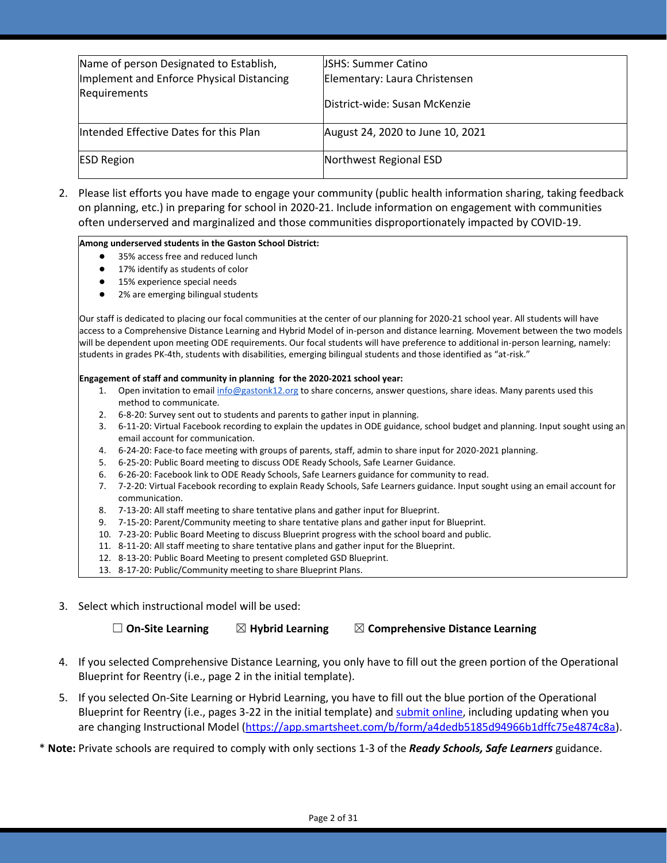| Name of person Designated to Establish,   | <b>USHS: Summer Catino</b>       |
|-------------------------------------------|----------------------------------|
| Implement and Enforce Physical Distancing | Elementary: Laura Christensen    |
| Requirements                              | District-wide: Susan McKenzie    |
| Intended Effective Dates for this Plan    | August 24, 2020 to June 10, 2021 |
| <b>ESD Region</b>                         | Northwest Regional ESD           |

2. Please list efforts you have made to engage your community (public health information sharing, taking feedback on planning, etc.) in preparing for school in 2020-21. Include information on engagement with communities often underserved and marginalized and those communities disproportionately impacted by COVID-19.

#### **Among underserved students in the Gaston School District:**

- 35% access free and reduced lunch
- 17% identify as students of color
- 15% experience special needs
- 2% are emerging bilingual students

Our staff is dedicated to placing our focal communities at the center of our planning for 2020-21 school year. All students will have access to a Comprehensive Distance Learning and Hybrid Model of in-person and distance learning. Movement between the two models will be dependent upon meeting ODE requirements. Our focal students will have preference to additional in-person learning, namely: students in grades PK-4th, students with disabilities, emerging bilingual students and those identified as "at-risk."

#### **Engagement of staff and community in planning for the 2020-2021 school year:**

- 1. Open invitation to emai[l info@gastonk12.org](mailto:info@gastonk12.org) to share concerns, answer questions, share ideas. Many parents used this method to communicate.
- 2. 6-8-20: Survey sent out to students and parents to gather input in planning.
- 3. 6-11-20: Virtual Facebook recording to explain the updates in ODE guidance, school budget and planning. Input sought using an email account for communication.
- 4. 6-24-20: Face-to face meeting with groups of parents, staff, admin to share input for 2020-2021 planning.
- 5. 6-25-20: Public Board meeting to discuss ODE Ready Schools, Safe Learner Guidance.
- 6. 6-26-20: Facebook link to ODE Ready Schools, Safe Learners guidance for community to read.
- 7. 7-2-20: Virtual Facebook recording to explain Ready Schools, Safe Learners guidance. Input sought using an email account for communication.
- 8. 7-13-20: All staff meeting to share tentative plans and gather input for Blueprint.
- 9. 7-15-20: Parent/Community meeting to share tentative plans and gather input for Blueprint.
- 10. 7-23-20: Public Board Meeting to discuss Blueprint progress with the school board and public.
- 11. 8-11-20: All staff meeting to share tentative plans and gather input for the Blueprint.
- 12. 8-13-20: Public Board Meeting to present completed GSD Blueprint.
- 13. 8-17-20: Public/Community meeting to share Blueprint Plans.
- 3. Select which instructional model will be used:

☐ **On-Site Learning** ☒ **Hybrid Learning** ☒ **Comprehensive Distance Learning**

- 4. If you selected Comprehensive Distance Learning, you only have to fill out the green portion of the Operational Blueprint for Reentry (i.e., page 2 in the initial template).
- 5. If you selected On-Site Learning or Hybrid Learning, you have to fill out the blue portion of the Operational Blueprint for Reentry (i.e., pages 3-22 in the initial template) an[d submit online,](https://app.smartsheet.com/b/form/a4dedb5185d94966b1dffc75e4874c8a) including updating when you are changing Instructional Model [\(https://app.smartsheet.com/b/form/a4dedb5185d94966b1dffc75e4874c8a\)](https://app.smartsheet.com/b/form/a4dedb5185d94966b1dffc75e4874c8a).

\* **Note:** Private schools are required to comply with only sections 1-3 of the *Ready Schools, Safe Learners* guidance.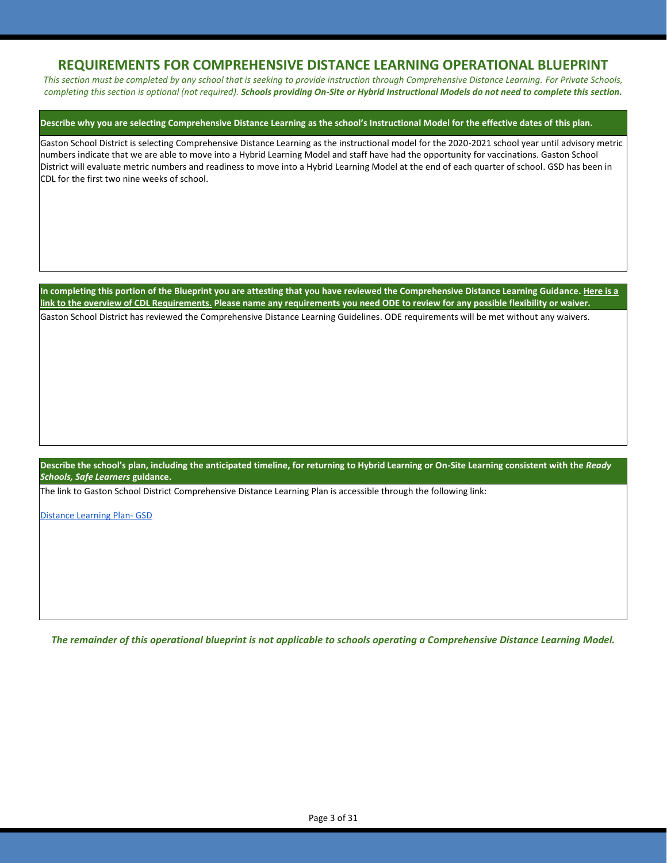### **REQUIREMENTS FOR COMPREHENSIVE DISTANCE LEARNING OPERATIONAL BLUEPRINT**

*This section must be completed by any school that is seeking to provide instruction through Comprehensive Distance Learning. For Private Schools, completing this section is optional (not required). Schools providing On-Site or Hybrid Instructional Models do not need to complete this section.*

#### **Describe why you are selecting Comprehensive Distance Learning as the school's Instructional Model for the effective dates of this plan.**

Gaston School District is selecting Comprehensive Distance Learning as the instructional model for the 2020-2021 school year until advisory metric numbers indicate that we are able to move into a Hybrid Learning Model and staff have had the opportunity for vaccinations. Gaston School District will evaluate metric numbers and readiness to move into a Hybrid Learning Model at the end of each quarter of school. GSD has been in CDL for the first two nine weeks of school.

**In completing this portion of the Blueprint you are attesting that you have reviewed the Comprehensive Distance Learning Guidance[. Here is a](https://www.oregon.gov/ode/students-and-family/healthsafety/Documents/Comprehensive%20Distance%20Learning%20Requirements%20Review.pdf)  [link to the overview of CDL Requirements.](https://www.oregon.gov/ode/students-and-family/healthsafety/Documents/Comprehensive%20Distance%20Learning%20Requirements%20Review.pdf) Please name any requirements you need ODE to review for any possible flexibility or waiver.**  Gaston School District has reviewed the Comprehensive Distance Learning Guidelines. ODE requirements will be met without any waivers.

**Describe the school's plan, including the anticipated timeline, for returning to Hybrid Learning or On-Site Learning consistent with the** *Ready Schools, Safe Learners* **guidance.**

The link to Gaston School District Comprehensive Distance Learning Plan is accessible through the following link:

[Distance Learning Plan-](https://docs.google.com/document/d/1APz613b-vkQ9GGD45F1d5rrp5R23UYPgKSkrympkb8Q/edit) GSD

*The remainder of this operational blueprint is not applicable to schools operating a Comprehensive Distance Learning Model.*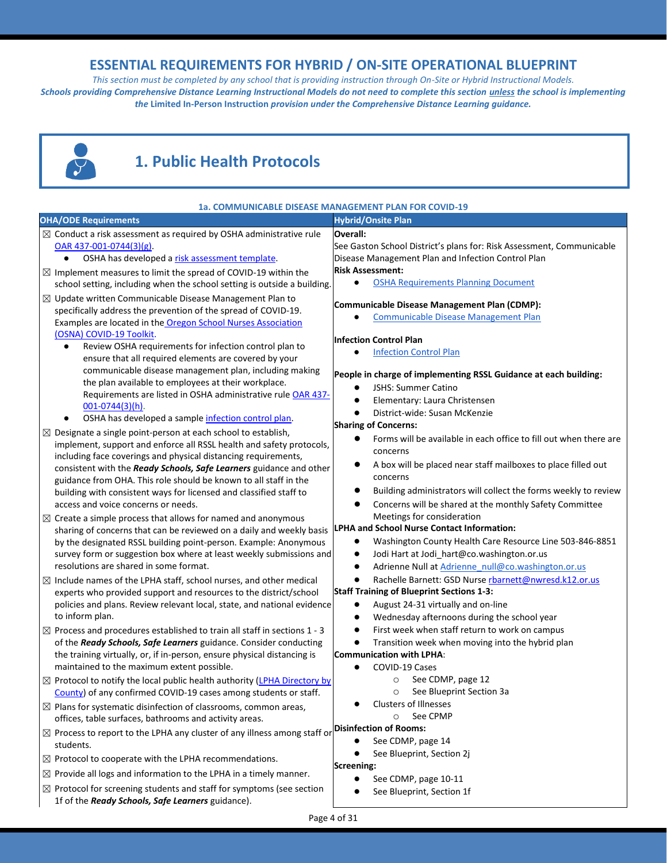## **ESSENTIAL REQUIREMENTS FOR HYBRID / ON-SITE OPERATIONAL BLUEPRINT**

*This section must be completed by any school that is providing instruction through On-Site or Hybrid Instructional Models. Schools providing Comprehensive Distance Learning Instructional Models do not need to complete this section unless the school is implementing the* **Limited In-Person Instruction** *provision under the Comprehensive Distance Learning guidance.*



# **1. Public Health Protocols**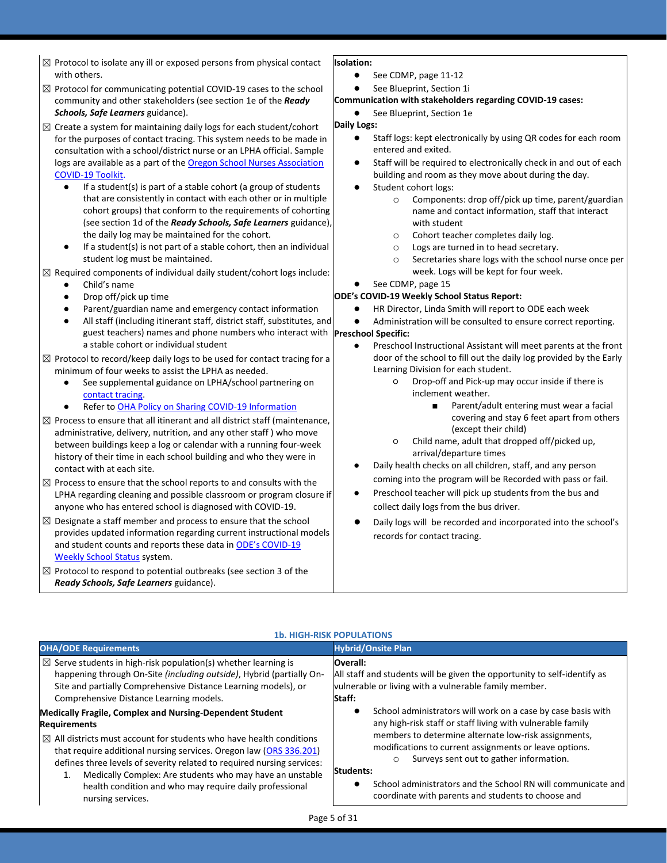- $\boxtimes$  Protocol to isolate any ill or exposed persons from physical contact with others.
- $\boxtimes$  Protocol for communicating potential COVID-19 cases to the school community and other stakeholders (see section 1e of the *Ready Schools, Safe Learners* guidance).
- $\boxtimes$  Create a system for maintaining daily logs for each student/cohort for the purposes of contact tracing. This system needs to be made in consultation with a school/district nurse or an LPHA official. Sample logs are available as a part of the Oregon School Nurses Association [COVID-19 Toolkit.](https://www.oregonschoolnurses.org/resources/covid-19-toolkit)
	- If a student(s) is part of a stable cohort (a group of students that are consistently in contact with each other or in multiple cohort groups) that conform to the requirements of cohorting (see section 1d of the *Ready Schools, Safe Learners* guidance), the daily log may be maintained for the cohort.
	- If a student(s) is not part of a stable cohort, then an individual student log must be maintained.
- $\boxtimes$  Required components of individual daily student/cohort logs include:
	- Child's name
	- Drop off/pick up time
	- Parent/guardian name and emergency contact information
	- guest teachers) names and phone numbers who interact with **Preschool Specific:** All staff (including itinerant staff, district staff, substitutes, and a stable cohort or individual student
- $\boxtimes$  Protocol to record/keep daily logs to be used for contact tracing for a minimum of four weeks to assist the LPHA as needed.
	- See supplemental guidance on LPHA/school partnering on [contact tracing.](https://www.oregon.gov/ode/students-and-family/healthsafety/Documents/LPHA%20Capacity%20Needs%20and%20Contact%20Tracing.pdf)
	- Refer to [OHA Policy on Sharing COVID-19 Information](https://www.oregon.gov/ode/students-and-family/healthsafety/Documents/Sharing%20COVID%20Information%20with%20Schools.pdf)
- $\boxtimes$  Process to ensure that all itinerant and all district staff (maintenance, administrative, delivery, nutrition, and any other staff ) who move between buildings keep a log or calendar with a running four-week history of their time in each school building and who they were in contact with at each site.
- $\boxtimes$  Process to ensure that the school reports to and consults with the LPHA regarding cleaning and possible classroom or program closure if anyone who has entered school is diagnosed with COVID-19.
- $\boxtimes$  Designate a staff member and process to ensure that the school provides updated information regarding current instructional models and student counts and reports these data in [ODE's COVID](https://www.oregon.gov/ode/students-and-family/healthsafety/Pages/2020-21-School-Status.aspx)-19 [Weekly School Status](https://www.oregon.gov/ode/students-and-family/healthsafety/Pages/2020-21-School-Status.aspx) system.
- $\boxtimes$  Protocol to respond to potential outbreaks (see section 3 of the *Ready Schools, Safe Learners* guidance).

#### **Isolation:**

- See CDMP, page 11-12
- See Blueprint, Section 1i

#### **Communication with stakeholders regarding COVID-19 cases:**

● See Blueprint, Section 1e

#### **Daily Logs:**

- Staff logs: kept electronically by using QR codes for each room entered and exited.
- Staff will be required to electronically check in and out of each building and room as they move about during the day.
- Student cohort logs:
	- o Components: drop off/pick up time, parent/guardian name and contact information, staff that interact with student
	- o Cohort teacher completes daily log.
	- o Logs are turned in to head secretary.
	- o Secretaries share logs with the school nurse once per week. Logs will be kept for four week.
	- See CDMP, page 15

#### **ODE's COVID-19 Weekly School Status Report:**

HR Director, Linda Smith will report to ODE each week

Administration will be consulted to ensure correct reporting.

- Preschool Instructional Assistant will meet parents at the front door of the school to fill out the daily log provided by the Early Learning Division for each student.
	- Drop-off and Pick-up may occur inside if there is inclement weather.
		- Parent/adult entering must wear a facial covering and stay 6 feet apart from others (except their child)
	- Child name, adult that dropped off/picked up, arrival/departure times
- Daily health checks on all children, staff, and any person coming into the program will be Recorded with pass or fail.
- Preschool teacher will pick up students from the bus and collect daily logs from the bus driver.
- Daily logs will be recorded and incorporated into the school's records for contact tracing.

#### **1b. HIGH-RISK POPULATIONS**

| <b>OHA/ODE Requirements</b>                                                    | <b>Hybrid/Onsite Plan</b>                                                |
|--------------------------------------------------------------------------------|--------------------------------------------------------------------------|
| $\boxtimes$ Serve students in high-risk population(s) whether learning is      | <b>Overall:</b>                                                          |
| happening through On-Site (including outside), Hybrid (partially On-           | All staff and students will be given the opportunity to self-identify as |
| Site and partially Comprehensive Distance Learning models), or                 | vulnerable or living with a vulnerable family member.                    |
| Comprehensive Distance Learning models.                                        | Staff:                                                                   |
| <b>Medically Fragile, Complex and Nursing-Dependent Student</b>                | School administrators will work on a case by case basis with             |
| <b>Requirements</b>                                                            | any high-risk staff or staff living with vulnerable family               |
| $\boxtimes$ All districts must account for students who have health conditions | members to determine alternate low-risk assignments,                     |
| that require additional nursing services. Oregon law (ORS 336.201)             | modifications to current assignments or leave options.                   |
| defines three levels of severity related to required nursing services:         | Surveys sent out to gather information.                                  |
| Medically Complex: Are students who may have an unstable                       | $\circ$                                                                  |
| 1.                                                                             | Students:                                                                |
| health condition and who may require daily professional                        | School administrators and the School RN will communicate and             |
| nursing services.                                                              | coordinate with parents and students to choose and                       |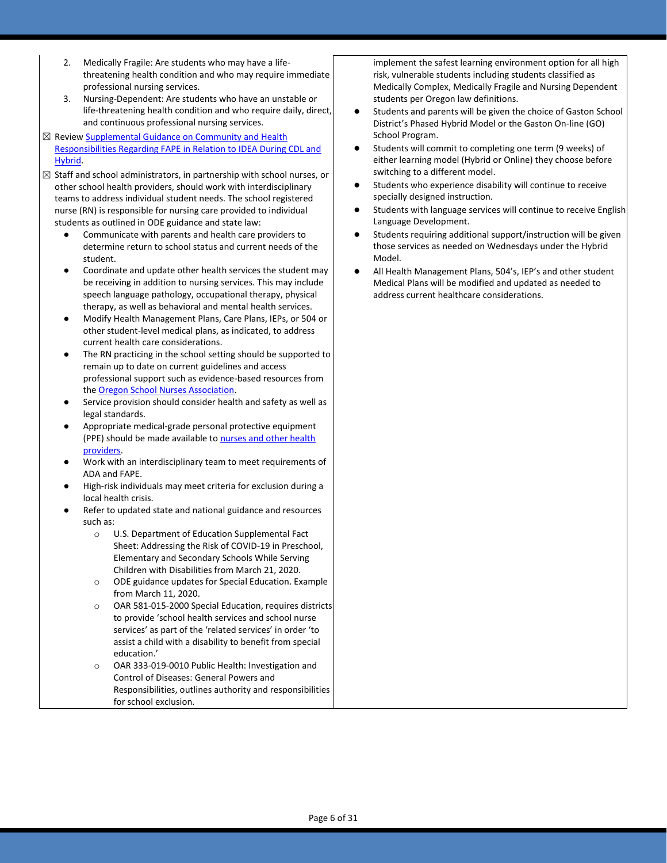- 2. Medically Fragile: Are students who may have a lifethreatening health condition and who may require immediate professional nursing services.
- 3. Nursing-Dependent: Are students who have an unstable or life-threatening health condition and who require daily, direct, and continuous professional nursing services.
- ⊠ Revie[w Supplemental Guidance on Community and](https://www.oregon.gov/ode/students-and-family/healthsafety/Documents/Community%20and%20School%20Health%20Responsibilities%20Regarding%20FAPE%20during%20CDL%20and%20Hybrid%20Instructional%20Models.pdf) Health [Responsibilities Regarding FAPE in Relation to IDEA During CDL and](https://www.oregon.gov/ode/students-and-family/healthsafety/Documents/Community%20and%20School%20Health%20Responsibilities%20Regarding%20FAPE%20during%20CDL%20and%20Hybrid%20Instructional%20Models.pdf)  [Hybrid.](https://www.oregon.gov/ode/students-and-family/healthsafety/Documents/Community%20and%20School%20Health%20Responsibilities%20Regarding%20FAPE%20during%20CDL%20and%20Hybrid%20Instructional%20Models.pdf)
- $\boxtimes$  Staff and school administrators, in partnership with school nurses, or other school health providers, should work with interdisciplinary teams to address individual student needs. The school registered nurse (RN) is responsible for nursing care provided to individual students as outlined in ODE guidance and state law:
	- Communicate with parents and health care providers to determine return to school status and current needs of the student.
	- Coordinate and update other health services the student may be receiving in addition to nursing services. This may include speech language pathology, occupational therapy, physical therapy, as well as behavioral and mental health services.
	- Modify Health Management Plans, Care Plans, IEPs, or 504 or other student-level medical plans, as indicated, to address current health care considerations.
	- The RN practicing in the school setting should be supported to remain up to date on current guidelines and access professional support such as evidence-based resources from th[e Oregon School Nurses Association.](https://www.oregonschoolnurses.org/resources/covid-19-toolkit)
	- Service provision should consider health and safety as well as legal standards.
	- Appropriate medical-grade personal protective equipment (PPE) should be made available to nurses and other health [providers.](https://www.oregon.gov/ode/students-and-family/healthsafety/Documents/Additional%20Considerations%20for%20Staff%20Working%20with%20Students%20with%20Complex%20Needs.pdf)
	- Work with an interdisciplinary team to meet requirements of ADA and FAPE.
	- High-risk individuals may meet criteria for exclusion during a local health crisis.
	- Refer to updated state and national guidance and resources such as:
		- o U.S. Department of Education Supplemental Fact Sheet: Addressing the Risk of COVID-19 in Preschool, Elementary and Secondary Schools While Serving Children with Disabilities from March 21, 2020.
		- o ODE guidance updates for Special Education. Example from March 11, 2020.
		- o OAR 581-015-2000 Special Education, requires districts to provide 'school health services and school nurse services' as part of the 'related services' in order 'to assist a child with a disability to benefit from special education.'
		- o OAR 333-019-0010 Public Health: Investigation and Control of Diseases: General Powers and Responsibilities, outlines authority and responsibilities for school exclusion.

implement the safest learning environment option for all high risk, vulnerable students including students classified as Medically Complex, Medically Fragile and Nursing Dependent students per Oregon law definitions.

- Students and parents will be given the choice of Gaston School District's Phased Hybrid Model or the Gaston On-line (GO) School Program.
- Students will commit to completing one term (9 weeks) of either learning model (Hybrid or Online) they choose before switching to a different model.
- Students who experience disability will continue to receive specially designed instruction.
- Students with language services will continue to receive English Language Development.
- Students requiring additional support/instruction will be given those services as needed on Wednesdays under the Hybrid Model.
- All Health Management Plans, 504's, IEP's and other student Medical Plans will be modified and updated as needed to address current healthcare considerations.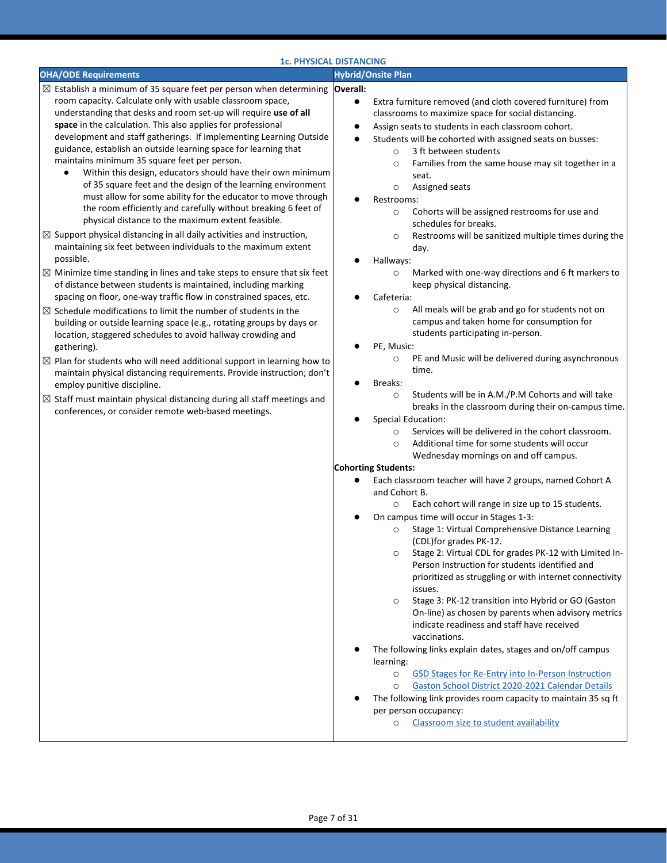| <b>OHA/ODE Requirements</b>                                                                                                                                                                                                                                                                                                                                                                                                                                                                                                                                                                                                                                                                                                                                                                                                                                                                                                                                                                                                                                                                                                                                                                                                                                                                                                                                                                                                                                                                                                                                                                                                                                                                                                                                                    |                                                                                                                                                                                                                                                                                                                                                                                                                                                                                                                                                                                                                                                                                                                                                                                                                                                                                                                                                                                                                                                                                                                                                                                                                                                                                                                                                                                                                                                                                                                                                                                                                                                                                                                                                                                                                                                                                                                                                                                                                                                                                                                                                                                                                                                                                                                                                         |
|--------------------------------------------------------------------------------------------------------------------------------------------------------------------------------------------------------------------------------------------------------------------------------------------------------------------------------------------------------------------------------------------------------------------------------------------------------------------------------------------------------------------------------------------------------------------------------------------------------------------------------------------------------------------------------------------------------------------------------------------------------------------------------------------------------------------------------------------------------------------------------------------------------------------------------------------------------------------------------------------------------------------------------------------------------------------------------------------------------------------------------------------------------------------------------------------------------------------------------------------------------------------------------------------------------------------------------------------------------------------------------------------------------------------------------------------------------------------------------------------------------------------------------------------------------------------------------------------------------------------------------------------------------------------------------------------------------------------------------------------------------------------------------|---------------------------------------------------------------------------------------------------------------------------------------------------------------------------------------------------------------------------------------------------------------------------------------------------------------------------------------------------------------------------------------------------------------------------------------------------------------------------------------------------------------------------------------------------------------------------------------------------------------------------------------------------------------------------------------------------------------------------------------------------------------------------------------------------------------------------------------------------------------------------------------------------------------------------------------------------------------------------------------------------------------------------------------------------------------------------------------------------------------------------------------------------------------------------------------------------------------------------------------------------------------------------------------------------------------------------------------------------------------------------------------------------------------------------------------------------------------------------------------------------------------------------------------------------------------------------------------------------------------------------------------------------------------------------------------------------------------------------------------------------------------------------------------------------------------------------------------------------------------------------------------------------------------------------------------------------------------------------------------------------------------------------------------------------------------------------------------------------------------------------------------------------------------------------------------------------------------------------------------------------------------------------------------------------------------------------------------------------------|
|                                                                                                                                                                                                                                                                                                                                                                                                                                                                                                                                                                                                                                                                                                                                                                                                                                                                                                                                                                                                                                                                                                                                                                                                                                                                                                                                                                                                                                                                                                                                                                                                                                                                                                                                                                                | <b>Hybrid/Onsite Plan</b>                                                                                                                                                                                                                                                                                                                                                                                                                                                                                                                                                                                                                                                                                                                                                                                                                                                                                                                                                                                                                                                                                                                                                                                                                                                                                                                                                                                                                                                                                                                                                                                                                                                                                                                                                                                                                                                                                                                                                                                                                                                                                                                                                                                                                                                                                                                               |
| $\boxtimes$ Establish a minimum of 35 square feet per person when determining<br>room capacity. Calculate only with usable classroom space,<br>understanding that desks and room set-up will require use of all<br>space in the calculation. This also applies for professional<br>development and staff gatherings. If implementing Learning Outside<br>guidance, establish an outside learning space for learning that<br>maintains minimum 35 square feet per person.<br>Within this design, educators should have their own minimum<br>٠<br>of 35 square feet and the design of the learning environment<br>must allow for some ability for the educator to move through<br>the room efficiently and carefully without breaking 6 feet of<br>physical distance to the maximum extent feasible.<br>$\boxtimes$ Support physical distancing in all daily activities and instruction,<br>maintaining six feet between individuals to the maximum extent<br>possible.<br>$\boxtimes$ Minimize time standing in lines and take steps to ensure that six feet<br>of distance between students is maintained, including marking<br>spacing on floor, one-way traffic flow in constrained spaces, etc.<br>$\boxtimes$ Schedule modifications to limit the number of students in the<br>building or outside learning space (e.g., rotating groups by days or<br>location, staggered schedules to avoid hallway crowding and<br>gathering).<br>$\boxtimes$ Plan for students who will need additional support in learning how to<br>maintain physical distancing requirements. Provide instruction; don't<br>employ punitive discipline.<br>$\boxtimes$ Staff must maintain physical distancing during all staff meetings and<br>conferences, or consider remote web-based meetings. | Overall:<br>Extra furniture removed (and cloth covered furniture) from<br>٠<br>classrooms to maximize space for social distancing.<br>Assign seats to students in each classroom cohort.<br>$\bullet$<br>Students will be cohorted with assigned seats on busses:<br>3 ft between students<br>$\circ$<br>Families from the same house may sit together in a<br>$\circ$<br>seat.<br>Assigned seats<br>O<br>Restrooms:<br>Cohorts will be assigned restrooms for use and<br>$\circ$<br>schedules for breaks.<br>Restrooms will be sanitized multiple times during the<br>$\circ$<br>day.<br>Hallways:<br>Marked with one-way directions and 6 ft markers to<br>$\circ$<br>keep physical distancing.<br>Cafeteria:<br>All meals will be grab and go for students not on<br>$\circ$<br>campus and taken home for consumption for<br>students participating in-person.<br>PE, Music:<br>PE and Music will be delivered during asynchronous<br>O<br>time.<br>Breaks:<br>Students will be in A.M./P.M Cohorts and will take<br>$\circ$<br>breaks in the classroom during their on-campus time.<br><b>Special Education:</b><br>Services will be delivered in the cohort classroom.<br>$\circ$<br>Additional time for some students will occur<br>$\circ$<br>Wednesday mornings on and off campus.<br><b>Cohorting Students:</b><br>Each classroom teacher will have 2 groups, named Cohort A<br>and Cohort B.<br>Each cohort will range in size up to 15 students.<br>$\circ$<br>On campus time will occur in Stages 1-3:<br>Stage 1: Virtual Comprehensive Distance Learning<br>$\circ$<br>(CDL)for grades PK-12.<br>Stage 2: Virtual CDL for grades PK-12 with Limited In-<br>$\circ$<br>Person Instruction for students identified and<br>prioritized as struggling or with internet connectivity<br>issues.<br>Stage 3: PK-12 transition into Hybrid or GO (Gaston<br>$\circ$<br>On-line) as chosen by parents when advisory metrics<br>indicate readiness and staff have received<br>vaccinations.<br>The following links explain dates, stages and on/off campus<br>learning:<br>GSD Stages for Re-Entry into In-Person Instruction<br>$\circ$<br>Gaston School District 2020-2021 Calendar Details<br>$\circ$<br>The following link provides room capacity to maintain 35 sq ft<br>per person occupancy:<br>Classroom size to student availability<br>O |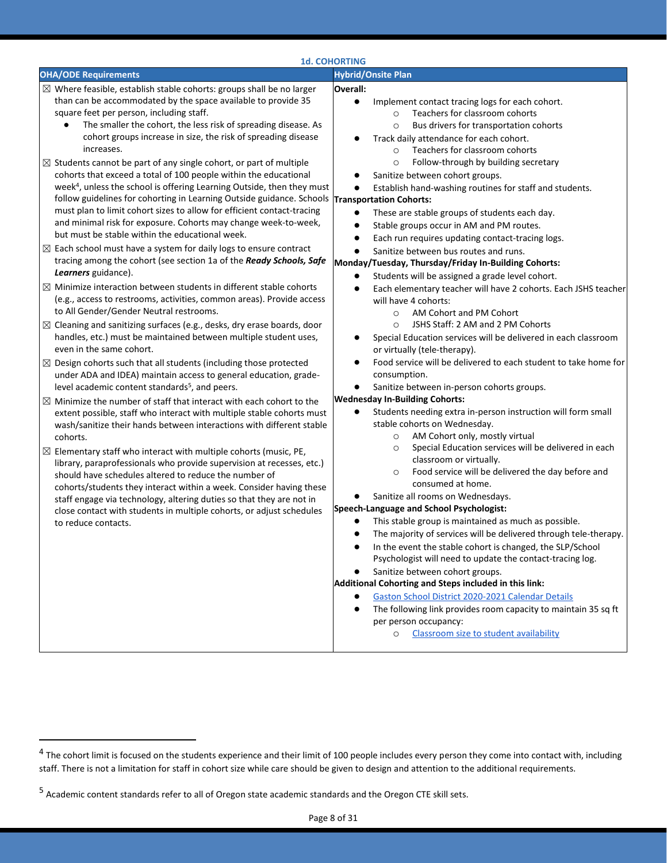|                                                                                                                                                                                                                                                                                                                                                                                                                                                                                                                                                                                                                                                                                                                                                                                                                                                                                                                                                                                                                                                                                                                                                                                                                                                                                                                                                                                                                                                                                                                                                                                                                                                                                                                                                                                                                                                                                                                                                                                                                                                                                                                                                                                                                                                                                                                                                                           | <b>1d. COHORTING</b>                                                                                                                                                                                                                                                                                                                                                                                                                                                                                                                                                                                                                                                                                                                                                                                                                                                                                                                                                                                                                                                                                                                                                                                                                                                                                                                                                                                                                                                                                                                                                                                                                                                                                                                                                                                                                                                                                                                                                                                                                                                                                                                                                                                                                                                                                                                          |
|---------------------------------------------------------------------------------------------------------------------------------------------------------------------------------------------------------------------------------------------------------------------------------------------------------------------------------------------------------------------------------------------------------------------------------------------------------------------------------------------------------------------------------------------------------------------------------------------------------------------------------------------------------------------------------------------------------------------------------------------------------------------------------------------------------------------------------------------------------------------------------------------------------------------------------------------------------------------------------------------------------------------------------------------------------------------------------------------------------------------------------------------------------------------------------------------------------------------------------------------------------------------------------------------------------------------------------------------------------------------------------------------------------------------------------------------------------------------------------------------------------------------------------------------------------------------------------------------------------------------------------------------------------------------------------------------------------------------------------------------------------------------------------------------------------------------------------------------------------------------------------------------------------------------------------------------------------------------------------------------------------------------------------------------------------------------------------------------------------------------------------------------------------------------------------------------------------------------------------------------------------------------------------------------------------------------------------------------------------------------------|-----------------------------------------------------------------------------------------------------------------------------------------------------------------------------------------------------------------------------------------------------------------------------------------------------------------------------------------------------------------------------------------------------------------------------------------------------------------------------------------------------------------------------------------------------------------------------------------------------------------------------------------------------------------------------------------------------------------------------------------------------------------------------------------------------------------------------------------------------------------------------------------------------------------------------------------------------------------------------------------------------------------------------------------------------------------------------------------------------------------------------------------------------------------------------------------------------------------------------------------------------------------------------------------------------------------------------------------------------------------------------------------------------------------------------------------------------------------------------------------------------------------------------------------------------------------------------------------------------------------------------------------------------------------------------------------------------------------------------------------------------------------------------------------------------------------------------------------------------------------------------------------------------------------------------------------------------------------------------------------------------------------------------------------------------------------------------------------------------------------------------------------------------------------------------------------------------------------------------------------------------------------------------------------------------------------------------------------------|
| <b>OHA/ODE Requirements</b>                                                                                                                                                                                                                                                                                                                                                                                                                                                                                                                                                                                                                                                                                                                                                                                                                                                                                                                                                                                                                                                                                                                                                                                                                                                                                                                                                                                                                                                                                                                                                                                                                                                                                                                                                                                                                                                                                                                                                                                                                                                                                                                                                                                                                                                                                                                                               | <b>Hybrid/Onsite Plan</b>                                                                                                                                                                                                                                                                                                                                                                                                                                                                                                                                                                                                                                                                                                                                                                                                                                                                                                                                                                                                                                                                                                                                                                                                                                                                                                                                                                                                                                                                                                                                                                                                                                                                                                                                                                                                                                                                                                                                                                                                                                                                                                                                                                                                                                                                                                                     |
| $\boxtimes$ Where feasible, establish stable cohorts: groups shall be no larger<br>than can be accommodated by the space available to provide 35<br>square feet per person, including staff.<br>The smaller the cohort, the less risk of spreading disease. As<br>cohort groups increase in size, the risk of spreading disease<br>increases.<br>$\boxtimes$ Students cannot be part of any single cohort, or part of multiple<br>cohorts that exceed a total of 100 people within the educational<br>week <sup>4</sup> , unless the school is offering Learning Outside, then they must<br>follow guidelines for cohorting in Learning Outside guidance. Schools<br>must plan to limit cohort sizes to allow for efficient contact-tracing<br>and minimal risk for exposure. Cohorts may change week-to-week,<br>but must be stable within the educational week.<br>$\boxtimes$ Each school must have a system for daily logs to ensure contract<br>tracing among the cohort (see section 1a of the Ready Schools, Safe<br>Learners guidance).<br>$\boxtimes$ Minimize interaction between students in different stable cohorts<br>(e.g., access to restrooms, activities, common areas). Provide access<br>to All Gender/Gender Neutral restrooms.<br>$\boxtimes$ Cleaning and sanitizing surfaces (e.g., desks, dry erase boards, door<br>handles, etc.) must be maintained between multiple student uses,<br>even in the same cohort.<br>$\boxtimes$ Design cohorts such that all students (including those protected<br>under ADA and IDEA) maintain access to general education, grade-<br>level academic content standards <sup>5</sup> , and peers.<br>$\boxtimes$ Minimize the number of staff that interact with each cohort to the<br>extent possible, staff who interact with multiple stable cohorts must<br>wash/sanitize their hands between interactions with different stable<br>cohorts.<br>$\boxtimes$ Elementary staff who interact with multiple cohorts (music, PE,<br>library, paraprofessionals who provide supervision at recesses, etc.)<br>should have schedules altered to reduce the number of<br>cohorts/students they interact within a week. Consider having these<br>staff engage via technology, altering duties so that they are not in<br>close contact with students in multiple cohorts, or adjust schedules<br>to reduce contacts. | Overall:<br>$\bullet$<br>Implement contact tracing logs for each cohort.<br>Teachers for classroom cohorts<br>$\circ$<br>Bus drivers for transportation cohorts<br>$\circ$<br>Track daily attendance for each cohort.<br>Teachers for classroom cohorts<br>$\circ$<br>Follow-through by building secretary<br>$\circ$<br>Sanitize between cohort groups.<br>Establish hand-washing routines for staff and students.<br><b>Transportation Cohorts:</b><br>These are stable groups of students each day.<br>$\bullet$<br>Stable groups occur in AM and PM routes.<br>$\bullet$<br>Each run requires updating contact-tracing logs.<br>$\bullet$<br>Sanitize between bus routes and runs.<br>$\bullet$<br>Monday/Tuesday, Thursday/Friday In-Building Cohorts:<br>Students will be assigned a grade level cohort.<br>$\bullet$<br>Each elementary teacher will have 2 cohorts. Each JSHS teacher<br>$\bullet$<br>will have 4 cohorts:<br>AM Cohort and PM Cohort<br>$\circ$<br>JSHS Staff: 2 AM and 2 PM Cohorts<br>$\circ$<br>Special Education services will be delivered in each classroom<br>or virtually (tele-therapy).<br>Food service will be delivered to each student to take home for<br>$\bullet$<br>consumption.<br>Sanitize between in-person cohorts groups.<br>$\bullet$<br><b>Wednesday In-Building Cohorts:</b><br>Students needing extra in-person instruction will form small<br>$\bullet$<br>stable cohorts on Wednesday.<br>AM Cohort only, mostly virtual<br>$\circ$<br>Special Education services will be delivered in each<br>$\circ$<br>classroom or virtually.<br>Food service will be delivered the day before and<br>$\circ$<br>consumed at home.<br>Sanitize all rooms on Wednesdays.<br>Speech-Language and School Psychologist:<br>This stable group is maintained as much as possible.<br>The majority of services will be delivered through tele-therapy.<br>$\bullet$<br>In the event the stable cohort is changed, the SLP/School<br>Psychologist will need to update the contact-tracing log.<br>Sanitize between cohort groups.<br>Additional Cohorting and Steps included in this link:<br>Gaston School District 2020-2021 Calendar Details<br>The following link provides room capacity to maintain 35 sq ft<br>$\bullet$<br>per person occupancy:<br>Classroom size to student availability<br>$\circ$ |
|                                                                                                                                                                                                                                                                                                                                                                                                                                                                                                                                                                                                                                                                                                                                                                                                                                                                                                                                                                                                                                                                                                                                                                                                                                                                                                                                                                                                                                                                                                                                                                                                                                                                                                                                                                                                                                                                                                                                                                                                                                                                                                                                                                                                                                                                                                                                                                           |                                                                                                                                                                                                                                                                                                                                                                                                                                                                                                                                                                                                                                                                                                                                                                                                                                                                                                                                                                                                                                                                                                                                                                                                                                                                                                                                                                                                                                                                                                                                                                                                                                                                                                                                                                                                                                                                                                                                                                                                                                                                                                                                                                                                                                                                                                                                               |

 $^4$  The cohort limit is focused on the students experience and their limit of 100 people includes every person they come into contact with, including staff. There is not a limitation for staff in cohort size while care should be given to design and attention to the additional requirements.

<sup>&</sup>lt;sup>5</sup> Academic content standards refer to all of Oregon state academic standards and the Oregon CTE skill sets.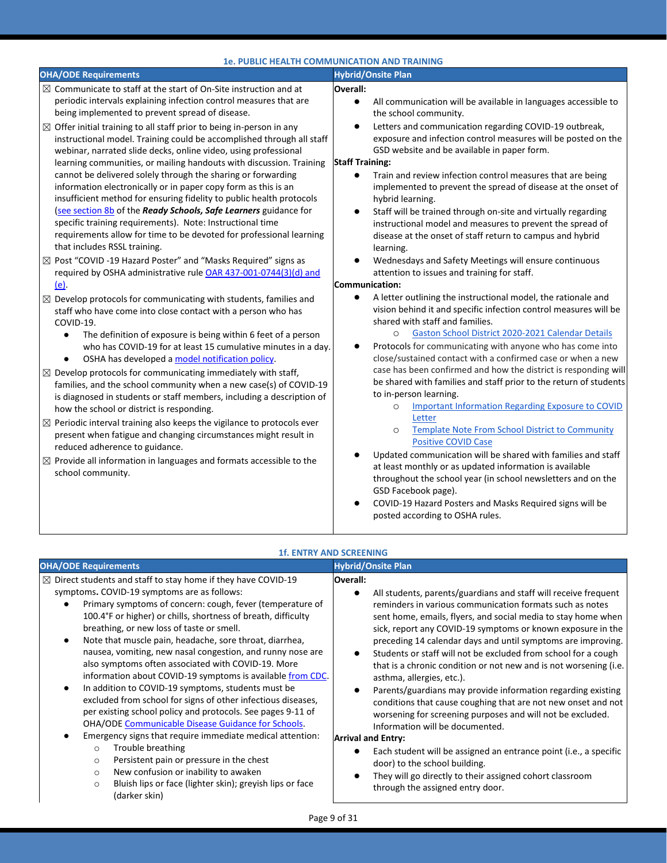|                                                                                                                                                                                                                                                                                                                                                                                                                                                                                                                                                                                                                                                                                                                                                                                                                                                                                                                                                                                                                                                                                                                                                                                                                                                                                                                                                                                                                                                                                                                                                                                                                                                                                                                                                                                                                                                                                                                                                                                                                                                            | <b>1e. PUBLIC HEALTH COMMUNICATION AND TRAINING</b>                                                                                                                                                                                                                                                                                                                                                                                                                                                                                                                                                                                                                                                                                                                                                                                                                                                                                                                                                                                                                                                                                                                                                                                                                                                                                                                                                                                                                                                                                                                                                                                                                                                                                                                                                                                                                               |
|------------------------------------------------------------------------------------------------------------------------------------------------------------------------------------------------------------------------------------------------------------------------------------------------------------------------------------------------------------------------------------------------------------------------------------------------------------------------------------------------------------------------------------------------------------------------------------------------------------------------------------------------------------------------------------------------------------------------------------------------------------------------------------------------------------------------------------------------------------------------------------------------------------------------------------------------------------------------------------------------------------------------------------------------------------------------------------------------------------------------------------------------------------------------------------------------------------------------------------------------------------------------------------------------------------------------------------------------------------------------------------------------------------------------------------------------------------------------------------------------------------------------------------------------------------------------------------------------------------------------------------------------------------------------------------------------------------------------------------------------------------------------------------------------------------------------------------------------------------------------------------------------------------------------------------------------------------------------------------------------------------------------------------------------------------|-----------------------------------------------------------------------------------------------------------------------------------------------------------------------------------------------------------------------------------------------------------------------------------------------------------------------------------------------------------------------------------------------------------------------------------------------------------------------------------------------------------------------------------------------------------------------------------------------------------------------------------------------------------------------------------------------------------------------------------------------------------------------------------------------------------------------------------------------------------------------------------------------------------------------------------------------------------------------------------------------------------------------------------------------------------------------------------------------------------------------------------------------------------------------------------------------------------------------------------------------------------------------------------------------------------------------------------------------------------------------------------------------------------------------------------------------------------------------------------------------------------------------------------------------------------------------------------------------------------------------------------------------------------------------------------------------------------------------------------------------------------------------------------------------------------------------------------------------------------------------------------|
| <b>OHA/ODE Requirements</b>                                                                                                                                                                                                                                                                                                                                                                                                                                                                                                                                                                                                                                                                                                                                                                                                                                                                                                                                                                                                                                                                                                                                                                                                                                                                                                                                                                                                                                                                                                                                                                                                                                                                                                                                                                                                                                                                                                                                                                                                                                | <b>Hybrid/Onsite Plan</b>                                                                                                                                                                                                                                                                                                                                                                                                                                                                                                                                                                                                                                                                                                                                                                                                                                                                                                                                                                                                                                                                                                                                                                                                                                                                                                                                                                                                                                                                                                                                                                                                                                                                                                                                                                                                                                                         |
| $\boxtimes$ Communicate to staff at the start of On-Site instruction and at<br>periodic intervals explaining infection control measures that are<br>being implemented to prevent spread of disease.<br>$\boxtimes$ Offer initial training to all staff prior to being in-person in any<br>instructional model. Training could be accomplished through all staff<br>webinar, narrated slide decks, online video, using professional<br>learning communities, or mailing handouts with discussion. Training<br>cannot be delivered solely through the sharing or forwarding<br>information electronically or in paper copy form as this is an<br>insufficient method for ensuring fidelity to public health protocols<br>(see section 8b of the Ready Schools, Safe Learners guidance for<br>specific training requirements). Note: Instructional time<br>requirements allow for time to be devoted for professional learning<br>that includes RSSL training.<br>⊠ Post "COVID -19 Hazard Poster" and "Masks Required" signs as<br>required by OSHA administrative rule OAR 437-001-0744(3)(d) and<br>(e).<br>$\boxtimes$ Develop protocols for communicating with students, families and<br>staff who have come into close contact with a person who has<br>COVID-19.<br>The definition of exposure is being within 6 feet of a person<br>$\bullet$<br>who has COVID-19 for at least 15 cumulative minutes in a day.<br>OSHA has developed a model notification policy.<br>$\bullet$<br>$\boxtimes$ Develop protocols for communicating immediately with staff,<br>families, and the school community when a new case(s) of COVID-19<br>is diagnosed in students or staff members, including a description of<br>how the school or district is responding.<br>$\boxtimes$ Periodic interval training also keeps the vigilance to protocols ever<br>present when fatigue and changing circumstances might result in<br>reduced adherence to guidance.<br>$\boxtimes$ Provide all information in languages and formats accessible to the<br>school community. | Overall:<br>All communication will be available in languages accessible to<br>$\bullet$<br>the school community.<br>Letters and communication regarding COVID-19 outbreak,<br>$\bullet$<br>exposure and infection control measures will be posted on the<br>GSD website and be available in paper form.<br><b>Staff Training:</b><br>$\bullet$<br>Train and review infection control measures that are being<br>implemented to prevent the spread of disease at the onset of<br>hybrid learning.<br>Staff will be trained through on-site and virtually regarding<br>$\bullet$<br>instructional model and measures to prevent the spread of<br>disease at the onset of staff return to campus and hybrid<br>learning.<br>Wednesdays and Safety Meetings will ensure continuous<br>$\bullet$<br>attention to issues and training for staff.<br>Communication:<br>A letter outlining the instructional model, the rationale and<br>$\bullet$<br>vision behind it and specific infection control measures will be<br>shared with staff and families.<br>Gaston School District 2020-2021 Calendar Details<br>$\circ$<br>Protocols for communicating with anyone who has come into<br>close/sustained contact with a confirmed case or when a new<br>case has been confirmed and how the district is responding will<br>be shared with families and staff prior to the return of students<br>to in-person learning.<br><b>Important Information Regarding Exposure to COVID</b><br>$\circ$<br>Letter<br><b>Template Note From School District to Community</b><br>$\circ$<br><b>Positive COVID Case</b><br>Updated communication will be shared with families and staff<br>at least monthly or as updated information is available<br>throughout the school year (in school newsletters and on the<br>GSD Facebook page).<br>COVID-19 Hazard Posters and Masks Required signs will be |
|                                                                                                                                                                                                                                                                                                                                                                                                                                                                                                                                                                                                                                                                                                                                                                                                                                                                                                                                                                                                                                                                                                                                                                                                                                                                                                                                                                                                                                                                                                                                                                                                                                                                                                                                                                                                                                                                                                                                                                                                                                                            | posted according to OSHA rules.                                                                                                                                                                                                                                                                                                                                                                                                                                                                                                                                                                                                                                                                                                                                                                                                                                                                                                                                                                                                                                                                                                                                                                                                                                                                                                                                                                                                                                                                                                                                                                                                                                                                                                                                                                                                                                                   |

| <b>OHA/ODE Requirements</b>                                                                                                                                                                                                                                                                                                                                                                                                                                                                                                                                                                                                                                                                                                                                                                                                                                                                                                                                                                                                                                                         | <b>Hybrid/Onsite Plan</b>                                                                                                                                                                                                                                                                                                                                                                                                                                                                                                                                                                                                                                                                                                                                                                                                                                                                                                                                                        |
|-------------------------------------------------------------------------------------------------------------------------------------------------------------------------------------------------------------------------------------------------------------------------------------------------------------------------------------------------------------------------------------------------------------------------------------------------------------------------------------------------------------------------------------------------------------------------------------------------------------------------------------------------------------------------------------------------------------------------------------------------------------------------------------------------------------------------------------------------------------------------------------------------------------------------------------------------------------------------------------------------------------------------------------------------------------------------------------|----------------------------------------------------------------------------------------------------------------------------------------------------------------------------------------------------------------------------------------------------------------------------------------------------------------------------------------------------------------------------------------------------------------------------------------------------------------------------------------------------------------------------------------------------------------------------------------------------------------------------------------------------------------------------------------------------------------------------------------------------------------------------------------------------------------------------------------------------------------------------------------------------------------------------------------------------------------------------------|
| $\boxtimes$ Direct students and staff to stay home if they have COVID-19<br>symptoms. COVID-19 symptoms are as follows:<br>Primary symptoms of concern: cough, fever (temperature of<br>100.4°F or higher) or chills, shortness of breath, difficulty<br>breathing, or new loss of taste or smell.<br>Note that muscle pain, headache, sore throat, diarrhea,<br>nausea, vomiting, new nasal congestion, and runny nose are<br>also symptoms often associated with COVID-19. More<br>information about COVID-19 symptoms is available from CDC.<br>In addition to COVID-19 symptoms, students must be<br>excluded from school for signs of other infectious diseases,<br>per existing school policy and protocols. See pages 9-11 of<br>OHA/ODE Communicable Disease Guidance for Schools.<br>Emergency signs that require immediate medical attention:<br>Trouble breathing<br>$\circ$<br>Persistent pain or pressure in the chest<br>O<br>New confusion or inability to awaken<br>$\circ$<br>Bluish lips or face (lighter skin); greyish lips or face<br>$\circ$<br>(darker skin) | Overall:<br>All students, parents/guardians and staff will receive frequent<br>reminders in various communication formats such as notes<br>sent home, emails, flyers, and social media to stay home when<br>sick, report any COVID-19 symptoms or known exposure in the<br>preceding 14 calendar days and until symptoms are improving.<br>Students or staff will not be excluded from school for a cough<br>that is a chronic condition or not new and is not worsening (i.e.<br>asthma, allergies, etc.).<br>Parents/guardians may provide information regarding existing<br>conditions that cause coughing that are not new onset and not<br>worsening for screening purposes and will not be excluded.<br>Information will be documented.<br><b>Arrival and Entry:</b><br>Each student will be assigned an entrance point (i.e., a specific<br>door) to the school building.<br>They will go directly to their assigned cohort classroom<br>through the assigned entry door. |

#### **1f. ENTRY AND SCREENING**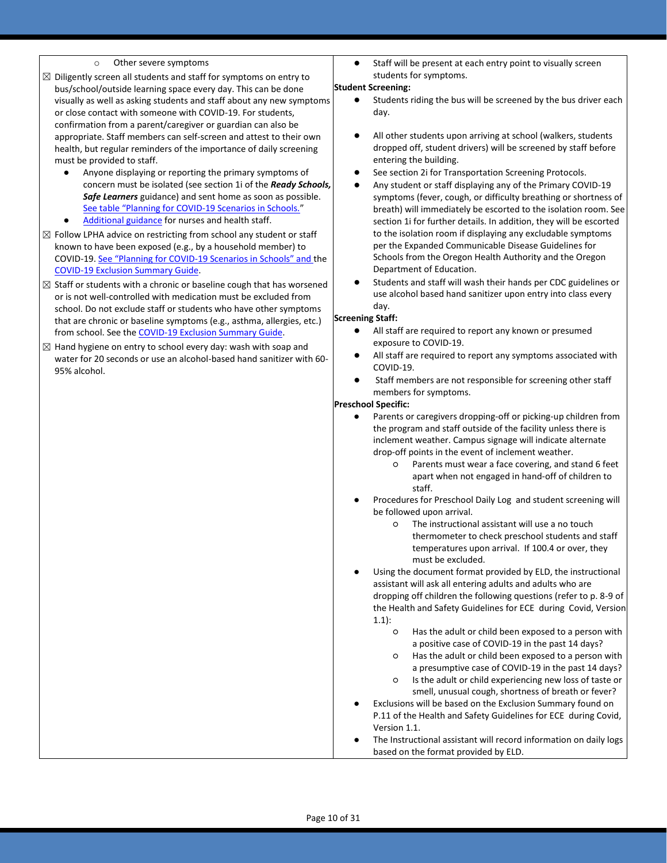- 
- $\boxtimes$  Diligently screen all students and staff for symptoms on entry to bus/school/outside learning space every day. This can be done visually as well as asking students and staff about any new symptoms or close contact with someone with COVID-19. For students, confirmation from a parent/caregiver or guardian can also be appropriate. Staff members can self-screen and attest to their own health, but regular reminders of the importance of daily screening must be provided to staff.
	- Anyone displaying or reporting the primary symptoms of concern must be isolated (see section 1i of the *Ready Schools, Safe Learners* guidance) and sent home as soon as possible. [See table "Planning for COVID](https://www.oregon.gov/ode/students-and-family/healthsafety/Documents/Planning%20and%20Responding%20to%20COVID-19%20Scenarios%20in%20Schools.pdf)-19 Scenarios in Schools."
	- [Additional guidance](https://www.oregon.gov/ode/students-and-family/healthsafety/Documents/Additional%20Considerations%20for%20Staff%20Working%20with%20Students%20with%20Complex%20Needs.pdf) for nurses and health staff.
- $\boxtimes$  Follow LPHA advice on restricting from school any student or staff known to have been exposed (e.g., by a household member) to COVID-19. See "Planning for COVID-[19 Scenarios in Schools" and](https://www.oregon.gov/ode/students-and-family/healthsafety/Documents/Planning%20and%20Responding%20to%20COVID-19%20Scenarios%20in%20Schools.pdf) the [COVID-19 Exclusion Summary Guide.](https://www.oregon.gov/ode/students-and-family/healthsafety/Documents/COVID-19%20Exclusion%20Summary%20Chart.pdf)
- $\boxtimes$  Staff or students with a chronic or baseline cough that has worsened or is not well-controlled with medication must be excluded from school. Do not exclude staff or students who have other symptoms that are chronic or baseline symptoms (e.g., asthma, allergies, etc.) from school. See th[e COVID-19 Exclusion Summary Guide.](https://www.oregon.gov/ode/students-and-family/healthsafety/Documents/COVID-19%20Exclusion%20Summary%20Chart.pdf)
- $\boxtimes$  Hand hygiene on entry to school every day: wash with soap and water for 20 seconds or use an alcohol-based hand sanitizer with 60- 95% alcohol.

○ Other severe symptoms exceent at each entry point to visually screent at each entry point to visually screen students for symptoms.

#### **Student Screening:**

- Students riding the bus will be screened by the bus driver each day.
- All other students upon arriving at school (walkers, students dropped off, student drivers) will be screened by staff before entering the building.
- See section 2i for Transportation Screening Protocols.
- Any student or staff displaying any of the Primary COVID-19 symptoms (fever, cough, or difficulty breathing or shortness of breath) will immediately be escorted to the isolation room. See section 1i for further details. In addition, they will be escorted to the isolation room if displaying any excludable symptoms per the Expanded Communicable Disease Guidelines for Schools from the Oregon Health Authority and the Oregon Department of Education.
- Students and staff will wash their hands per CDC guidelines or use alcohol based hand sanitizer upon entry into class every day.

#### **Screening Staff:**

- All staff are required to report any known or presumed exposure to COVID-19.
- All staff are required to report any symptoms associated with COVID-19.
- Staff members are not responsible for screening other staff members for symptoms.

#### **Preschool Specific:**

- Parents or caregivers dropping-off or picking-up children from the program and staff outside of the facility unless there is inclement weather. Campus signage will indicate alternate drop-off points in the event of inclement weather.
	- Parents must wear a face covering, and stand 6 feet apart when not engaged in hand-off of children to staff.
- Procedures for Preschool Daily Log and student screening will be followed upon arrival.
	- The instructional assistant will use a no touch thermometer to check preschool students and staff temperatures upon arrival. If 100.4 or over, they must be excluded.
- Using the document format provided by ELD, the instructional assistant will ask all entering adults and adults who are dropping off children the following questions (refer to p. 8-9 of the Health and Safety Guidelines for ECE during Covid, Version  $1.1$ :
	- Has the adult or child been exposed to a person with a positive case of COVID-19 in the past 14 days?
	- Has the adult or child been exposed to a person with a presumptive case of COVID-19 in the past 14 days?
	- Is the adult or child experiencing new loss of taste or smell, unusual cough, shortness of breath or fever?
- Exclusions will be based on the Exclusion Summary found on P.11 of the Health and Safety Guidelines for ECE during Covid, Version 1.1.
- The Instructional assistant will record information on daily logs based on the format provided by ELD.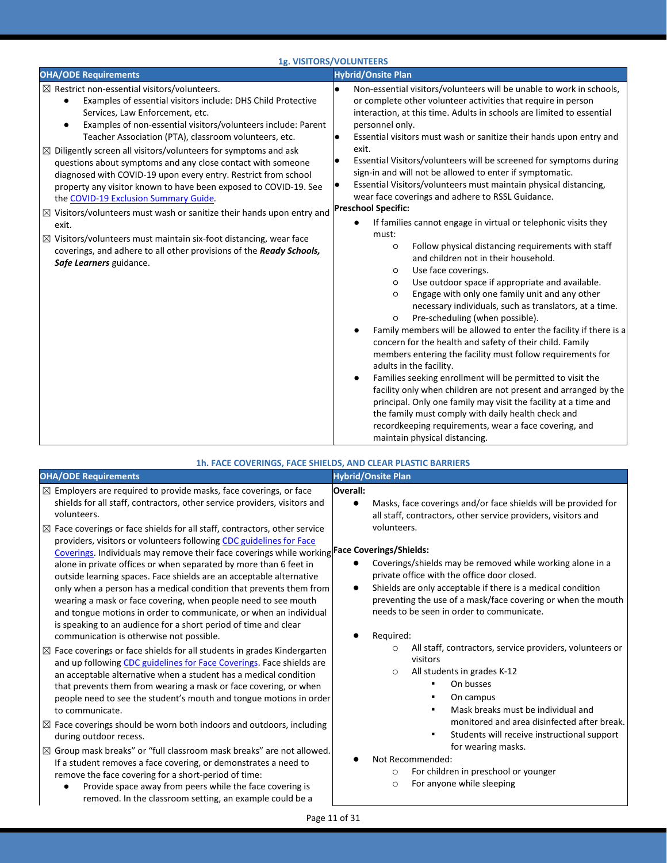|                                                                                                                                                                                                                                                                                                                                                                                                                                                                                                                                                                                                                                                                                                                                                                                                                                                                                                              | 1g. VISITORS/VOLUNTEERS                                                                                                                                                                                                                                                                                                                                                                                                                                                                                                                                                                                                                                                                                                                                                                                                                                                                                                                                                                                                                                                                                                                                                                                                                                                                                                                                                                                                                                                                                                                                                                                                                                                                |
|--------------------------------------------------------------------------------------------------------------------------------------------------------------------------------------------------------------------------------------------------------------------------------------------------------------------------------------------------------------------------------------------------------------------------------------------------------------------------------------------------------------------------------------------------------------------------------------------------------------------------------------------------------------------------------------------------------------------------------------------------------------------------------------------------------------------------------------------------------------------------------------------------------------|----------------------------------------------------------------------------------------------------------------------------------------------------------------------------------------------------------------------------------------------------------------------------------------------------------------------------------------------------------------------------------------------------------------------------------------------------------------------------------------------------------------------------------------------------------------------------------------------------------------------------------------------------------------------------------------------------------------------------------------------------------------------------------------------------------------------------------------------------------------------------------------------------------------------------------------------------------------------------------------------------------------------------------------------------------------------------------------------------------------------------------------------------------------------------------------------------------------------------------------------------------------------------------------------------------------------------------------------------------------------------------------------------------------------------------------------------------------------------------------------------------------------------------------------------------------------------------------------------------------------------------------------------------------------------------------|
| <b>OHA/ODE Requirements</b>                                                                                                                                                                                                                                                                                                                                                                                                                                                                                                                                                                                                                                                                                                                                                                                                                                                                                  | <b>Hybrid/Onsite Plan</b>                                                                                                                                                                                                                                                                                                                                                                                                                                                                                                                                                                                                                                                                                                                                                                                                                                                                                                                                                                                                                                                                                                                                                                                                                                                                                                                                                                                                                                                                                                                                                                                                                                                              |
| $\boxtimes$ Restrict non-essential visitors/volunteers.<br>Examples of essential visitors include: DHS Child Protective<br>Services, Law Enforcement, etc.<br>Examples of non-essential visitors/volunteers include: Parent<br>$\bullet$<br>Teacher Association (PTA), classroom volunteers, etc.<br>$\boxtimes$ Diligently screen all visitors/volunteers for symptoms and ask<br>questions about symptoms and any close contact with someone<br>diagnosed with COVID-19 upon every entry. Restrict from school<br>property any visitor known to have been exposed to COVID-19. See<br>the COVID-19 Exclusion Summary Guide.<br>$\boxtimes$ Visitors/volunteers must wash or sanitize their hands upon entry and<br>exit.<br>$\boxtimes$ Visitors/volunteers must maintain six-foot distancing, wear face<br>coverings, and adhere to all other provisions of the Ready Schools,<br>Safe Learners guidance. | Non-essential visitors/volunteers will be unable to work in schools,<br>$\bullet$<br>or complete other volunteer activities that require in person<br>interaction, at this time. Adults in schools are limited to essential<br>personnel only.<br>Essential visitors must wash or sanitize their hands upon entry and<br>$\bullet$<br>exit.<br>Essential Visitors/volunteers will be screened for symptoms during<br>$\bullet$<br>sign-in and will not be allowed to enter if symptomatic.<br>Essential Visitors/volunteers must maintain physical distancing,<br>$\bullet$<br>wear face coverings and adhere to RSSL Guidance.<br><b>Preschool Specific:</b><br>If families cannot engage in virtual or telephonic visits they<br>$\bullet$<br>must:<br>Follow physical distancing requirements with staff<br>$\circ$<br>and children not in their household.<br>Use face coverings.<br>$\circ$<br>Use outdoor space if appropriate and available.<br>$\circ$<br>Engage with only one family unit and any other<br>$\circ$<br>necessary individuals, such as translators, at a time.<br>Pre-scheduling (when possible).<br>$\circ$<br>Family members will be allowed to enter the facility if there is a<br>concern for the health and safety of their child. Family<br>members entering the facility must follow requirements for<br>adults in the facility.<br>Families seeking enrollment will be permitted to visit the<br>٠<br>facility only when children are not present and arranged by the<br>principal. Only one family may visit the facility at a time and<br>the family must comply with daily health check and<br>recordkeeping requirements, wear a face covering, and |

#### **1h. FACE COVERINGS, FACE SHIELDS, AND CLEAR PLASTIC BARRIERS**

| <b>OHA/ODE Requirements</b>                                                                                                                                                                                                                                                                                                                                                                                                                                                                                                                                                                                                                                                                                                                                                                                                                                                                                                                                                                                                                                                                                                                                                                                                                                                                                                                                                                                                                                                                                                                                                                                                                                                                                                                                                   | <b>Hybrid/Onsite Plan</b>                                                                                                                                                                                                                                                                                                                                                                                                                                                                                                                                                                                                                                                                                                                                                                                                                                                                                                                |
|-------------------------------------------------------------------------------------------------------------------------------------------------------------------------------------------------------------------------------------------------------------------------------------------------------------------------------------------------------------------------------------------------------------------------------------------------------------------------------------------------------------------------------------------------------------------------------------------------------------------------------------------------------------------------------------------------------------------------------------------------------------------------------------------------------------------------------------------------------------------------------------------------------------------------------------------------------------------------------------------------------------------------------------------------------------------------------------------------------------------------------------------------------------------------------------------------------------------------------------------------------------------------------------------------------------------------------------------------------------------------------------------------------------------------------------------------------------------------------------------------------------------------------------------------------------------------------------------------------------------------------------------------------------------------------------------------------------------------------------------------------------------------------|------------------------------------------------------------------------------------------------------------------------------------------------------------------------------------------------------------------------------------------------------------------------------------------------------------------------------------------------------------------------------------------------------------------------------------------------------------------------------------------------------------------------------------------------------------------------------------------------------------------------------------------------------------------------------------------------------------------------------------------------------------------------------------------------------------------------------------------------------------------------------------------------------------------------------------------|
| $\boxtimes$ Employers are required to provide masks, face coverings, or face<br>shields for all staff, contractors, other service providers, visitors and<br>volunteers.<br>$\boxtimes$ Face coverings or face shields for all staff, contractors, other service<br>providers, visitors or volunteers following CDC guidelines for Face<br>Coverings. Individuals may remove their face coverings while working Face Coverings/Shields:<br>alone in private offices or when separated by more than 6 feet in<br>outside learning spaces. Face shields are an acceptable alternative<br>only when a person has a medical condition that prevents them from<br>wearing a mask or face covering, when people need to see mouth<br>and tongue motions in order to communicate, or when an individual<br>is speaking to an audience for a short period of time and clear<br>communication is otherwise not possible.<br>$\boxtimes$ Face coverings or face shields for all students in grades Kindergarten<br>and up following CDC guidelines for Face Coverings. Face shields are<br>an acceptable alternative when a student has a medical condition<br>that prevents them from wearing a mask or face covering, or when<br>people need to see the student's mouth and tongue motions in order<br>to communicate.<br>$\boxtimes$ Face coverings should be worn both indoors and outdoors, including<br>during outdoor recess.<br>$\boxtimes$ Group mask breaks" or "full classroom mask breaks" are not allowed.<br>If a student removes a face covering, or demonstrates a need to<br>remove the face covering for a short-period of time:<br>Provide space away from peers while the face covering is<br>$\bullet$<br>removed. In the classroom setting, an example could be a | Overall:<br>Masks, face coverings and/or face shields will be provided for<br>$\bullet$<br>all staff, contractors, other service providers, visitors and<br>volunteers.<br>Coverings/shields may be removed while working alone in a<br>private office with the office door closed.<br>Shields are only acceptable if there is a medical condition<br>$\bullet$<br>preventing the use of a mask/face covering or when the mouth<br>needs to be seen in order to communicate.<br>Required:<br>All staff, contractors, service providers, volunteers or<br>$\circ$<br>visitors<br>All students in grades K-12<br>$\circ$<br>On busses<br>٠<br>On campus<br>Mask breaks must be individual and<br>٠<br>monitored and area disinfected after break.<br>Students will receive instructional support<br>٠<br>for wearing masks.<br>Not Recommended:<br>For children in preschool or younger<br>$\circ$<br>For anyone while sleeping<br>$\circ$ |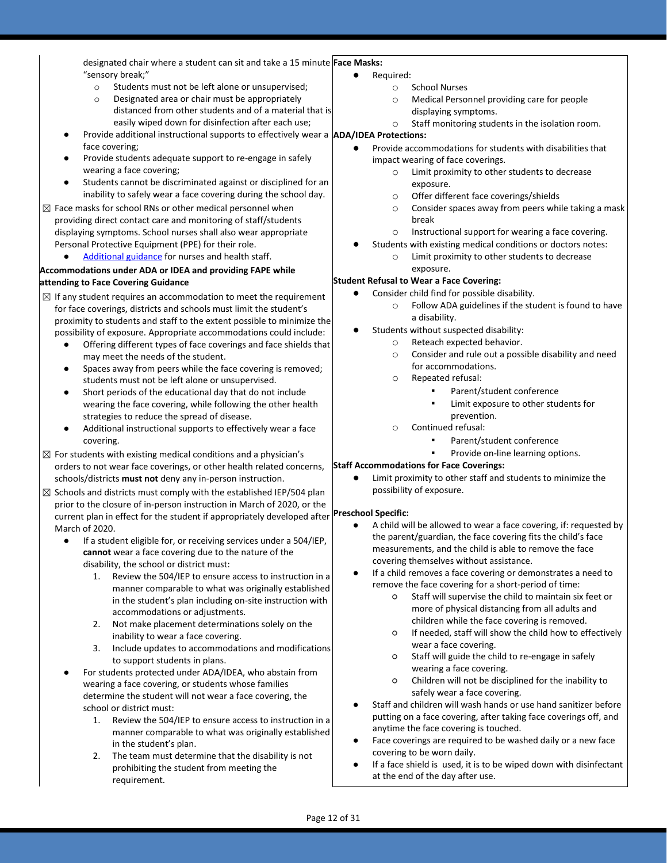designated chair where a student can sit and take a 15 minute **Face Masks:** "sensory break;"

- o Students must not be left alone or unsupervised;
- o Designated area or chair must be appropriately distanced from other students and of a material that is easily wiped down for disinfection after each use;
- Provide additional instructional supports to effectively wear a **ADA/IDEA Protections:** face covering;
- Provide students adequate support to re-engage in safely wearing a face covering;
- Students cannot be discriminated against or disciplined for an inability to safely wear a face covering during the school day.
- $\boxtimes$  Face masks for school RNs or other medical personnel when providing direct contact care and monitoring of staff/students displaying symptoms. School nurses shall also wear appropriate Personal Protective Equipment (PPE) for their role.
	- [Additional guidance](https://www.oregon.gov/ode/students-and-family/healthsafety/Documents/Additional%20Considerations%20for%20Staff%20Working%20with%20Students%20with%20Complex%20Needs.pdf) for nurses and health staff.

#### **Accommodations under ADA or IDEA and providing FAPE while attending to Face Covering Guidance**

- $\boxtimes$  If any student requires an accommodation to meet the requirement for face coverings, districts and schools must limit the student's proximity to students and staff to the extent possible to minimize the possibility of exposure. Appropriate accommodations could include:
	- Offering different types of face coverings and face shields that may meet the needs of the student.
	- Spaces away from peers while the face covering is removed; students must not be left alone or unsupervised.
	- Short periods of the educational day that do not include wearing the face covering, while following the other health strategies to reduce the spread of disease.
	- Additional instructional supports to effectively wear a face covering.
- $\boxtimes$  For students with existing medical conditions and a physician's orders to not wear face coverings, or other health related concerns, schools/districts **must not** deny any in-person instruction.
- $\boxtimes$  Schools and districts must comply with the established IEP/504 plan prior to the closure of in-person instruction in March of 2020, or the current plan in effect for the student if appropriately developed after March of 2020.
	- If a student eligible for, or receiving services under a 504/IEP, **cannot** wear a face covering due to the nature of the disability, the school or district must:
		- 1. Review the 504/IEP to ensure access to instruction in a manner comparable to what was originally established in the student's plan including on-site instruction with accommodations or adjustments.
		- 2. Not make placement determinations solely on the inability to wear a face covering.
		- 3. Include updates to accommodations and modifications to support students in plans.
	- For students protected under ADA/IDEA, who abstain from wearing a face covering, or students whose families determine the student will not wear a face covering, the school or district must:
		- 1. Review the 504/IEP to ensure access to instruction in a manner comparable to what was originally established in the student's plan.
		- 2. The team must determine that the disability is not prohibiting the student from meeting the requirement.
- Required:
	- o School Nurses
	- o Medical Personnel providing care for people
	- displaying symptoms.
	- o Staff monitoring students in the isolation room.

- Provide accommodations for students with disabilities that impact wearing of face coverings.
	- o Limit proximity to other students to decrease exposure.
	- o Offer different face coverings/shields
	- o Consider spaces away from peers while taking a mask break
	- o Instructional support for wearing a face covering.
	- Students with existing medical conditions or doctors notes:
		- o Limit proximity to other students to decrease exposure.

#### **Student Refusal to Wear a Face Covering:**

- Consider child find for possible disability.
	- o Follow ADA guidelines if the student is found to have a disability.
- Students without suspected disability:
	- o Reteach expected behavior.
	- o Consider and rule out a possible disability and need for accommodations.
	- o Repeated refusal:
		- Parent/student conference
		- Limit exposure to other students for prevention.
	- o Continued refusal:
		- Parent/student conference
		- Provide on-line learning options.

#### **Staff Accommodations for Face Coverings:**

Limit proximity to other staff and students to minimize the possibility of exposure.

#### **Preschool Specific:**

- A child will be allowed to wear a face covering, if: requested by the parent/guardian, the face covering fits the child's face measurements, and the child is able to remove the face covering themselves without assistance.
- If a child removes a face covering or demonstrates a need to remove the face covering for a short-period of time:
	- Staff will supervise the child to maintain six feet or more of physical distancing from all adults and children while the face covering is removed.
	- If needed, staff will show the child how to effectively wear a face covering.
	- Staff will guide the child to re-engage in safely wearing a face covering.
	- Children will not be disciplined for the inability to safely wear a face covering.
- Staff and children will wash hands or use hand sanitizer before putting on a face covering, after taking face coverings off, and anytime the face covering is touched.
- Face coverings are required to be washed daily or a new face covering to be worn daily.
- If a face shield is used, it is to be wiped down with disinfectant at the end of the day after use.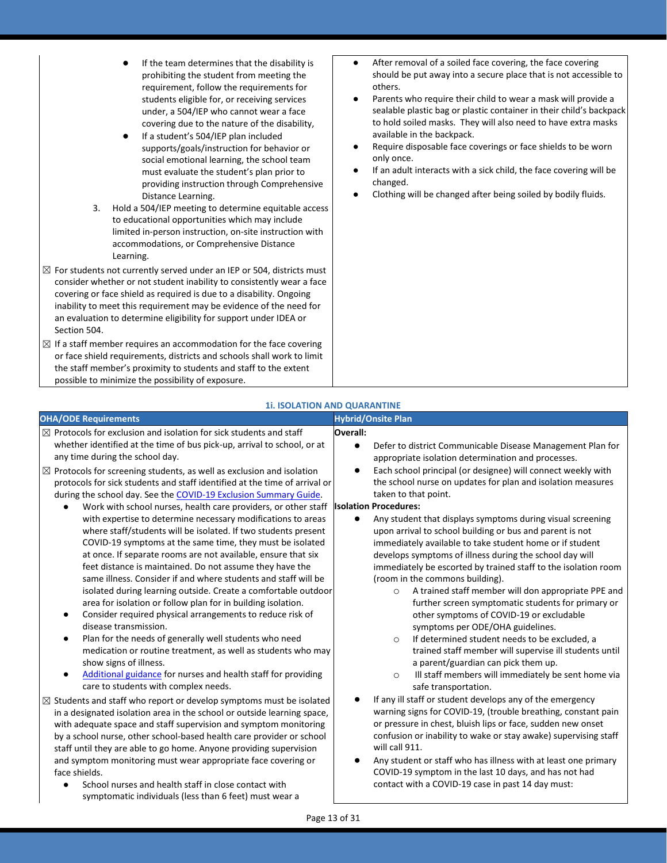- If the team determines that the disability is prohibiting the student from meeting the requirement, follow the requirements for students eligible for, or receiving services under, a 504/IEP who cannot wear a face covering due to the nature of the disability,
- If a student's 504/IEP plan included supports/goals/instruction for behavior or social emotional learning, the school team must evaluate the student's plan prior to providing instruction through Comprehensive Distance Learning.
- 3. Hold a 504/IEP meeting to determine equitable access to educational opportunities which may include limited in-person instruction, on-site instruction with accommodations, or Comprehensive Distance Learning.
- $\boxtimes$  For students not currently served under an IEP or 504, districts must consider whether or not student inability to consistently wear a face covering or face shield as required is due to a disability. Ongoing inability to meet this requirement may be evidence of the need for an evaluation to determine eligibility for support under IDEA or Section 504.
- $\boxtimes$  If a staff member requires an accommodation for the face covering or face shield requirements, districts and schools shall work to limit the staff member's proximity to students and staff to the extent possible to minimize the possibility of exposure.
- After removal of a soiled face covering, the face covering should be put away into a secure place that is not accessible to others.
- Parents who require their child to wear a mask will provide a sealable plastic bag or plastic container in their child's backpack to hold soiled masks. They will also need to have extra masks available in the backpack.
- Require disposable face coverings or face shields to be worn only once.
- If an adult interacts with a sick child, the face covering will be changed.
- Clothing will be changed after being soiled by bodily fluids.

#### **1i. ISOLATION AND QUARANTINE**

| <b>OHA/ODE Requirements</b>                                                                                                                                                                                                                                                                                                                                                                                                                                                                                                                                                                                                                                                                                                                                                                                                                                                                                                                                                                                                                                                                                                                                                                                                                                                                                                                                                                                                                | <b>Hybrid/Onsite Plan</b>                                                                                                                                                                                                                                                                                                                                                                                                                                                                                                                                                                                                                                                                                                                                                                                                                                                                                                                                                                                                                                                                                                                                                       |
|--------------------------------------------------------------------------------------------------------------------------------------------------------------------------------------------------------------------------------------------------------------------------------------------------------------------------------------------------------------------------------------------------------------------------------------------------------------------------------------------------------------------------------------------------------------------------------------------------------------------------------------------------------------------------------------------------------------------------------------------------------------------------------------------------------------------------------------------------------------------------------------------------------------------------------------------------------------------------------------------------------------------------------------------------------------------------------------------------------------------------------------------------------------------------------------------------------------------------------------------------------------------------------------------------------------------------------------------------------------------------------------------------------------------------------------------|---------------------------------------------------------------------------------------------------------------------------------------------------------------------------------------------------------------------------------------------------------------------------------------------------------------------------------------------------------------------------------------------------------------------------------------------------------------------------------------------------------------------------------------------------------------------------------------------------------------------------------------------------------------------------------------------------------------------------------------------------------------------------------------------------------------------------------------------------------------------------------------------------------------------------------------------------------------------------------------------------------------------------------------------------------------------------------------------------------------------------------------------------------------------------------|
| $\boxtimes$ Protocols for exclusion and isolation for sick students and staff<br>whether identified at the time of bus pick-up, arrival to school, or at<br>any time during the school day.<br>$\boxtimes$ Protocols for screening students, as well as exclusion and isolation<br>protocols for sick students and staff identified at the time of arrival or<br>during the school day. See the COVID-19 Exclusion Summary Guide.<br>Work with school nurses, health care providers, or other staff<br>$\bullet$<br>with expertise to determine necessary modifications to areas<br>where staff/students will be isolated. If two students present<br>COVID-19 symptoms at the same time, they must be isolated<br>at once. If separate rooms are not available, ensure that six<br>feet distance is maintained. Do not assume they have the<br>same illness. Consider if and where students and staff will be<br>isolated during learning outside. Create a comfortable outdoor<br>area for isolation or follow plan for in building isolation.<br>Consider required physical arrangements to reduce risk of<br>$\bullet$<br>disease transmission.<br>Plan for the needs of generally well students who need<br>$\bullet$<br>medication or routine treatment, as well as students who may<br>show signs of illness.<br>Additional guidance for nurses and health staff for providing<br>$\bullet$<br>care to students with complex needs. | Overall:<br>Defer to district Communicable Disease Management Plan for<br>$\bullet$<br>appropriate isolation determination and processes.<br>Each school principal (or designee) will connect weekly with<br>$\bullet$<br>the school nurse on updates for plan and isolation measures<br>taken to that point.<br><b>Isolation Procedures:</b><br>Any student that displays symptoms during visual screening<br>$\bullet$<br>upon arrival to school building or bus and parent is not<br>immediately available to take student home or if student<br>develops symptoms of illness during the school day will<br>immediately be escorted by trained staff to the isolation room<br>(room in the commons building).<br>A trained staff member will don appropriate PPE and<br>$\circ$<br>further screen symptomatic students for primary or<br>other symptoms of COVID-19 or excludable<br>symptoms per ODE/OHA guidelines.<br>If determined student needs to be excluded, a<br>$\circ$<br>trained staff member will supervise ill students until<br>a parent/guardian can pick them up.<br>Ill staff members will immediately be sent home via<br>$\circ$<br>safe transportation. |
| $\boxtimes$ Students and staff who report or develop symptoms must be isolated<br>in a designated isolation area in the school or outside learning space,<br>with adequate space and staff supervision and symptom monitoring<br>by a school nurse, other school-based health care provider or school<br>staff until they are able to go home. Anyone providing supervision<br>and symptom monitoring must wear appropriate face covering or<br>face shields.<br>School nurses and health staff in close contact with<br>symptomatic individuals (less than 6 feet) must wear a                                                                                                                                                                                                                                                                                                                                                                                                                                                                                                                                                                                                                                                                                                                                                                                                                                                            | If any ill staff or student develops any of the emergency<br>$\bullet$<br>warning signs for COVID-19, (trouble breathing, constant pain<br>or pressure in chest, bluish lips or face, sudden new onset<br>confusion or inability to wake or stay awake) supervising staff<br>will call 911.<br>Any student or staff who has illness with at least one primary<br>COVID-19 symptom in the last 10 days, and has not had<br>contact with a COVID-19 case in past 14 day must:                                                                                                                                                                                                                                                                                                                                                                                                                                                                                                                                                                                                                                                                                                     |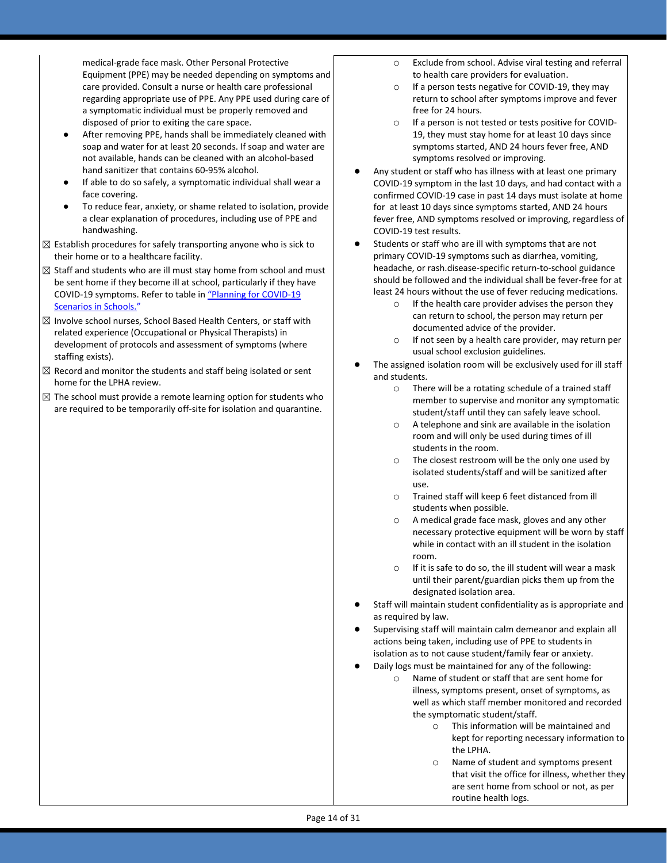medical-grade face mask. Other Personal Protective Equipment (PPE) may be needed depending on symptoms and care provided. Consult a nurse or health care professional regarding appropriate use of PPE. Any PPE used during care of a symptomatic individual must be properly removed and disposed of prior to exiting the care space.

- After removing PPE, hands shall be immediately cleaned with soap and water for at least 20 seconds. If soap and water are not available, hands can be cleaned with an alcohol-based hand sanitizer that contains 60-95% alcohol.
- If able to do so safely, a symptomatic individual shall wear a face covering.
- To reduce fear, anxiety, or shame related to isolation, provide a clear explanation of procedures, including use of PPE and handwashing.
- $\boxtimes$  Establish procedures for safely transporting anyone who is sick to their home or to a healthcare facility.
- $\boxtimes$  Staff and students who are ill must stay home from school and must be sent home if they become ill at school, particularly if they have COVID-19 symptoms. Refer to table in ["Planning for COVID](https://www.oregon.gov/ode/students-and-family/healthsafety/Documents/Planning%20and%20Responding%20to%20COVID-19%20Scenarios%20in%20Schools.pdf)-19 [Scenarios in Schools.](https://www.oregon.gov/ode/students-and-family/healthsafety/Documents/Planning%20and%20Responding%20to%20COVID-19%20Scenarios%20in%20Schools.pdf)["](https://www.oregon.gov/ode/students-and-family/healthsafety/Documents/Planning%20and%20Responding%20to%20COVID-19%20Scenarios%20in%20Schools.pdf)
- $\boxtimes$  Involve school nurses, School Based Health Centers, or staff with related experience (Occupational or Physical Therapists) in development of protocols and assessment of symptoms (where staffing exists).
- $\boxtimes$  Record and monitor the students and staff being isolated or sent home for the LPHA review.
- $\boxtimes$  The school must provide a remote learning option for students who are required to be temporarily off-site for isolation and quarantine.
- o Exclude from school. Advise viral testing and referral to health care providers for evaluation.
- o If a person tests negative for COVID-19, they may return to school after symptoms improve and fever free for 24 hours.
- o If a person is not tested or tests positive for COVID-19, they must stay home for at least 10 days since symptoms started, AND 24 hours fever free, AND symptoms resolved or improving.
- Any student or staff who has illness with at least one primary COVID-19 symptom in the last 10 days, and had contact with a confirmed COVID-19 case in past 14 days must isolate at home for at least 10 days since symptoms started, AND 24 hours fever free, AND symptoms resolved or improving, regardless of COVID-19 test results.
- Students or staff who are ill with symptoms that are not primary COVID-19 symptoms such as diarrhea, vomiting, headache, or rash.disease-specific return-to-school guidance should be followed and the individual shall be fever-free for at least 24 hours without the use of fever reducing medications.
	- $\circ$  If the health care provider advises the person they can return to school, the person may return per documented advice of the provider.
	- o If not seen by a health care provider, may return per usual school exclusion guidelines.
- The assigned isolation room will be exclusively used for ill staff and students.
	- o There will be a rotating schedule of a trained staff member to supervise and monitor any symptomatic student/staff until they can safely leave school.
	- o A telephone and sink are available in the isolation room and will only be used during times of ill students in the room.
	- o The closest restroom will be the only one used by isolated students/staff and will be sanitized after use.
	- o Trained staff will keep 6 feet distanced from ill students when possible.
	- o A medical grade face mask, gloves and any other necessary protective equipment will be worn by staff while in contact with an ill student in the isolation room.
	- o If it is safe to do so, the ill student will wear a mask until their parent/guardian picks them up from the designated isolation area.
- Staff will maintain student confidentiality as is appropriate and as required by law.
- Supervising staff will maintain calm demeanor and explain all actions being taken, including use of PPE to students in isolation as to not cause student/family fear or anxiety.
- Daily logs must be maintained for any of the following:
	- o Name of student or staff that are sent home for illness, symptoms present, onset of symptoms, as well as which staff member monitored and recorded the symptomatic student/staff.
		- o This information will be maintained and kept for reporting necessary information to the LPHA.
		- Name of student and symptoms present that visit the office for illness, whether they are sent home from school or not, as per routine health logs.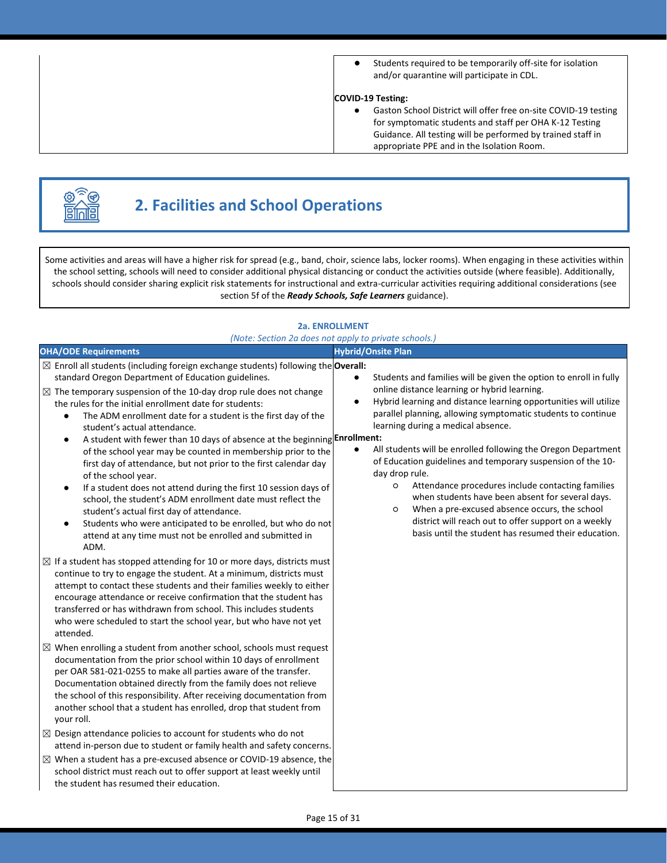● Students required to be temporarily off-site for isolation and/or quarantine will participate in CDL.

#### **COVID-19 Testing:**

● Gaston School District will offer free on-site COVID-19 testing for symptomatic students and staff per OHA K-12 Testing Guidance. All testing will be performed by trained staff in appropriate PPE and in the Isolation Room.



# **2. Facilities and School Operations**

Some activities and areas will have a higher risk for spread (e.g., band, choir, science labs, locker rooms). When engaging in these activities within the school setting, schools will need to consider additional physical distancing or conduct the activities outside (where feasible). Additionally, schools should consider sharing explicit risk statements for instructional and extra-curricular activities requiring additional considerations (see section 5f of the *Ready Schools, Safe Learners* guidance).

#### **2a. ENROLLMENT**

| (Note: Section 2a does not apply to private schools.)                                                                                                                                                                                                                                                                                                                                                                                                                                                                                                                                                                                                                                                                                                                                                                                                                                                                                                                                                                                                                                                                                                                                                                                                       |                                                                                                                                                                                                                                                                                                                                                                                                                                                                                                                                                                                                                                                                                                                                                             |  |
|-------------------------------------------------------------------------------------------------------------------------------------------------------------------------------------------------------------------------------------------------------------------------------------------------------------------------------------------------------------------------------------------------------------------------------------------------------------------------------------------------------------------------------------------------------------------------------------------------------------------------------------------------------------------------------------------------------------------------------------------------------------------------------------------------------------------------------------------------------------------------------------------------------------------------------------------------------------------------------------------------------------------------------------------------------------------------------------------------------------------------------------------------------------------------------------------------------------------------------------------------------------|-------------------------------------------------------------------------------------------------------------------------------------------------------------------------------------------------------------------------------------------------------------------------------------------------------------------------------------------------------------------------------------------------------------------------------------------------------------------------------------------------------------------------------------------------------------------------------------------------------------------------------------------------------------------------------------------------------------------------------------------------------------|--|
| <b>OHA/ODE Requirements</b>                                                                                                                                                                                                                                                                                                                                                                                                                                                                                                                                                                                                                                                                                                                                                                                                                                                                                                                                                                                                                                                                                                                                                                                                                                 | <b>Hybrid/Onsite Plan</b>                                                                                                                                                                                                                                                                                                                                                                                                                                                                                                                                                                                                                                                                                                                                   |  |
| $\boxtimes$ Enroll all students (including foreign exchange students) following the <b>Overall:</b><br>standard Oregon Department of Education guidelines.<br>$\boxtimes$ The temporary suspension of the 10-day drop rule does not change<br>the rules for the initial enrollment date for students:<br>The ADM enrollment date for a student is the first day of the<br>$\bullet$<br>student's actual attendance.<br>A student with fewer than 10 days of absence at the beginning Enrollment:<br>$\bullet$<br>of the school year may be counted in membership prior to the<br>first day of attendance, but not prior to the first calendar day<br>of the school year.<br>If a student does not attend during the first 10 session days of<br>$\bullet$<br>school, the student's ADM enrollment date must reflect the<br>student's actual first day of attendance.<br>Students who were anticipated to be enrolled, but who do not<br>$\bullet$<br>attend at any time must not be enrolled and submitted in<br>ADM.<br>$\boxtimes$ If a student has stopped attending for 10 or more days, districts must<br>continue to try to engage the student. At a minimum, districts must<br>attempt to contact these students and their families weekly to either | Students and families will be given the option to enroll in fully<br>online distance learning or hybrid learning.<br>Hybrid learning and distance learning opportunities will utilize<br>$\bullet$<br>parallel planning, allowing symptomatic students to continue<br>learning during a medical absence.<br>All students will be enrolled following the Oregon Department<br>$\bullet$<br>of Education guidelines and temporary suspension of the 10-<br>day drop rule.<br>Attendance procedures include contacting families<br>O<br>when students have been absent for several days.<br>When a pre-excused absence occurs, the school<br>O<br>district will reach out to offer support on a weekly<br>basis until the student has resumed their education. |  |
| encourage attendance or receive confirmation that the student has<br>transferred or has withdrawn from school. This includes students<br>who were scheduled to start the school year, but who have not yet<br>attended.<br>$\boxtimes$ When enrolling a student from another school, schools must request<br>documentation from the prior school within 10 days of enrollment<br>per OAR 581-021-0255 to make all parties aware of the transfer.<br>Documentation obtained directly from the family does not relieve<br>the school of this responsibility. After receiving documentation from<br>another school that a student has enrolled, drop that student from<br>your roll.<br>$\boxtimes$ Design attendance policies to account for students who do not<br>attend in-person due to student or family health and safety concerns.<br>$\boxtimes$ When a student has a pre-excused absence or COVID-19 absence, the<br>school district must reach out to offer support at least weekly until<br>the student has resumed their education.                                                                                                                                                                                                               |                                                                                                                                                                                                                                                                                                                                                                                                                                                                                                                                                                                                                                                                                                                                                             |  |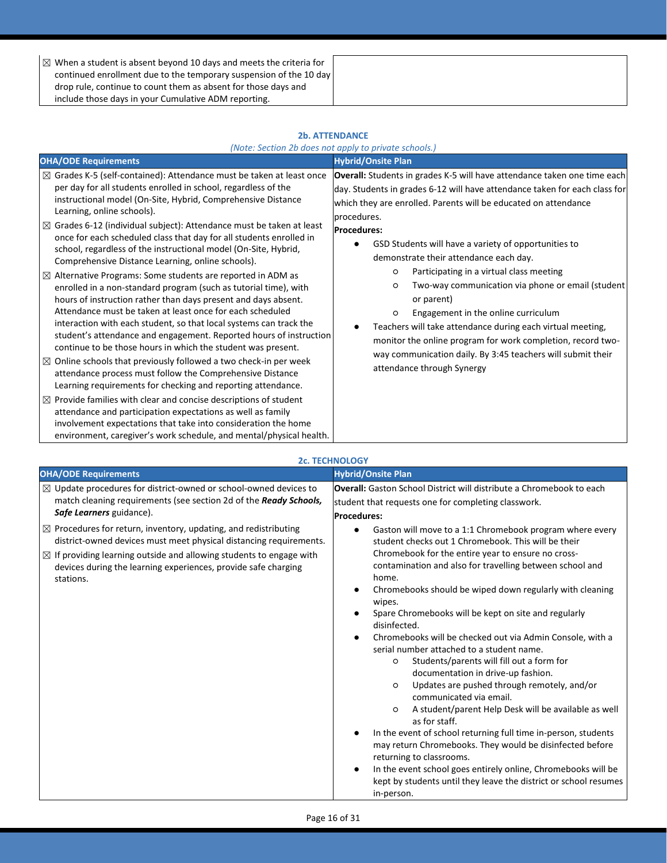| $\boxtimes$ When a student is absent beyond 10 days and meets the criteria for |  |
|--------------------------------------------------------------------------------|--|
| continued enrollment due to the temporary suspension of the 10 day             |  |
| drop rule, continue to count them as absent for those days and                 |  |
| include those days in your Cumulative ADM reporting.                           |  |

#### **2b. ATTENDANCE**

| (Note: Section 2b does not apply to private schools.) |  |  |  |
|-------------------------------------------------------|--|--|--|
|                                                       |  |  |  |

| <b>OHA/ODE Requirements</b>                                                                                                                                                                                                                                                                                                                                                                                                                                                                                                                                                                                                                                                                                                                                                                                                                                                                                                                                                                                                                                                                                                                                                                                                                                                                                                                                                                                                                                                                                                   | <b>Hybrid/Onsite Plan</b>                                                                                                                                                                                                                                                                                                                                                                                                                                                                                                                                                                                                                                                                                                                                                         |
|-------------------------------------------------------------------------------------------------------------------------------------------------------------------------------------------------------------------------------------------------------------------------------------------------------------------------------------------------------------------------------------------------------------------------------------------------------------------------------------------------------------------------------------------------------------------------------------------------------------------------------------------------------------------------------------------------------------------------------------------------------------------------------------------------------------------------------------------------------------------------------------------------------------------------------------------------------------------------------------------------------------------------------------------------------------------------------------------------------------------------------------------------------------------------------------------------------------------------------------------------------------------------------------------------------------------------------------------------------------------------------------------------------------------------------------------------------------------------------------------------------------------------------|-----------------------------------------------------------------------------------------------------------------------------------------------------------------------------------------------------------------------------------------------------------------------------------------------------------------------------------------------------------------------------------------------------------------------------------------------------------------------------------------------------------------------------------------------------------------------------------------------------------------------------------------------------------------------------------------------------------------------------------------------------------------------------------|
| $\boxtimes$ Grades K-5 (self-contained): Attendance must be taken at least once<br>per day for all students enrolled in school, regardless of the<br>instructional model (On-Site, Hybrid, Comprehensive Distance<br>Learning, online schools).<br>$\boxtimes$ Grades 6-12 (individual subject): Attendance must be taken at least<br>once for each scheduled class that day for all students enrolled in<br>school, regardless of the instructional model (On-Site, Hybrid,<br>Comprehensive Distance Learning, online schools).<br>$\boxtimes$ Alternative Programs: Some students are reported in ADM as<br>enrolled in a non-standard program (such as tutorial time), with<br>hours of instruction rather than days present and days absent.<br>Attendance must be taken at least once for each scheduled<br>interaction with each student, so that local systems can track the<br>student's attendance and engagement. Reported hours of instruction<br>continue to be those hours in which the student was present.<br>$\boxtimes$ Online schools that previously followed a two check-in per week<br>attendance process must follow the Comprehensive Distance<br>Learning requirements for checking and reporting attendance.<br>$\boxtimes$ Provide families with clear and concise descriptions of student<br>attendance and participation expectations as well as family<br>involvement expectations that take into consideration the home<br>environment, caregiver's work schedule, and mental/physical health. | Overall: Students in grades K-5 will have attendance taken one time each<br>day. Students in grades 6-12 will have attendance taken for each class for<br>which they are enrolled. Parents will be educated on attendance<br>procedures.<br><b>Procedures:</b><br>GSD Students will have a variety of opportunities to<br>demonstrate their attendance each day.<br>Participating in a virtual class meeting<br>$\circ$<br>Two-way communication via phone or email (student<br>$\circ$<br>or parent)<br>Engagement in the online curriculum<br>$\circ$<br>Teachers will take attendance during each virtual meeting,<br>monitor the online program for work completion, record two-<br>way communication daily. By 3:45 teachers will submit their<br>attendance through Synergy |

|                                                                                                                                                                                                                                                                                                                                                                                                                                                                                                   | <b>2c. TECHNOLOGY</b>                                                                                                                                                                                                                                                                                                                                                                                                                                                                                                                                                                                                                                                                                 |
|---------------------------------------------------------------------------------------------------------------------------------------------------------------------------------------------------------------------------------------------------------------------------------------------------------------------------------------------------------------------------------------------------------------------------------------------------------------------------------------------------|-------------------------------------------------------------------------------------------------------------------------------------------------------------------------------------------------------------------------------------------------------------------------------------------------------------------------------------------------------------------------------------------------------------------------------------------------------------------------------------------------------------------------------------------------------------------------------------------------------------------------------------------------------------------------------------------------------|
| <b>OHA/ODE Requirements</b>                                                                                                                                                                                                                                                                                                                                                                                                                                                                       | <b>Hybrid/Onsite Plan</b>                                                                                                                                                                                                                                                                                                                                                                                                                                                                                                                                                                                                                                                                             |
| $\boxtimes$ Update procedures for district-owned or school-owned devices to<br>match cleaning requirements (see section 2d of the Ready Schools,<br>Safe Learners guidance).<br>$\boxtimes$ Procedures for return, inventory, updating, and redistributing<br>district-owned devices must meet physical distancing requirements.<br>$\boxtimes$ If providing learning outside and allowing students to engage with<br>devices during the learning experiences, provide safe charging<br>stations. | <b>Overall:</b> Gaston School District will distribute a Chromebook to each<br>student that requests one for completing classwork.<br><b>Procedures:</b><br>Gaston will move to a 1:1 Chromebook program where every<br>$\bullet$<br>student checks out 1 Chromebook. This will be their<br>Chromebook for the entire year to ensure no cross-<br>contamination and also for travelling between school and<br>home.<br>Chromebooks should be wiped down regularly with cleaning<br>$\bullet$<br>wipes.<br>Spare Chromebooks will be kept on site and regularly<br>disinfected.<br>Chromebooks will be checked out via Admin Console, with a<br>$\bullet$<br>serial number attached to a student name. |
|                                                                                                                                                                                                                                                                                                                                                                                                                                                                                                   | Students/parents will fill out a form for<br>$\circ$<br>documentation in drive-up fashion.<br>Updates are pushed through remotely, and/or<br>$\circ$<br>communicated via email.<br>A student/parent Help Desk will be available as well<br>$\circ$<br>as for staff.<br>In the event of school returning full time in-person, students<br>$\bullet$<br>may return Chromebooks. They would be disinfected before<br>returning to classrooms.<br>In the event school goes entirely online, Chromebooks will be<br>$\bullet$<br>kept by students until they leave the district or school resumes<br>in-person.                                                                                            |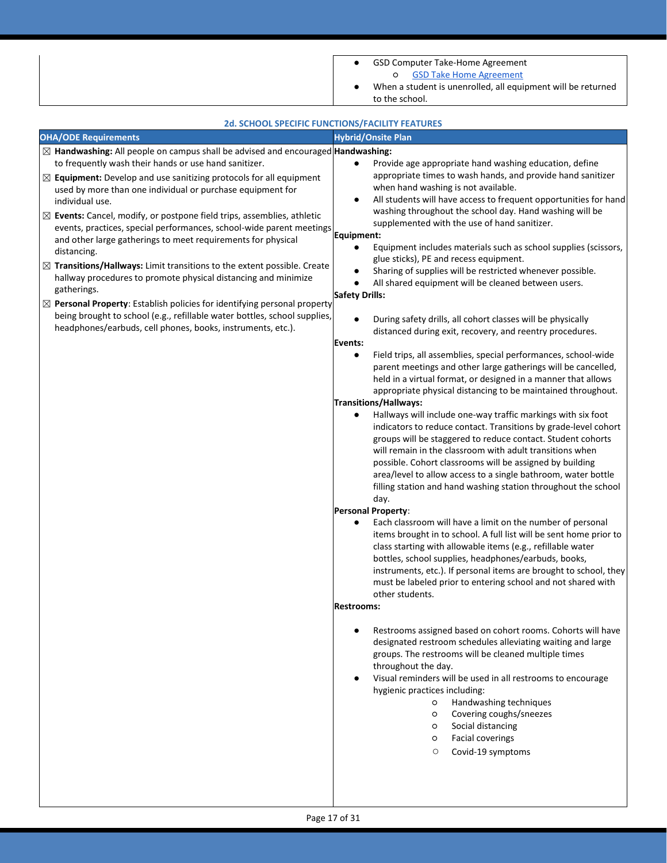|                                                                                                                                                                                                                                                                                                                                                                                                                                                                                                                                                                                                                                                                                                                                                                                                                                                                                                                                                                                                            | GSD Computer Take-Home Agreement<br>٠                                                                                                                                                                                                                                                                                                                                                                                                                                                                                                                                                                                                                                                                                                                                                                                                                                                                                                                                                                                                                                                                                                                                                                                                                                                                                                                                                                                                                                                                                                                                                                                                                                                                                                                                                                                                                                                                                                                                                                                                                                                                                                                                                                                                                                                                                                                                                                                                                                                                                                                       |
|------------------------------------------------------------------------------------------------------------------------------------------------------------------------------------------------------------------------------------------------------------------------------------------------------------------------------------------------------------------------------------------------------------------------------------------------------------------------------------------------------------------------------------------------------------------------------------------------------------------------------------------------------------------------------------------------------------------------------------------------------------------------------------------------------------------------------------------------------------------------------------------------------------------------------------------------------------------------------------------------------------|-------------------------------------------------------------------------------------------------------------------------------------------------------------------------------------------------------------------------------------------------------------------------------------------------------------------------------------------------------------------------------------------------------------------------------------------------------------------------------------------------------------------------------------------------------------------------------------------------------------------------------------------------------------------------------------------------------------------------------------------------------------------------------------------------------------------------------------------------------------------------------------------------------------------------------------------------------------------------------------------------------------------------------------------------------------------------------------------------------------------------------------------------------------------------------------------------------------------------------------------------------------------------------------------------------------------------------------------------------------------------------------------------------------------------------------------------------------------------------------------------------------------------------------------------------------------------------------------------------------------------------------------------------------------------------------------------------------------------------------------------------------------------------------------------------------------------------------------------------------------------------------------------------------------------------------------------------------------------------------------------------------------------------------------------------------------------------------------------------------------------------------------------------------------------------------------------------------------------------------------------------------------------------------------------------------------------------------------------------------------------------------------------------------------------------------------------------------------------------------------------------------------------------------------------------------|
|                                                                                                                                                                                                                                                                                                                                                                                                                                                                                                                                                                                                                                                                                                                                                                                                                                                                                                                                                                                                            | <b>GSD Take Home Agreement</b><br>O<br>When a student is unenrolled, all equipment will be returned                                                                                                                                                                                                                                                                                                                                                                                                                                                                                                                                                                                                                                                                                                                                                                                                                                                                                                                                                                                                                                                                                                                                                                                                                                                                                                                                                                                                                                                                                                                                                                                                                                                                                                                                                                                                                                                                                                                                                                                                                                                                                                                                                                                                                                                                                                                                                                                                                                                         |
|                                                                                                                                                                                                                                                                                                                                                                                                                                                                                                                                                                                                                                                                                                                                                                                                                                                                                                                                                                                                            |                                                                                                                                                                                                                                                                                                                                                                                                                                                                                                                                                                                                                                                                                                                                                                                                                                                                                                                                                                                                                                                                                                                                                                                                                                                                                                                                                                                                                                                                                                                                                                                                                                                                                                                                                                                                                                                                                                                                                                                                                                                                                                                                                                                                                                                                                                                                                                                                                                                                                                                                                             |
|                                                                                                                                                                                                                                                                                                                                                                                                                                                                                                                                                                                                                                                                                                                                                                                                                                                                                                                                                                                                            | <b>2d. SCHOOL SPECIFIC FUNCTIONS/FACILITY FEATURES</b>                                                                                                                                                                                                                                                                                                                                                                                                                                                                                                                                                                                                                                                                                                                                                                                                                                                                                                                                                                                                                                                                                                                                                                                                                                                                                                                                                                                                                                                                                                                                                                                                                                                                                                                                                                                                                                                                                                                                                                                                                                                                                                                                                                                                                                                                                                                                                                                                                                                                                                      |
|                                                                                                                                                                                                                                                                                                                                                                                                                                                                                                                                                                                                                                                                                                                                                                                                                                                                                                                                                                                                            |                                                                                                                                                                                                                                                                                                                                                                                                                                                                                                                                                                                                                                                                                                                                                                                                                                                                                                                                                                                                                                                                                                                                                                                                                                                                                                                                                                                                                                                                                                                                                                                                                                                                                                                                                                                                                                                                                                                                                                                                                                                                                                                                                                                                                                                                                                                                                                                                                                                                                                                                                             |
| <b>OHA/ODE Requirements</b><br>$\boxtimes$ Handwashing: All people on campus shall be advised and encouraged Handwashing:<br>to frequently wash their hands or use hand sanitizer.<br>$\boxtimes$ Equipment: Develop and use sanitizing protocols for all equipment<br>used by more than one individual or purchase equipment for<br>individual use.<br>$\boxtimes$ Events: Cancel, modify, or postpone field trips, assemblies, athletic<br>events, practices, special performances, school-wide parent meetings<br>and other large gatherings to meet requirements for physical<br>distancing.<br>$\boxtimes$ Transitions/Hallways: Limit transitions to the extent possible. Create<br>hallway procedures to promote physical distancing and minimize<br>gatherings.<br>$\boxtimes$ Personal Property: Establish policies for identifying personal property<br>being brought to school (e.g., refillable water bottles, school supplies,<br>headphones/earbuds, cell phones, books, instruments, etc.). | to the school.<br><b>Hybrid/Onsite Plan</b><br>Provide age appropriate hand washing education, define<br>$\bullet$<br>appropriate times to wash hands, and provide hand sanitizer<br>when hand washing is not available.<br>All students will have access to frequent opportunities for hand<br>$\bullet$<br>washing throughout the school day. Hand washing will be<br>supplemented with the use of hand sanitizer.<br>Equipment:<br>Equipment includes materials such as school supplies (scissors,<br>$\bullet$<br>glue sticks), PE and recess equipment.<br>Sharing of supplies will be restricted whenever possible.<br>$\bullet$<br>All shared equipment will be cleaned between users.<br>$\bullet$<br><b>Safety Drills:</b><br>During safety drills, all cohort classes will be physically<br>$\bullet$<br>distanced during exit, recovery, and reentry procedures.<br><b>Events:</b><br>Field trips, all assemblies, special performances, school-wide<br>$\bullet$<br>parent meetings and other large gatherings will be cancelled,<br>held in a virtual format, or designed in a manner that allows<br>appropriate physical distancing to be maintained throughout.<br><b>Transitions/Hallways:</b><br>Hallways will include one-way traffic markings with six foot<br>$\bullet$<br>indicators to reduce contact. Transitions by grade-level cohort<br>groups will be staggered to reduce contact. Student cohorts<br>will remain in the classroom with adult transitions when<br>possible. Cohort classrooms will be assigned by building<br>area/level to allow access to a single bathroom, water bottle<br>filling station and hand washing station throughout the school<br>day.<br>Personal Property:<br>Each classroom will have a limit on the number of personal<br>items brought in to school. A full list will be sent home prior to<br>class starting with allowable items (e.g., refillable water<br>bottles, school supplies, headphones/earbuds, books,<br>instruments, etc.). If personal items are brought to school, they<br>must be labeled prior to entering school and not shared with<br>other students.<br><b>Restrooms:</b><br>Restrooms assigned based on cohort rooms. Cohorts will have<br>designated restroom schedules alleviating waiting and large<br>groups. The restrooms will be cleaned multiple times<br>throughout the day.<br>Visual reminders will be used in all restrooms to encourage<br>٠<br>hygienic practices including:<br>Handwashing techniques<br>$\circ$<br>Covering coughs/sneezes<br>$\circ$ |
|                                                                                                                                                                                                                                                                                                                                                                                                                                                                                                                                                                                                                                                                                                                                                                                                                                                                                                                                                                                                            | Social distancing<br>$\circ$                                                                                                                                                                                                                                                                                                                                                                                                                                                                                                                                                                                                                                                                                                                                                                                                                                                                                                                                                                                                                                                                                                                                                                                                                                                                                                                                                                                                                                                                                                                                                                                                                                                                                                                                                                                                                                                                                                                                                                                                                                                                                                                                                                                                                                                                                                                                                                                                                                                                                                                                |
|                                                                                                                                                                                                                                                                                                                                                                                                                                                                                                                                                                                                                                                                                                                                                                                                                                                                                                                                                                                                            | <b>Facial coverings</b><br>$\circ$<br>$\circlearrowright$<br>Covid-19 symptoms                                                                                                                                                                                                                                                                                                                                                                                                                                                                                                                                                                                                                                                                                                                                                                                                                                                                                                                                                                                                                                                                                                                                                                                                                                                                                                                                                                                                                                                                                                                                                                                                                                                                                                                                                                                                                                                                                                                                                                                                                                                                                                                                                                                                                                                                                                                                                                                                                                                                              |
|                                                                                                                                                                                                                                                                                                                                                                                                                                                                                                                                                                                                                                                                                                                                                                                                                                                                                                                                                                                                            |                                                                                                                                                                                                                                                                                                                                                                                                                                                                                                                                                                                                                                                                                                                                                                                                                                                                                                                                                                                                                                                                                                                                                                                                                                                                                                                                                                                                                                                                                                                                                                                                                                                                                                                                                                                                                                                                                                                                                                                                                                                                                                                                                                                                                                                                                                                                                                                                                                                                                                                                                             |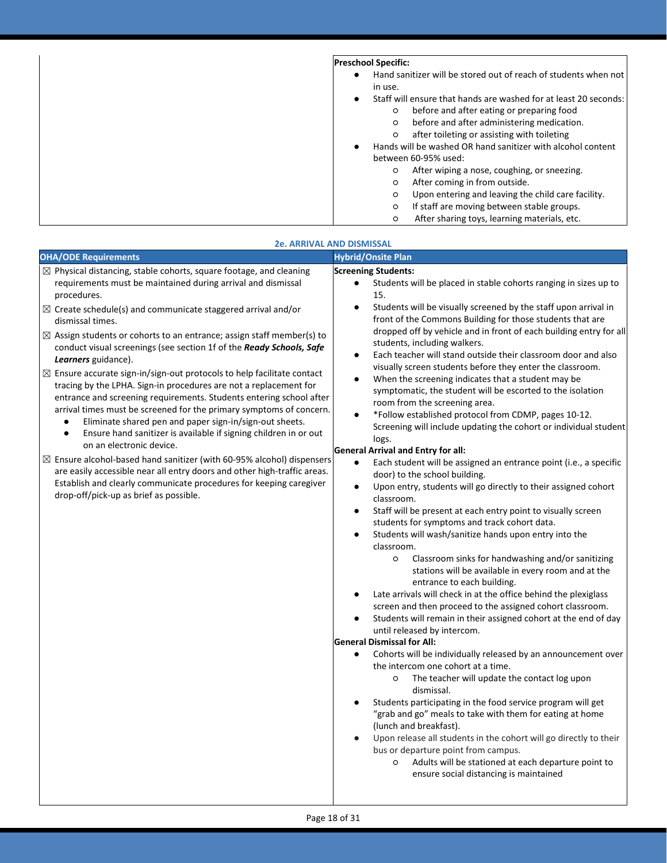| <b>Preschool Specific:</b>                                               |
|--------------------------------------------------------------------------|
| Hand sanitizer will be stored out of reach of students when not          |
| in use.                                                                  |
| Staff will ensure that hands are washed for at least 20 seconds:         |
| before and after eating or preparing food<br>$\circ$                     |
| before and after administering medication.<br>$\circ$                    |
| after toileting or assisting with toileting<br>$\circ$                   |
| Hands will be washed OR hand sanitizer with alcohol content<br>$\bullet$ |
| between 60-95% used:                                                     |
| After wiping a nose, coughing, or sneezing.<br>$\circ$                   |
| After coming in from outside.<br>$\circ$                                 |
| Upon entering and leaving the child care facility.<br>$\circ$            |
| If staff are moving between stable groups.<br>$\circ$                    |
| After sharing toys, learning materials, etc.<br>$\circ$                  |

| <b>OHA/ODE Requirements</b><br><b>Hybrid/Onsite Plan</b><br>$\boxtimes$ Physical distancing, stable cohorts, square footage, and cleaning<br><b>Screening Students:</b><br>requirements must be maintained during arrival and dismissal<br>Students will be placed in stable cohorts ranging in sizes up to<br>procedures.<br>15.<br>Students will be visually screened by the staff upon arrival in<br>$\bullet$<br>$\boxtimes$ Create schedule(s) and communicate staggered arrival and/or<br>front of the Commons Building for those students that are<br>dismissal times.<br>$\boxtimes$ Assign students or cohorts to an entrance; assign staff member(s) to<br>students, including walkers.<br>conduct visual screenings (see section 1f of the Ready Schools, Safe<br>Each teacher will stand outside their classroom door and also<br>Learners guidance).<br>visually screen students before they enter the classroom.<br>$\boxtimes$ Ensure accurate sign-in/sign-out protocols to help facilitate contact<br>When the screening indicates that a student may be<br>$\bullet$<br>tracing by the LPHA. Sign-in procedures are not a replacement for<br>symptomatic, the student will be escorted to the isolation<br>entrance and screening requirements. Students entering school after<br>room from the screening area.<br>arrival times must be screened for the primary symptoms of concern.<br>*Follow established protocol from CDMP, pages 10-12.<br>$\bullet$<br>Eliminate shared pen and paper sign-in/sign-out sheets.<br>$\bullet$<br>Ensure hand sanitizer is available if signing children in or out<br>$\bullet$<br>logs.<br>on an electronic device.<br>General Arrival and Entry for all:<br>$\boxtimes$ Ensure alcohol-based hand sanitizer (with 60-95% alcohol) dispensers<br>$\bullet$<br>are easily accessible near all entry doors and other high-traffic areas.<br>door) to the school building.<br>Establish and clearly communicate procedures for keeping caregiver<br>Upon entry, students will go directly to their assigned cohort<br>$\bullet$<br>drop-off/pick-up as brief as possible.<br>classroom.<br>Staff will be present at each entry point to visually screen<br>$\bullet$<br>students for symptoms and track cohort data.<br>Students will wash/sanitize hands upon entry into the<br>classroom.<br>Classroom sinks for handwashing and/or sanitizing<br>$\circ$<br>stations will be available in every room and at the<br>entrance to each building.<br>Late arrivals will check in at the office behind the plexiglass<br>screen and then proceed to the assigned cohort classroom.<br>$\bullet$<br>until released by intercom.<br><b>General Dismissal for All:</b><br>$\bullet$<br>the intercom one cohort at a time.<br>The teacher will update the contact log upon<br>$\circ$<br>dismissal.<br>Students participating in the food service program will get<br>"grab and go" meals to take with them for eating at home<br>(lunch and breakfast). | <b>2e. ARRIVAL AND DISMISSAL</b>                                                                                                                                                                                                                                                                                                                |
|---------------------------------------------------------------------------------------------------------------------------------------------------------------------------------------------------------------------------------------------------------------------------------------------------------------------------------------------------------------------------------------------------------------------------------------------------------------------------------------------------------------------------------------------------------------------------------------------------------------------------------------------------------------------------------------------------------------------------------------------------------------------------------------------------------------------------------------------------------------------------------------------------------------------------------------------------------------------------------------------------------------------------------------------------------------------------------------------------------------------------------------------------------------------------------------------------------------------------------------------------------------------------------------------------------------------------------------------------------------------------------------------------------------------------------------------------------------------------------------------------------------------------------------------------------------------------------------------------------------------------------------------------------------------------------------------------------------------------------------------------------------------------------------------------------------------------------------------------------------------------------------------------------------------------------------------------------------------------------------------------------------------------------------------------------------------------------------------------------------------------------------------------------------------------------------------------------------------------------------------------------------------------------------------------------------------------------------------------------------------------------------------------------------------------------------------------------------------------------------------------------------------------------------------------------------------------------------------------------------------------------------------------------------------------------------------------------------------------------------------------------------------------------------------------------------------------------------------------------------------------------------------------------------------------------------------------------------------------------------------------------|-------------------------------------------------------------------------------------------------------------------------------------------------------------------------------------------------------------------------------------------------------------------------------------------------------------------------------------------------|
|                                                                                                                                                                                                                                                                                                                                                                                                                                                                                                                                                                                                                                                                                                                                                                                                                                                                                                                                                                                                                                                                                                                                                                                                                                                                                                                                                                                                                                                                                                                                                                                                                                                                                                                                                                                                                                                                                                                                                                                                                                                                                                                                                                                                                                                                                                                                                                                                                                                                                                                                                                                                                                                                                                                                                                                                                                                                                                                                                                                                         |                                                                                                                                                                                                                                                                                                                                                 |
|                                                                                                                                                                                                                                                                                                                                                                                                                                                                                                                                                                                                                                                                                                                                                                                                                                                                                                                                                                                                                                                                                                                                                                                                                                                                                                                                                                                                                                                                                                                                                                                                                                                                                                                                                                                                                                                                                                                                                                                                                                                                                                                                                                                                                                                                                                                                                                                                                                                                                                                                                                                                                                                                                                                                                                                                                                                                                                                                                                                                         | dropped off by vehicle and in front of each building entry for all<br>Screening will include updating the cohort or individual student<br>Each student will be assigned an entrance point (i.e., a specific<br>Students will remain in their assigned cohort at the end of day<br>Cohorts will be individually released by an announcement over |
| bus or departure point from campus.<br>Adults will be stationed at each departure point to<br>$\circ$                                                                                                                                                                                                                                                                                                                                                                                                                                                                                                                                                                                                                                                                                                                                                                                                                                                                                                                                                                                                                                                                                                                                                                                                                                                                                                                                                                                                                                                                                                                                                                                                                                                                                                                                                                                                                                                                                                                                                                                                                                                                                                                                                                                                                                                                                                                                                                                                                                                                                                                                                                                                                                                                                                                                                                                                                                                                                                   | Upon release all students in the cohort will go directly to their                                                                                                                                                                                                                                                                               |
| ensure social distancing is maintained                                                                                                                                                                                                                                                                                                                                                                                                                                                                                                                                                                                                                                                                                                                                                                                                                                                                                                                                                                                                                                                                                                                                                                                                                                                                                                                                                                                                                                                                                                                                                                                                                                                                                                                                                                                                                                                                                                                                                                                                                                                                                                                                                                                                                                                                                                                                                                                                                                                                                                                                                                                                                                                                                                                                                                                                                                                                                                                                                                  |                                                                                                                                                                                                                                                                                                                                                 |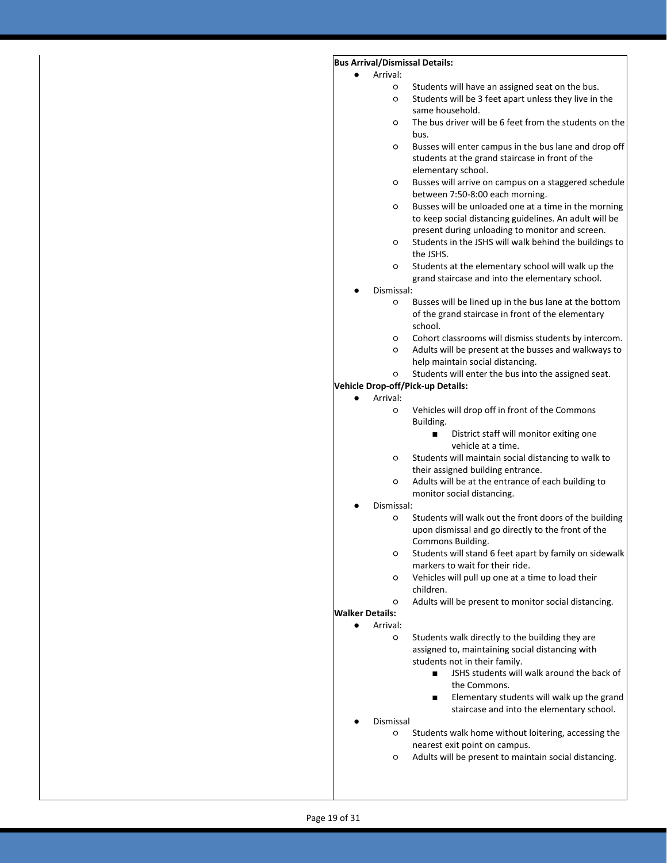### **Bus Arrival/Dismissal Details:**

- Arrival<sup>-</sup>
	- Students will have an assigned seat on the bus.
	- Students will be 3 feet apart unless they live in the same household.
	- The bus driver will be 6 feet from the students on the bus.
	- Busses will enter campus in the bus lane and drop off students at the grand staircase in front of the elementary school.
	- Busses will arrive on campus on a staggered schedule between 7:50-8:00 each morning.
	- Busses will be unloaded one at a time in the morning to keep social distancing guidelines. An adult will be present during unloading to monitor and screen.
	- Students in the JSHS will walk behind the buildings to the JSHS.
	- Students at the elementary school will walk up the grand staircase and into the elementary school.
	- Dismissal:
		- Busses will be lined up in the bus lane at the bottom of the grand staircase in front of the elementary school.
		- Cohort classrooms will dismiss students by intercom.
		- Adults will be present at the busses and walkways to help maintain social distancing.
		- Students will enter the bus into the assigned seat.

#### **Vehicle Drop-off/Pick-up Details:**

- Arrival:
	- Vehicles will drop off in front of the Commons Building.
		- District staff will monitor exiting one vehicle at a time.
	- Students will maintain social distancing to walk to their assigned building entrance.
	- Adults will be at the entrance of each building to monitor social distancing.
- Dismissal:
	- Students will walk out the front doors of the building upon dismissal and go directly to the front of the Commons Building.
	- Students will stand 6 feet apart by family on sidewalk markers to wait for their ride.
	- Vehicles will pull up one at a time to load their children.
	- Adults will be present to monitor social distancing.
- **Walker Details:**

Arrival:

○ Students walk directly to the building they are assigned to, maintaining social distancing with students not in their family.

- JSHS students will walk around the back of the Commons.
- Elementary students will walk up the grand staircase and into the elementary school.
- **Dismissal** 
	- Students walk home without loitering, accessing the nearest exit point on campus.
	- Adults will be present to maintain social distancing.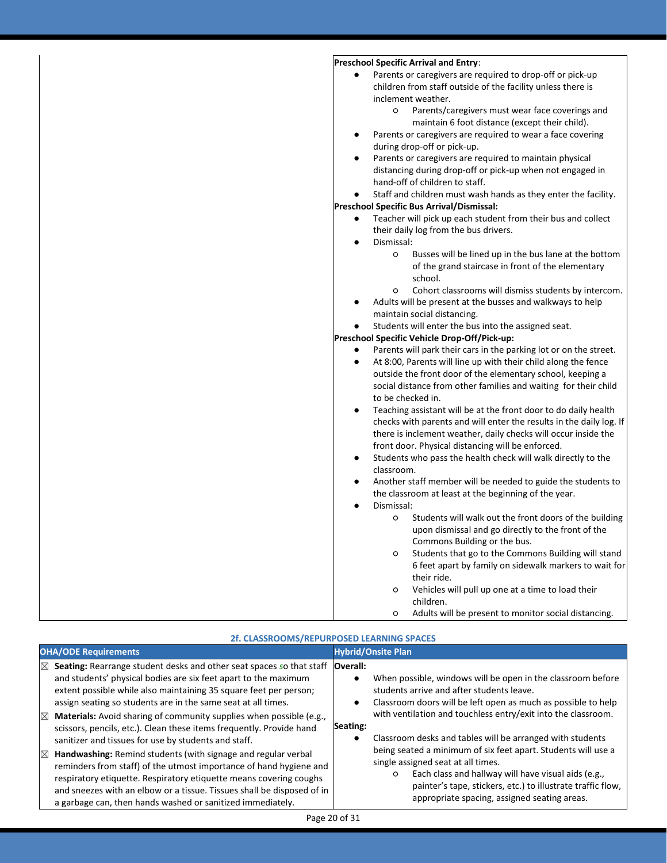#### **Preschool Specific Arrival and Entry**: Parents or caregivers are required to drop-off or pick-up children from staff outside of the facility unless there is inclement weather. ○ Parents/caregivers must wear face coverings and maintain 6 foot distance (except their child). Parents or caregivers are required to wear a face covering during drop-off or pick-up. Parents or caregivers are required to maintain physical distancing during drop-off or pick-up when not engaged in hand-off of children to staff. Staff and children must wash hands as they enter the facility. **Preschool Specific Bus Arrival/Dismissal:** Teacher will pick up each student from their bus and collect their daily log from the bus drivers. Dismissal: ○ Busses will be lined up in the bus lane at the bottom of the grand staircase in front of the elementary school. ○ Cohort classrooms will dismiss students by intercom. Adults will be present at the busses and walkways to help maintain social distancing. Students will enter the bus into the assigned seat. **Preschool Specific Vehicle Drop-Off/Pick-up:** Parents will park their cars in the parking lot or on the street. At 8:00, Parents will line up with their child along the fence outside the front door of the elementary school, keeping a social distance from other families and waiting for their child to be checked in. Teaching assistant will be at the front door to do daily health checks with parents and will enter the results in the daily log. If there is inclement weather, daily checks will occur inside the front door. Physical distancing will be enforced. Students who pass the health check will walk directly to the classroom. Another staff member will be needed to guide the students to the classroom at least at the beginning of the year. Dismissal: ○ Students will walk out the front doors of the building upon dismissal and go directly to the front of the Commons Building or the bus. ○ Students that go to the Commons Building will stand 6 feet apart by family on sidewalk markers to wait for their ride. ○ Vehicles will pull up one at a time to load their children. ○ Adults will be present to monitor social distancing.

| 2f. CLASSROOMS/REPURPOSED LEARNING SPACES                                                                                                                                                                                                                                                                                                                        |                                                                                                                                                                                                                                                                                      |  |  |
|------------------------------------------------------------------------------------------------------------------------------------------------------------------------------------------------------------------------------------------------------------------------------------------------------------------------------------------------------------------|--------------------------------------------------------------------------------------------------------------------------------------------------------------------------------------------------------------------------------------------------------------------------------------|--|--|
| <b>OHA/ODE Requirements</b>                                                                                                                                                                                                                                                                                                                                      | <b>Hybrid/Onsite Plan</b>                                                                                                                                                                                                                                                            |  |  |
| Seating: Rearrange student desks and other seat spaces so that staff<br>⊠<br>and students' physical bodies are six feet apart to the maximum<br>extent possible while also maintaining 35 square feet per person;<br>assign seating so students are in the same seat at all times.<br>Materials: Avoid sharing of community supplies when possible (e.g.,<br>K   | Overall:<br>When possible, windows will be open in the classroom before<br>$\bullet$<br>students arrive and after students leave.<br>Classroom doors will be left open as much as possible to help<br>٠<br>with ventilation and touchless entry/exit into the classroom.<br>Seating: |  |  |
| scissors, pencils, etc.). Clean these items frequently. Provide hand<br>sanitizer and tissues for use by students and staff.                                                                                                                                                                                                                                     | Classroom desks and tables will be arranged with students                                                                                                                                                                                                                            |  |  |
| Handwashing: Remind students (with signage and regular verbal<br>$\boxtimes$<br>reminders from staff) of the utmost importance of hand hygiene and<br>respiratory etiquette. Respiratory etiquette means covering coughs<br>and sneezes with an elbow or a tissue. Tissues shall be disposed of in<br>a garbage can, then hands washed or sanitized immediately. | being seated a minimum of six feet apart. Students will use a<br>single assigned seat at all times.<br>Each class and hallway will have visual aids (e.g.,<br>$\circ$<br>painter's tape, stickers, etc.) to illustrate traffic flow,<br>appropriate spacing, assigned seating areas. |  |  |
| Page 20 of 31                                                                                                                                                                                                                                                                                                                                                    |                                                                                                                                                                                                                                                                                      |  |  |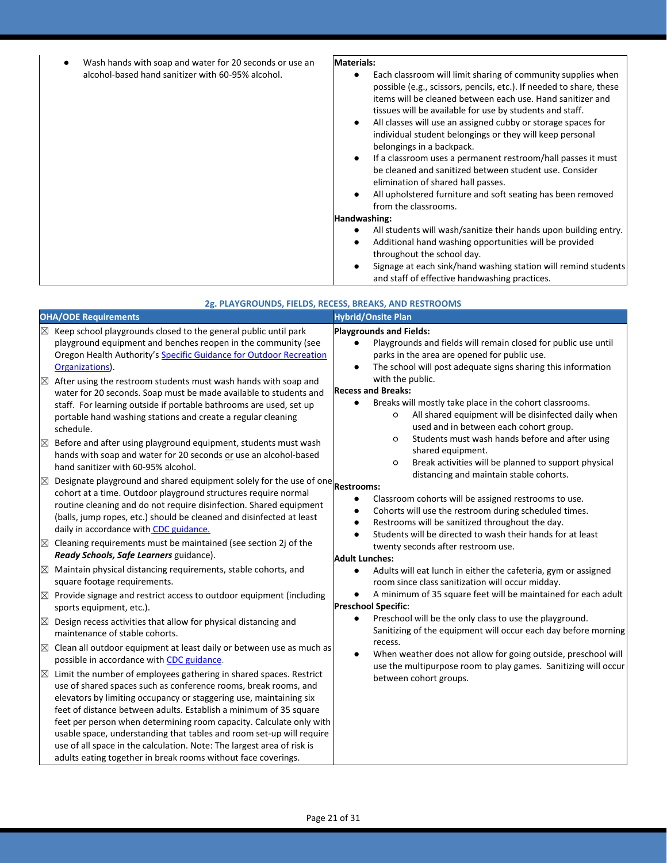| Wash hands with soap and water for 20 seconds or use an<br>$\bullet$ | Materials:                                                                                                                                                                                                                                                                                                                                                                                                                                                                                                                                                                                                                                                                                                   |
|----------------------------------------------------------------------|--------------------------------------------------------------------------------------------------------------------------------------------------------------------------------------------------------------------------------------------------------------------------------------------------------------------------------------------------------------------------------------------------------------------------------------------------------------------------------------------------------------------------------------------------------------------------------------------------------------------------------------------------------------------------------------------------------------|
| alcohol-based hand sanitizer with 60-95% alcohol.                    | Each classroom will limit sharing of community supplies when<br>possible (e.g., scissors, pencils, etc.). If needed to share, these<br>items will be cleaned between each use. Hand sanitizer and<br>tissues will be available for use by students and staff.<br>All classes will use an assigned cubby or storage spaces for<br>٠<br>individual student belongings or they will keep personal<br>belongings in a backpack.<br>If a classroom uses a permanent restroom/hall passes it must<br>$\bullet$<br>be cleaned and sanitized between student use. Consider<br>elimination of shared hall passes.<br>All upholstered furniture and soft seating has been removed<br>$\bullet$<br>from the classrooms. |
|                                                                      | Handwashing:                                                                                                                                                                                                                                                                                                                                                                                                                                                                                                                                                                                                                                                                                                 |
|                                                                      | All students will wash/sanitize their hands upon building entry.<br>Additional hand washing opportunities will be provided<br>throughout the school day.<br>Signage at each sink/hand washing station will remind students<br>and staff of effective handwashing practices.                                                                                                                                                                                                                                                                                                                                                                                                                                  |

| 2g. PLAYGROUNDS, FIELDS, RECESS, BREAKS, AND RESTROOMS                                                                                                                                                                                                                                                                                                                                                                                                                                                                                                                                                                                                                                                                                                                                                                                                                                                                                                                                                                                                                                                                                                                                                                                                                                                                                                                                                                                                                                                                                                                                                                                                                                                                                                                                                                                                                                                                                                                                                                                                                                                                                                                                                                                                                                                             |                                                                                                                                                                                                                                                                                                                                                                                                                                                                                                                                                                                                                                                                                                                                                                                                                                                                                                                                                                                                                                                                                                                                                                                                                                                                                                                                                                                                                                                                                                                                                                                     |  |  |  |
|--------------------------------------------------------------------------------------------------------------------------------------------------------------------------------------------------------------------------------------------------------------------------------------------------------------------------------------------------------------------------------------------------------------------------------------------------------------------------------------------------------------------------------------------------------------------------------------------------------------------------------------------------------------------------------------------------------------------------------------------------------------------------------------------------------------------------------------------------------------------------------------------------------------------------------------------------------------------------------------------------------------------------------------------------------------------------------------------------------------------------------------------------------------------------------------------------------------------------------------------------------------------------------------------------------------------------------------------------------------------------------------------------------------------------------------------------------------------------------------------------------------------------------------------------------------------------------------------------------------------------------------------------------------------------------------------------------------------------------------------------------------------------------------------------------------------------------------------------------------------------------------------------------------------------------------------------------------------------------------------------------------------------------------------------------------------------------------------------------------------------------------------------------------------------------------------------------------------------------------------------------------------------------------------------------------------|-------------------------------------------------------------------------------------------------------------------------------------------------------------------------------------------------------------------------------------------------------------------------------------------------------------------------------------------------------------------------------------------------------------------------------------------------------------------------------------------------------------------------------------------------------------------------------------------------------------------------------------------------------------------------------------------------------------------------------------------------------------------------------------------------------------------------------------------------------------------------------------------------------------------------------------------------------------------------------------------------------------------------------------------------------------------------------------------------------------------------------------------------------------------------------------------------------------------------------------------------------------------------------------------------------------------------------------------------------------------------------------------------------------------------------------------------------------------------------------------------------------------------------------------------------------------------------------|--|--|--|
| <b>OHA/ODE Requirements</b>                                                                                                                                                                                                                                                                                                                                                                                                                                                                                                                                                                                                                                                                                                                                                                                                                                                                                                                                                                                                                                                                                                                                                                                                                                                                                                                                                                                                                                                                                                                                                                                                                                                                                                                                                                                                                                                                                                                                                                                                                                                                                                                                                                                                                                                                                        | <b>Hybrid/Onsite Plan</b>                                                                                                                                                                                                                                                                                                                                                                                                                                                                                                                                                                                                                                                                                                                                                                                                                                                                                                                                                                                                                                                                                                                                                                                                                                                                                                                                                                                                                                                                                                                                                           |  |  |  |
| Keep school playgrounds closed to the general public until park<br>playground equipment and benches reopen in the community (see<br>Oregon Health Authority's Specific Guidance for Outdoor Recreation<br>Organizations).<br>After using the restroom students must wash hands with soap and<br>$\boxtimes$<br>water for 20 seconds. Soap must be made available to students and<br>staff. For learning outside if portable bathrooms are used, set up<br>portable hand washing stations and create a regular cleaning<br>schedule.<br>Before and after using playground equipment, students must wash<br>$\boxtimes$<br>hands with soap and water for 20 seconds or use an alcohol-based<br>hand sanitizer with 60-95% alcohol.<br>Designate playground and shared equipment solely for the use of one $\vert$ Restrooms:<br>$\times$<br>cohort at a time. Outdoor playground structures require normal<br>routine cleaning and do not require disinfection. Shared equipment<br>(balls, jump ropes, etc.) should be cleaned and disinfected at least<br>daily in accordance with CDC guidance.<br>Cleaning requirements must be maintained (see section 2j of the<br>$\boxtimes$<br>Ready Schools, Safe Learners guidance).<br>Maintain physical distancing requirements, stable cohorts, and<br>$\times$<br>square footage requirements.<br>Provide signage and restrict access to outdoor equipment (including<br>$\boxtimes$<br>sports equipment, etc.).<br>Design recess activities that allow for physical distancing and<br>$\boxtimes$<br>maintenance of stable cohorts.<br>Clean all outdoor equipment at least daily or between use as much as<br>$\boxtimes$<br>possible in accordance with CDC guidance.<br>Limit the number of employees gathering in shared spaces. Restrict<br>$\boxtimes$<br>use of shared spaces such as conference rooms, break rooms, and<br>elevators by limiting occupancy or staggering use, maintaining six<br>feet of distance between adults. Establish a minimum of 35 square<br>feet per person when determining room capacity. Calculate only with<br>usable space, understanding that tables and room set-up will require<br>use of all space in the calculation. Note: The largest area of risk is<br>adults eating together in break rooms without face coverings. | <b>Playgrounds and Fields:</b><br>Playgrounds and fields will remain closed for public use until<br>parks in the area are opened for public use.<br>The school will post adequate signs sharing this information<br>$\bullet$<br>with the public.<br><b>Recess and Breaks:</b><br>Breaks will mostly take place in the cohort classrooms.<br>$\bullet$<br>All shared equipment will be disinfected daily when<br>O<br>used and in between each cohort group.<br>Students must wash hands before and after using<br>$\circ$<br>shared equipment.<br>Break activities will be planned to support physical<br>O<br>distancing and maintain stable cohorts.<br>Classroom cohorts will be assigned restrooms to use.<br>$\bullet$<br>Cohorts will use the restroom during scheduled times.<br>$\bullet$<br>Restrooms will be sanitized throughout the day.<br>$\bullet$<br>Students will be directed to wash their hands for at least<br>$\bullet$<br>twenty seconds after restroom use.<br><b>Adult Lunches:</b><br>Adults will eat lunch in either the cafeteria, gym or assigned<br>$\bullet$<br>room since class sanitization will occur midday.<br>A minimum of 35 square feet will be maintained for each adult<br>$\bullet$<br>Preschool Specific:<br>Preschool will be the only class to use the playground.<br>$\bullet$<br>Sanitizing of the equipment will occur each day before morning<br>recess.<br>When weather does not allow for going outside, preschool will<br>$\bullet$<br>use the multipurpose room to play games. Sanitizing will occur<br>between cohort groups. |  |  |  |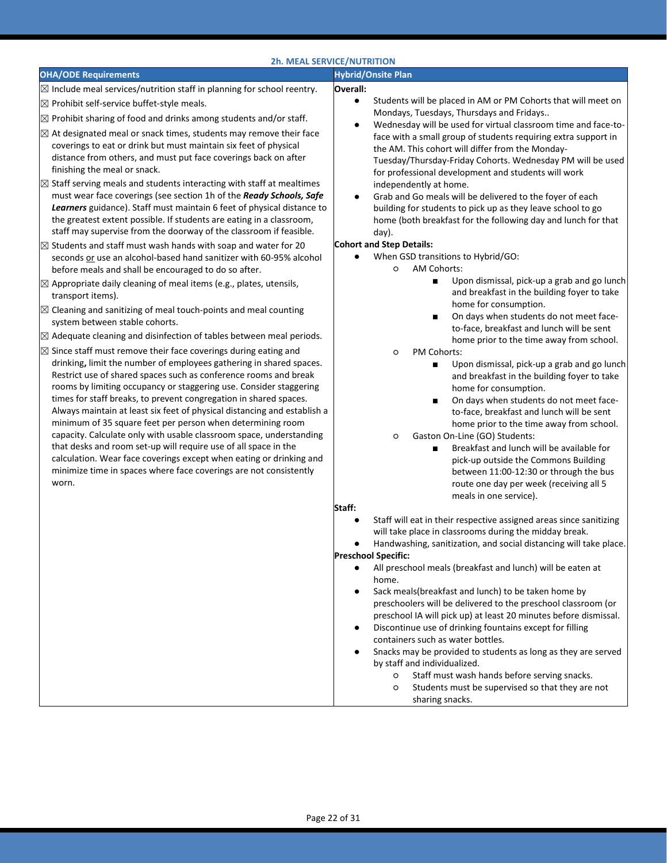|                                                                                                                                                                                                                                                                                                                                                                                                                                                                                                                                                                                                                                                                                                                                                                                                                                                                                                                                                                                                                                                                                                                                                                                                                                                                                                                                                                                                                                                                                                                                                                                                                                                                                                                                                                                                                                                                                                                                                                                                                                                                                                                                                                      | <b>2h. MEAL SERVICE/NUTRITION</b>                                                                                                                                                                                                                                                                                                                                                                                                                                                                                                                                                                                                                                                                                                                                                                                                                                                                                                                                                                                                                                                                                                                                                                                                                                                                                                                                                                                                                                                                                                                               |
|----------------------------------------------------------------------------------------------------------------------------------------------------------------------------------------------------------------------------------------------------------------------------------------------------------------------------------------------------------------------------------------------------------------------------------------------------------------------------------------------------------------------------------------------------------------------------------------------------------------------------------------------------------------------------------------------------------------------------------------------------------------------------------------------------------------------------------------------------------------------------------------------------------------------------------------------------------------------------------------------------------------------------------------------------------------------------------------------------------------------------------------------------------------------------------------------------------------------------------------------------------------------------------------------------------------------------------------------------------------------------------------------------------------------------------------------------------------------------------------------------------------------------------------------------------------------------------------------------------------------------------------------------------------------------------------------------------------------------------------------------------------------------------------------------------------------------------------------------------------------------------------------------------------------------------------------------------------------------------------------------------------------------------------------------------------------------------------------------------------------------------------------------------------------|-----------------------------------------------------------------------------------------------------------------------------------------------------------------------------------------------------------------------------------------------------------------------------------------------------------------------------------------------------------------------------------------------------------------------------------------------------------------------------------------------------------------------------------------------------------------------------------------------------------------------------------------------------------------------------------------------------------------------------------------------------------------------------------------------------------------------------------------------------------------------------------------------------------------------------------------------------------------------------------------------------------------------------------------------------------------------------------------------------------------------------------------------------------------------------------------------------------------------------------------------------------------------------------------------------------------------------------------------------------------------------------------------------------------------------------------------------------------------------------------------------------------------------------------------------------------|
| <b>OHA/ODE Requirements</b>                                                                                                                                                                                                                                                                                                                                                                                                                                                                                                                                                                                                                                                                                                                                                                                                                                                                                                                                                                                                                                                                                                                                                                                                                                                                                                                                                                                                                                                                                                                                                                                                                                                                                                                                                                                                                                                                                                                                                                                                                                                                                                                                          | <b>Hybrid/Onsite Plan</b>                                                                                                                                                                                                                                                                                                                                                                                                                                                                                                                                                                                                                                                                                                                                                                                                                                                                                                                                                                                                                                                                                                                                                                                                                                                                                                                                                                                                                                                                                                                                       |
| $\boxtimes$ Include meal services/nutrition staff in planning for school reentry.<br>$\boxtimes$ Prohibit self-service buffet-style meals.<br>$\boxtimes$ Prohibit sharing of food and drinks among students and/or staff.<br>$\boxtimes$ At designated meal or snack times, students may remove their face<br>coverings to eat or drink but must maintain six feet of physical<br>distance from others, and must put face coverings back on after<br>finishing the meal or snack.<br>Staff serving meals and students interacting with staff at mealtimes<br>must wear face coverings (see section 1h of the Ready Schools, Safe<br>Learners guidance). Staff must maintain 6 feet of physical distance to<br>the greatest extent possible. If students are eating in a classroom,<br>staff may supervise from the doorway of the classroom if feasible.<br>Students and staff must wash hands with soap and water for 20<br>seconds or use an alcohol-based hand sanitizer with 60-95% alcohol<br>before meals and shall be encouraged to do so after.<br>$\boxtimes$ Appropriate daily cleaning of meal items (e.g., plates, utensils,<br>transport items).<br>$\boxtimes$ Cleaning and sanitizing of meal touch-points and meal counting<br>system between stable cohorts.<br>$\boxtimes$ Adequate cleaning and disinfection of tables between meal periods.<br>$\boxtimes$ Since staff must remove their face coverings during eating and<br>drinking, limit the number of employees gathering in shared spaces.<br>Restrict use of shared spaces such as conference rooms and break<br>rooms by limiting occupancy or staggering use. Consider staggering<br>times for staff breaks, to prevent congregation in shared spaces.<br>Always maintain at least six feet of physical distancing and establish a<br>minimum of 35 square feet per person when determining room<br>capacity. Calculate only with usable classroom space, understanding<br>that desks and room set-up will require use of all space in the<br>calculation. Wear face coverings except when eating or drinking and<br>minimize time in spaces where face coverings are not consistently | Overall:<br>Students will be placed in AM or PM Cohorts that will meet on<br>$\bullet$<br>Mondays, Tuesdays, Thursdays and Fridays<br>Wednesday will be used for virtual classroom time and face-to-<br>$\bullet$<br>face with a small group of students requiring extra support in<br>the AM. This cohort will differ from the Monday-<br>Tuesday/Thursday-Friday Cohorts. Wednesday PM will be used<br>for professional development and students will work<br>independently at home.<br>Grab and Go meals will be delivered to the foyer of each<br>building for students to pick up as they leave school to go<br>home (both breakfast for the following day and lunch for that<br>day).<br><b>Cohort and Step Details:</b><br>When GSD transitions to Hybrid/GO:<br>AM Cohorts:<br>$\circ$<br>Upon dismissal, pick-up a grab and go lunch<br>п<br>and breakfast in the building foyer to take<br>home for consumption.<br>On days when students do not meet face-<br>п<br>to-face, breakfast and lunch will be sent<br>home prior to the time away from school.<br>PM Cohorts:<br>$\circ$<br>Upon dismissal, pick-up a grab and go lunch<br>п<br>and breakfast in the building foyer to take<br>home for consumption.<br>On days when students do not meet face-<br>п<br>to-face, breakfast and lunch will be sent<br>home prior to the time away from school.<br>Gaston On-Line (GO) Students:<br>$\circ$<br>Breakfast and lunch will be available for<br>$\blacksquare$<br>pick-up outside the Commons Building<br>between 11:00-12:30 or through the bus |
| worn.                                                                                                                                                                                                                                                                                                                                                                                                                                                                                                                                                                                                                                                                                                                                                                                                                                                                                                                                                                                                                                                                                                                                                                                                                                                                                                                                                                                                                                                                                                                                                                                                                                                                                                                                                                                                                                                                                                                                                                                                                                                                                                                                                                | route one day per week (receiving all 5<br>meals in one service).<br>Staff:<br>Staff will eat in their respective assigned areas since sanitizing<br>$\bullet$<br>will take place in classrooms during the midday break.<br>Handwashing, sanitization, and social distancing will take place.<br><b>Preschool Specific:</b><br>All preschool meals (breakfast and lunch) will be eaten at<br>$\bullet$<br>home.<br>Sack meals(breakfast and lunch) to be taken home by<br>٠<br>preschoolers will be delivered to the preschool classroom (or<br>preschool IA will pick up) at least 20 minutes before dismissal.<br>Discontinue use of drinking fountains except for filling<br>٠<br>containers such as water bottles.<br>Snacks may be provided to students as long as they are served<br>by staff and individualized.<br>Staff must wash hands before serving snacks.<br>$\circ$<br>Students must be supervised so that they are not<br>$\circ$<br>sharing snacks.                                                                                                                                                                                                                                                                                                                                                                                                                                                                                                                                                                                            |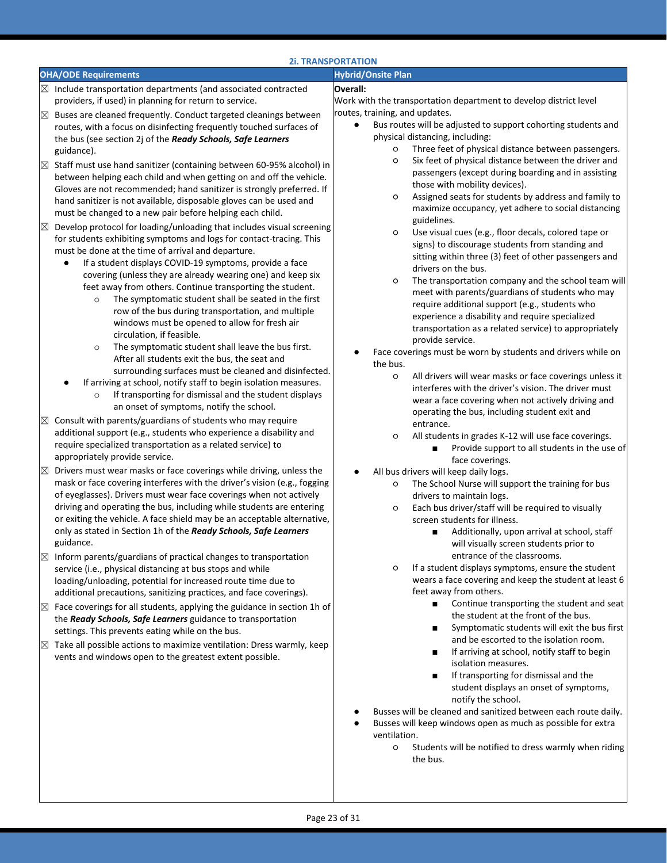|                  |                                                                                                                                                                                                                                                                                                                                                                                                                                                                                                                                                                                                                                                                                                                                                                                                                                                                                                                      | <b>2i. TRANSPORTATION</b>                                                                                                                                                                                                                                                                                                                                                                                                                                                                                                                                                                                                                                                                                                                                                    |
|------------------|----------------------------------------------------------------------------------------------------------------------------------------------------------------------------------------------------------------------------------------------------------------------------------------------------------------------------------------------------------------------------------------------------------------------------------------------------------------------------------------------------------------------------------------------------------------------------------------------------------------------------------------------------------------------------------------------------------------------------------------------------------------------------------------------------------------------------------------------------------------------------------------------------------------------|------------------------------------------------------------------------------------------------------------------------------------------------------------------------------------------------------------------------------------------------------------------------------------------------------------------------------------------------------------------------------------------------------------------------------------------------------------------------------------------------------------------------------------------------------------------------------------------------------------------------------------------------------------------------------------------------------------------------------------------------------------------------------|
|                  | <b>OHA/ODE Requirements</b>                                                                                                                                                                                                                                                                                                                                                                                                                                                                                                                                                                                                                                                                                                                                                                                                                                                                                          | <b>Hybrid/Onsite Plan</b>                                                                                                                                                                                                                                                                                                                                                                                                                                                                                                                                                                                                                                                                                                                                                    |
|                  | $\boxtimes$ Include transportation departments (and associated contracted<br>providers, if used) in planning for return to service.                                                                                                                                                                                                                                                                                                                                                                                                                                                                                                                                                                                                                                                                                                                                                                                  | Overall:<br>Work with the transportation department to develop district level                                                                                                                                                                                                                                                                                                                                                                                                                                                                                                                                                                                                                                                                                                |
| ⊠                | Buses are cleaned frequently. Conduct targeted cleanings between<br>routes, with a focus on disinfecting frequently touched surfaces of<br>the bus (see section 2j of the Ready Schools, Safe Learners<br>guidance).                                                                                                                                                                                                                                                                                                                                                                                                                                                                                                                                                                                                                                                                                                 | routes, training, and updates.<br>Bus routes will be adjusted to support cohorting students and<br>$\bullet$<br>physical distancing, including:<br>Three feet of physical distance between passengers.<br>$\circ$                                                                                                                                                                                                                                                                                                                                                                                                                                                                                                                                                            |
| X                | Staff must use hand sanitizer (containing between 60-95% alcohol) in<br>between helping each child and when getting on and off the vehicle.<br>Gloves are not recommended; hand sanitizer is strongly preferred. If<br>hand sanitizer is not available, disposable gloves can be used and<br>must be changed to a new pair before helping each child.                                                                                                                                                                                                                                                                                                                                                                                                                                                                                                                                                                | Six feet of physical distance between the driver and<br>O<br>passengers (except during boarding and in assisting<br>those with mobility devices).<br>Assigned seats for students by address and family to<br>O<br>maximize occupancy, yet adhere to social distancing                                                                                                                                                                                                                                                                                                                                                                                                                                                                                                        |
| ⊠                | Develop protocol for loading/unloading that includes visual screening<br>for students exhibiting symptoms and logs for contact-tracing. This<br>must be done at the time of arrival and departure.<br>If a student displays COVID-19 symptoms, provide a face<br>covering (unless they are already wearing one) and keep six<br>feet away from others. Continue transporting the student.<br>The symptomatic student shall be seated in the first<br>$\circ$<br>row of the bus during transportation, and multiple<br>windows must be opened to allow for fresh air<br>circulation, if feasible.<br>The symptomatic student shall leave the bus first.<br>$\circ$<br>After all students exit the bus, the seat and<br>surrounding surfaces must be cleaned and disinfected.<br>If arriving at school, notify staff to begin isolation measures.<br>If transporting for dismissal and the student displays<br>$\circ$ | guidelines.<br>Use visual cues (e.g., floor decals, colored tape or<br>O<br>signs) to discourage students from standing and<br>sitting within three (3) feet of other passengers and<br>drivers on the bus.<br>The transportation company and the school team will<br>$\circ$<br>meet with parents/guardians of students who may<br>require additional support (e.g., students who<br>experience a disability and require specialized<br>transportation as a related service) to appropriately<br>provide service.<br>Face coverings must be worn by students and drivers while on<br>the bus.<br>All drivers will wear masks or face coverings unless it<br>O<br>interferes with the driver's vision. The driver must<br>wear a face covering when not actively driving and |
| $\boxtimes$      | an onset of symptoms, notify the school.<br>Consult with parents/guardians of students who may require<br>additional support (e.g., students who experience a disability and<br>require specialized transportation as a related service) to<br>appropriately provide service.                                                                                                                                                                                                                                                                                                                                                                                                                                                                                                                                                                                                                                        | operating the bus, including student exit and<br>entrance.<br>All students in grades K-12 will use face coverings.<br>O<br>Provide support to all students in the use of<br>п                                                                                                                                                                                                                                                                                                                                                                                                                                                                                                                                                                                                |
| X<br>$\boxtimes$ | Drivers must wear masks or face coverings while driving, unless the<br>mask or face covering interferes with the driver's vision (e.g., fogging<br>of eyeglasses). Drivers must wear face coverings when not actively<br>driving and operating the bus, including while students are entering<br>or exiting the vehicle. A face shield may be an acceptable alternative,<br>only as stated in Section 1h of the Ready Schools, Safe Learners<br>guidance.<br>Inform parents/guardians of practical changes to transportation<br>service (i.e., physical distancing at bus stops and while                                                                                                                                                                                                                                                                                                                            | face coverings.<br>All bus drivers will keep daily logs.<br>٠<br>The School Nurse will support the training for bus<br>$\circ$<br>drivers to maintain logs.<br>Each bus driver/staff will be required to visually<br>O<br>screen students for illness.<br>Additionally, upon arrival at school, staff<br>$\blacksquare$<br>will visually screen students prior to<br>entrance of the classrooms.<br>If a student displays symptoms, ensure the student<br>$\circ$                                                                                                                                                                                                                                                                                                            |
| $\boxtimes$      | loading/unloading, potential for increased route time due to<br>additional precautions, sanitizing practices, and face coverings).<br>Face coverings for all students, applying the guidance in section 1h of<br>the Ready Schools, Safe Learners guidance to transportation                                                                                                                                                                                                                                                                                                                                                                                                                                                                                                                                                                                                                                         | wears a face covering and keep the student at least 6<br>feet away from others.<br>Continue transporting the student and seat<br>the student at the front of the bus.<br>Symptomatic students will exit the bus first<br>п                                                                                                                                                                                                                                                                                                                                                                                                                                                                                                                                                   |
| ⊠                | settings. This prevents eating while on the bus.<br>Take all possible actions to maximize ventilation: Dress warmly, keep<br>vents and windows open to the greatest extent possible.                                                                                                                                                                                                                                                                                                                                                                                                                                                                                                                                                                                                                                                                                                                                 | and be escorted to the isolation room.<br>If arriving at school, notify staff to begin<br>п<br>isolation measures.<br>If transporting for dismissal and the<br>п<br>student displays an onset of symptoms,<br>notify the school.<br>Busses will be cleaned and sanitized between each route daily.<br>Busses will keep windows open as much as possible for extra<br>ventilation.<br>Students will be notified to dress warmly when riding<br>O<br>the bus.                                                                                                                                                                                                                                                                                                                  |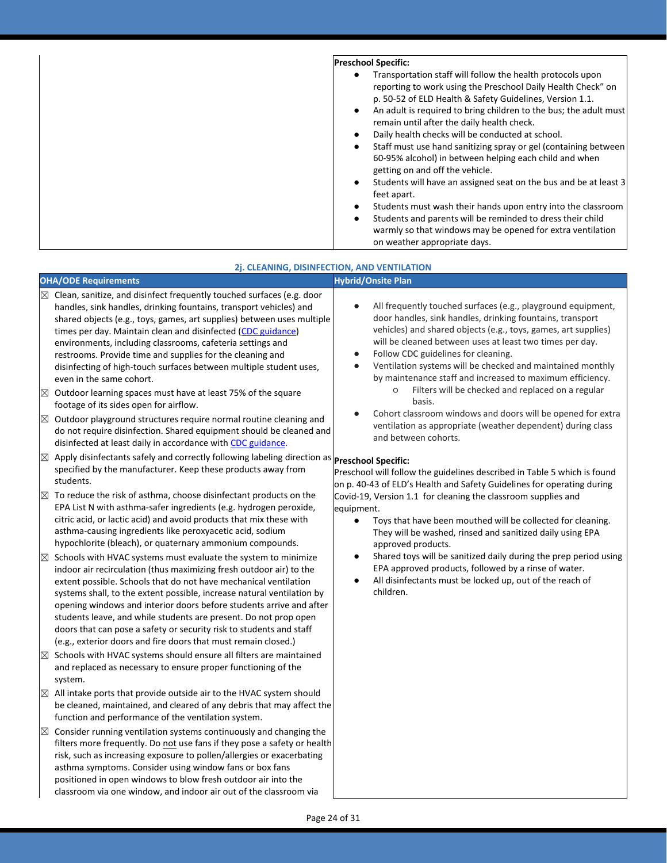| <b>Preschool Specific:</b>                                                                                                                                                                                                                                                                                                                                                                                                                                                                                                                                                                                                                                                                           |
|------------------------------------------------------------------------------------------------------------------------------------------------------------------------------------------------------------------------------------------------------------------------------------------------------------------------------------------------------------------------------------------------------------------------------------------------------------------------------------------------------------------------------------------------------------------------------------------------------------------------------------------------------------------------------------------------------|
| Transportation staff will follow the health protocols upon<br>٠<br>reporting to work using the Preschool Daily Health Check" on<br>p. 50-52 of ELD Health & Safety Guidelines, Version 1.1.<br>An adult is required to bring children to the bus; the adult must<br>٠<br>remain until after the daily health check.<br>Daily health checks will be conducted at school.<br>Staff must use hand sanitizing spray or gel (containing between<br>٠<br>60-95% alcohol) in between helping each child and when<br>getting on and off the vehicle.<br>Students will have an assigned seat on the bus and be at least 3<br>٠<br>feet apart.<br>Students must wash their hands upon entry into the classroom |
| Students and parents will be reminded to dress their child<br>٠                                                                                                                                                                                                                                                                                                                                                                                                                                                                                                                                                                                                                                      |
| warmly so that windows may be opened for extra ventilation<br>on weather appropriate days.                                                                                                                                                                                                                                                                                                                                                                                                                                                                                                                                                                                                           |

| 2j. CLEANING, DISINFECTION, AND VENTILATION |
|---------------------------------------------|
|---------------------------------------------|

|             |                                                                                                                                                                                                                                                                                                                                                                                                                                                                                                                                                                         | ZJ. CLEANING, DISINFECTION, AND VENTILATION                                                                                                                                                                                                                                                                                                                                                                                                         |  |
|-------------|-------------------------------------------------------------------------------------------------------------------------------------------------------------------------------------------------------------------------------------------------------------------------------------------------------------------------------------------------------------------------------------------------------------------------------------------------------------------------------------------------------------------------------------------------------------------------|-----------------------------------------------------------------------------------------------------------------------------------------------------------------------------------------------------------------------------------------------------------------------------------------------------------------------------------------------------------------------------------------------------------------------------------------------------|--|
|             | <b>OHA/ODE Requirements</b>                                                                                                                                                                                                                                                                                                                                                                                                                                                                                                                                             | <b>Hybrid/Onsite Plan</b>                                                                                                                                                                                                                                                                                                                                                                                                                           |  |
|             | $\boxtimes$ Clean, sanitize, and disinfect frequently touched surfaces (e.g. door<br>handles, sink handles, drinking fountains, transport vehicles) and<br>shared objects (e.g., toys, games, art supplies) between uses multiple<br>times per day. Maintain clean and disinfected (CDC guidance)<br>environments, including classrooms, cafeteria settings and<br>restrooms. Provide time and supplies for the cleaning and<br>disinfecting of high-touch surfaces between multiple student uses,<br>even in the same cohort.                                          | All frequently touched surfaces (e.g., playground equipment,<br>$\bullet$<br>door handles, sink handles, drinking fountains, transport<br>vehicles) and shared objects (e.g., toys, games, art supplies)<br>will be cleaned between uses at least two times per day.<br>Follow CDC guidelines for cleaning.<br>$\bullet$<br>Ventilation systems will be checked and maintained monthly<br>by maintenance staff and increased to maximum efficiency. |  |
| $\boxtimes$ | Outdoor learning spaces must have at least 75% of the square<br>footage of its sides open for airflow.                                                                                                                                                                                                                                                                                                                                                                                                                                                                  | $\circ$<br>Filters will be checked and replaced on a regular<br>basis.                                                                                                                                                                                                                                                                                                                                                                              |  |
| $\boxtimes$ | Outdoor playground structures require normal routine cleaning and<br>do not require disinfection. Shared equipment should be cleaned and<br>disinfected at least daily in accordance with CDC guidance.                                                                                                                                                                                                                                                                                                                                                                 | Cohort classroom windows and doors will be opened for extra<br>ventilation as appropriate (weather dependent) during class<br>and between cohorts.                                                                                                                                                                                                                                                                                                  |  |
| $\boxtimes$ | Apply disinfectants safely and correctly following labeling direction as <b>Preschool Specific:</b><br>specified by the manufacturer. Keep these products away from<br>students.                                                                                                                                                                                                                                                                                                                                                                                        | Preschool will follow the guidelines described in Table 5 which is found<br>on p. 40-43 of ELD's Health and Safety Guidelines for operating during                                                                                                                                                                                                                                                                                                  |  |
| $\boxtimes$ | To reduce the risk of asthma, choose disinfectant products on the<br>EPA List N with asthma-safer ingredients (e.g. hydrogen peroxide,<br>citric acid, or lactic acid) and avoid products that mix these with<br>asthma-causing ingredients like peroxyacetic acid, sodium<br>hypochlorite (bleach), or quaternary ammonium compounds.                                                                                                                                                                                                                                  | Covid-19, Version 1.1 for cleaning the classroom supplies and<br>equipment.<br>Toys that have been mouthed will be collected for cleaning.<br>$\bullet$<br>They will be washed, rinsed and sanitized daily using EPA<br>approved products.                                                                                                                                                                                                          |  |
| $\boxtimes$ | Schools with HVAC systems must evaluate the system to minimize<br>indoor air recirculation (thus maximizing fresh outdoor air) to the<br>extent possible. Schools that do not have mechanical ventilation<br>systems shall, to the extent possible, increase natural ventilation by<br>opening windows and interior doors before students arrive and after<br>students leave, and while students are present. Do not prop open<br>doors that can pose a safety or security risk to students and staff<br>(e.g., exterior doors and fire doors that must remain closed.) | Shared toys will be sanitized daily during the prep period using<br>٠<br>EPA approved products, followed by a rinse of water.<br>All disinfectants must be locked up, out of the reach of<br>children.                                                                                                                                                                                                                                              |  |
| $\boxtimes$ | Schools with HVAC systems should ensure all filters are maintained<br>and replaced as necessary to ensure proper functioning of the<br>system.                                                                                                                                                                                                                                                                                                                                                                                                                          |                                                                                                                                                                                                                                                                                                                                                                                                                                                     |  |
| $\boxtimes$ | All intake ports that provide outside air to the HVAC system should<br>be cleaned, maintained, and cleared of any debris that may affect the<br>function and performance of the ventilation system.                                                                                                                                                                                                                                                                                                                                                                     |                                                                                                                                                                                                                                                                                                                                                                                                                                                     |  |
| $\boxtimes$ | Consider running ventilation systems continuously and changing the<br>filters more frequently. Do not use fans if they pose a safety or health<br>risk, such as increasing exposure to pollen/allergies or exacerbating<br>asthma symptoms. Consider using window fans or box fans<br>positioned in open windows to blow fresh outdoor air into the<br>classroom via one window, and indoor air out of the classroom via                                                                                                                                                |                                                                                                                                                                                                                                                                                                                                                                                                                                                     |  |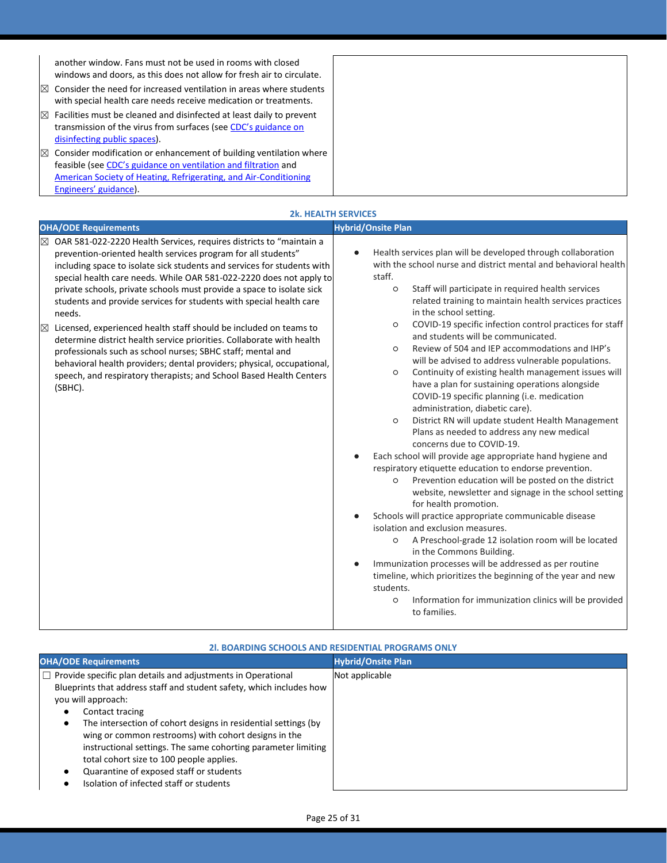|    | another window. Fans must not be used in rooms with closed<br>windows and doors, as this does not allow for fresh air to circulate.<br>$\boxtimes$ Consider the need for increased ventilation in areas where students<br>with special health care needs receive medication or treatments. |
|----|--------------------------------------------------------------------------------------------------------------------------------------------------------------------------------------------------------------------------------------------------------------------------------------------|
| IX | Facilities must be cleaned and disinfected at least daily to prevent                                                                                                                                                                                                                       |
|    | transmission of the virus from surfaces (see CDC's guidance on                                                                                                                                                                                                                             |
|    | disinfecting public spaces).                                                                                                                                                                                                                                                               |
|    | $\boxtimes$ Consider modification or enhancement of building ventilation where                                                                                                                                                                                                             |
|    | feasible (see CDC's guidance on ventilation and filtration and                                                                                                                                                                                                                             |
|    | American Society of Heating, Refrigerating, and Air-Conditioning                                                                                                                                                                                                                           |
|    | Engineers' guidance).                                                                                                                                                                                                                                                                      |

|                                                                                                                                                                                                                                                                                                                                                                                                                                                                                                                                                                                                                                                                                                                                                                                                                                                         | <b>2k. HEALTH SERVICES</b>                                                                                                                                                                                                                                                                                                                                                                                                                                                                                                                                                                                                                                                                                                                                                                                                                                                                                                                                                                                                                                                                                                                                                                                                                                                                                                                                                                                                                                                                                                                                                            |
|---------------------------------------------------------------------------------------------------------------------------------------------------------------------------------------------------------------------------------------------------------------------------------------------------------------------------------------------------------------------------------------------------------------------------------------------------------------------------------------------------------------------------------------------------------------------------------------------------------------------------------------------------------------------------------------------------------------------------------------------------------------------------------------------------------------------------------------------------------|---------------------------------------------------------------------------------------------------------------------------------------------------------------------------------------------------------------------------------------------------------------------------------------------------------------------------------------------------------------------------------------------------------------------------------------------------------------------------------------------------------------------------------------------------------------------------------------------------------------------------------------------------------------------------------------------------------------------------------------------------------------------------------------------------------------------------------------------------------------------------------------------------------------------------------------------------------------------------------------------------------------------------------------------------------------------------------------------------------------------------------------------------------------------------------------------------------------------------------------------------------------------------------------------------------------------------------------------------------------------------------------------------------------------------------------------------------------------------------------------------------------------------------------------------------------------------------------|
| <b>OHA/ODE Requirements</b>                                                                                                                                                                                                                                                                                                                                                                                                                                                                                                                                                                                                                                                                                                                                                                                                                             | <b>Hybrid/Onsite Plan</b>                                                                                                                                                                                                                                                                                                                                                                                                                                                                                                                                                                                                                                                                                                                                                                                                                                                                                                                                                                                                                                                                                                                                                                                                                                                                                                                                                                                                                                                                                                                                                             |
| OAR 581-022-2220 Health Services, requires districts to "maintain a<br>$\boxtimes$<br>prevention-oriented health services program for all students"<br>including space to isolate sick students and services for students with<br>special health care needs. While OAR 581-022-2220 does not apply to<br>private schools, private schools must provide a space to isolate sick<br>students and provide services for students with special health care<br>needs.<br>Licensed, experienced health staff should be included on teams to<br>$\boxtimes$<br>determine district health service priorities. Collaborate with health<br>professionals such as school nurses; SBHC staff; mental and<br>behavioral health providers; dental providers; physical, occupational,<br>speech, and respiratory therapists; and School Based Health Centers<br>(SBHC). | Health services plan will be developed through collaboration<br>with the school nurse and district mental and behavioral health<br>staff.<br>Staff will participate in required health services<br>$\circ$<br>related training to maintain health services practices<br>in the school setting.<br>COVID-19 specific infection control practices for staff<br>$\circ$<br>and students will be communicated.<br>Review of 504 and IEP accommodations and IHP's<br>$\circ$<br>will be advised to address vulnerable populations.<br>Continuity of existing health management issues will<br>$\circ$<br>have a plan for sustaining operations alongside<br>COVID-19 specific planning (i.e. medication<br>administration, diabetic care).<br>District RN will update student Health Management<br>$\circ$<br>Plans as needed to address any new medical<br>concerns due to COVID-19.<br>Each school will provide age appropriate hand hygiene and<br>respiratory etiquette education to endorse prevention.<br>Prevention education will be posted on the district<br>$\circ$<br>website, newsletter and signage in the school setting<br>for health promotion.<br>Schools will practice appropriate communicable disease<br>isolation and exclusion measures.<br>A Preschool-grade 12 isolation room will be located<br>$\circ$<br>in the Commons Building.<br>Immunization processes will be addressed as per routine<br>timeline, which prioritizes the beginning of the year and new<br>students.<br>Information for immunization clinics will be provided<br>$\circ$<br>to families. |

| <b>21. BOARDING SCHOOLS AND RESIDENTIAL PROGRAMS ONLY</b>                                                                                                                                                                                                                                                                                                                                                                                                                                                         |                           |  |
|-------------------------------------------------------------------------------------------------------------------------------------------------------------------------------------------------------------------------------------------------------------------------------------------------------------------------------------------------------------------------------------------------------------------------------------------------------------------------------------------------------------------|---------------------------|--|
| <b>OHA/ODE Requirements</b>                                                                                                                                                                                                                                                                                                                                                                                                                                                                                       | <b>Hybrid/Onsite Plan</b> |  |
| $\Box$ Provide specific plan details and adjustments in Operational<br>Blueprints that address staff and student safety, which includes how<br>you will approach:<br>Contact tracing<br>The intersection of cohort designs in residential settings (by<br>wing or common restrooms) with cohort designs in the<br>instructional settings. The same cohorting parameter limiting<br>total cohort size to 100 people applies.<br>Quarantine of exposed staff or students<br>Isolation of infected staff or students | Not applicable            |  |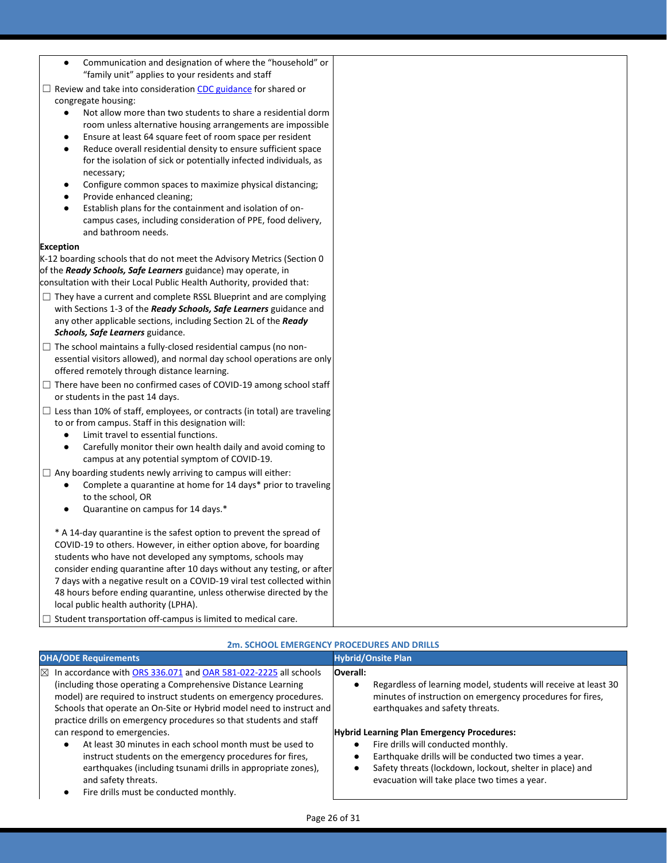Communication and designation of where the "household" or "family unit" applies to your residents and staff

□ Review and take into consideration [CDC guidance](https://www.cdc.gov/coronavirus/2019-ncov/communication/toolkits/shared-congregate-housing.html) for shared or congregate housing:

- Not allow more than two students to share a residential dorm room unless alternative housing arrangements are impossible
- Ensure at least 64 square feet of room space per resident
- Reduce overall residential density to ensure sufficient space for the isolation of sick or potentially infected individuals, as necessary;
- Configure common spaces to maximize physical distancing;
- Provide enhanced cleaning;
- Establish plans for the containment and isolation of oncampus cases, including consideration of PPE, food delivery, and bathroom needs.

#### **Exception**

K-12 boarding schools that do not meet the Advisory Metrics (Section 0 of the *Ready Schools, Safe Learners* guidance) may operate, in consultation with their Local Public Health Authority, provided that:

- $\Box$  They have a current and complete RSSL Blueprint and are complying with Sections 1-3 of the *Ready Schools, Safe Learners* guidance and any other applicable sections, including Section 2L of the *Ready Schools, Safe Learners* guidance.
- □ The school maintains a fully-closed residential campus (no nonessential visitors allowed), and normal day school operations are only offered remotely through distance learning.
- $\Box$  There have been no confirmed cases of COVID-19 among school staff or students in the past 14 days.
- $\Box$  Less than 10% of staff, employees, or contracts (in total) are traveling to or from campus. Staff in this designation will:
	- Limit travel to essential functions.
	- Carefully monitor their own health daily and avoid coming to campus at any potential symptom of COVID-19.
- $\Box$  Any boarding students newly arriving to campus will either:
	- Complete a quarantine at home for 14 days\* prior to traveling to the school, OR
	- Quarantine on campus for 14 days.\*

\* A 14-day quarantine is the safest option to prevent the spread of COVID-19 to others. However, in either option above, for boarding students who have not developed any symptoms, schools may consider ending quarantine after 10 days without any testing, or after 7 days with a negative result on a COVID-19 viral test collected within 48 hours before ending quarantine, unless otherwise directed by the local public health authority (LPHA).

□ Student transportation off-campus is limited to medical care.

|                                                                                                                                                                                                                                                                                                                                                                 | 2m. SCHOOL EMERGENCY PROCEDURES AND DRILLS                                                                                                                                  |
|-----------------------------------------------------------------------------------------------------------------------------------------------------------------------------------------------------------------------------------------------------------------------------------------------------------------------------------------------------------------|-----------------------------------------------------------------------------------------------------------------------------------------------------------------------------|
| <b>OHA/ODE Requirements</b>                                                                                                                                                                                                                                                                                                                                     | <b>Hybrid/Onsite Plan</b>                                                                                                                                                   |
| $\boxtimes$ In accordance with ORS 336.071 and OAR 581-022-2225 all schools<br>(including those operating a Comprehensive Distance Learning)<br>model) are required to instruct students on emergency procedures.<br>Schools that operate an On-Site or Hybrid model need to instruct and<br>practice drills on emergency procedures so that students and staff | Overall:<br>Regardless of learning model, students will receive at least 30<br>minutes of instruction on emergency procedures for fires,<br>earthquakes and safety threats. |
| can respond to emergencies.                                                                                                                                                                                                                                                                                                                                     | <b>Hybrid Learning Plan Emergency Procedures:</b>                                                                                                                           |
| At least 30 minutes in each school month must be used to<br>$\bullet$                                                                                                                                                                                                                                                                                           | Fire drills will conducted monthly.                                                                                                                                         |
| instruct students on the emergency procedures for fires,<br>earthquakes (including tsunami drills in appropriate zones),<br>and safety threats.                                                                                                                                                                                                                 | Earthquake drills will be conducted two times a year.<br>Safety threats (lockdown, lockout, shelter in place) and<br>evacuation will take place two times a year.           |
| Fire drills must be conducted monthly.                                                                                                                                                                                                                                                                                                                          |                                                                                                                                                                             |

## **2m. SCHOOL EMERGENCY PROCEDURES AND DRILLS**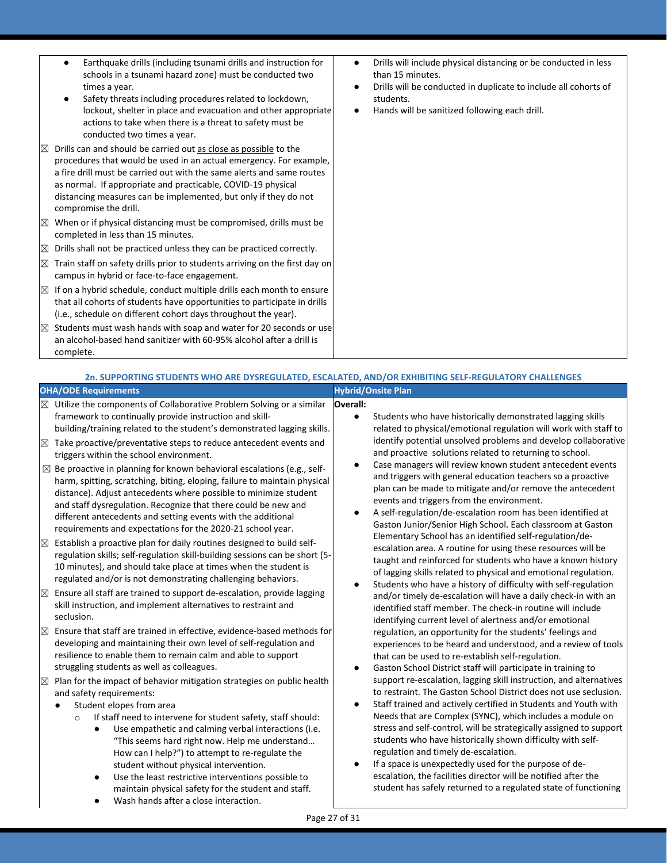- Earthquake drills (including tsunami drills and instruction for schools in a tsunami hazard zone) must be conducted two times a year.
- Safety threats including procedures related to lockdown, lockout, shelter in place and evacuation and other appropriate actions to take when there is a threat to safety must be conducted two times a year.
- $\boxtimes$  Drills can and should be carried out as close as possible to the procedures that would be used in an actual emergency. For example, a fire drill must be carried out with the same alerts and same routes as normal. If appropriate and practicable, COVID-19 physical distancing measures can be implemented, but only if they do not compromise the drill.
- $\boxtimes$  When or if physical distancing must be compromised, drills must be completed in less than 15 minutes.
- $\boxtimes$  Drills shall not be practiced unless they can be practiced correctly.
- $\boxtimes$  Train staff on safety drills prior to students arriving on the first day on campus in hybrid or face-to-face engagement.
- $\boxtimes$  If on a hybrid schedule, conduct multiple drills each month to ensure that all cohorts of students have opportunities to participate in drills (i.e., schedule on different cohort days throughout the year).
- $\boxtimes$  Students must wash hands with soap and water for 20 seconds or use an alcohol-based hand sanitizer with 60-95% alcohol after a drill is complete.
- Drills will include physical distancing or be conducted in less than 15 minutes.
- Drills will be conducted in duplicate to include all cohorts of students.
- Hands will be sanitized following each drill.

#### **2n. SUPPORTING STUDENTS WHO ARE DYSREGULATED, ESCALATED, AND/OR EXHIBITING SELF-REGULATORY CHALLENGES OHA/ODE Requirements Hybrid/Onsite Plan Overall:**

 $\boxtimes$  Utilize the components of Collaborative Problem Solving or a similar framework to continually provide instruction and skillbuilding/training related to the student's demonstrated lagging skills. Students who have historically demonstrated lagging skills related to physical/emotional regulation will work with staff to identify potential unsolved problems and develop collaborative and proactive solutions related to returning to school. Case managers will review known student antecedent events and triggers with general education teachers so a proactive plan can be made to mitigate and/or remove the antecedent events and triggers from the environment. A self-regulation/de-escalation room has been identified at Gaston Junior/Senior High School. Each classroom at Gaston Elementary School has an identified self-regulation/deescalation area. A routine for using these resources will be taught and reinforced for students who have a known history of lagging skills related to physical and emotional regulation. Students who have a history of difficulty with self-regulation and/or timely de-escalation will have a daily check-in with an identified staff member. The check-in routine will include identifying current level of alertness and/or emotional regulation, an opportunity for the students' feelings and experiences to be heard and understood, and a review of tools that can be used to re-establish self-regulation. Gaston School District staff will participate in training to support re-escalation, lagging skill instruction, and alternatives to restraint. The Gaston School District does not use seclusion. Staff trained and actively certified in Students and Youth with Needs that are Complex (SYNC), which includes a module on stress and self-control, will be strategically assigned to support students who have historically shown difficulty with selfregulation and timely de-escalation. If a space is unexpectedly used for the purpose of deescalation, the facilities director will be notified after the student has safely returned to a regulated state of functioning  $\boxtimes$  Take proactive/preventative steps to reduce antecedent events and triggers within the school environment.  $\boxtimes$  Be proactive in planning for known behavioral escalations (e.g., selfharm, spitting, scratching, biting, eloping, failure to maintain physical distance). Adjust antecedents where possible to minimize student and staff dysregulation. Recognize that there could be new and different antecedents and setting events with the additional requirements and expectations for the 2020-21 school year.  $\boxtimes$  Establish a proactive plan for daily routines designed to build selfregulation skills; self-regulation skill-building sessions can be short (5- 10 minutes), and should take place at times when the student is regulated and/or is not demonstrating challenging behaviors.  $\boxtimes$  Ensure all staff are trained to support de-escalation, provide lagging skill instruction, and implement alternatives to restraint and seclusion.  $\boxtimes$  Ensure that staff are trained in effective, evidence-based methods for developing and maintaining their own level of self-regulation and resilience to enable them to remain calm and able to support struggling students as well as colleagues.  $\boxtimes$  Plan for the impact of behavior mitigation strategies on public health and safety requirements: Student elopes from area o If staff need to intervene for student safety, staff should: Use empathetic and calming verbal interactions (i.e. "This seems hard right now. Help me understand… How can I help?") to attempt to re-regulate the student without physical intervention. Use the least restrictive interventions possible to maintain physical safety for the student and staff. Wash hands after a close interaction.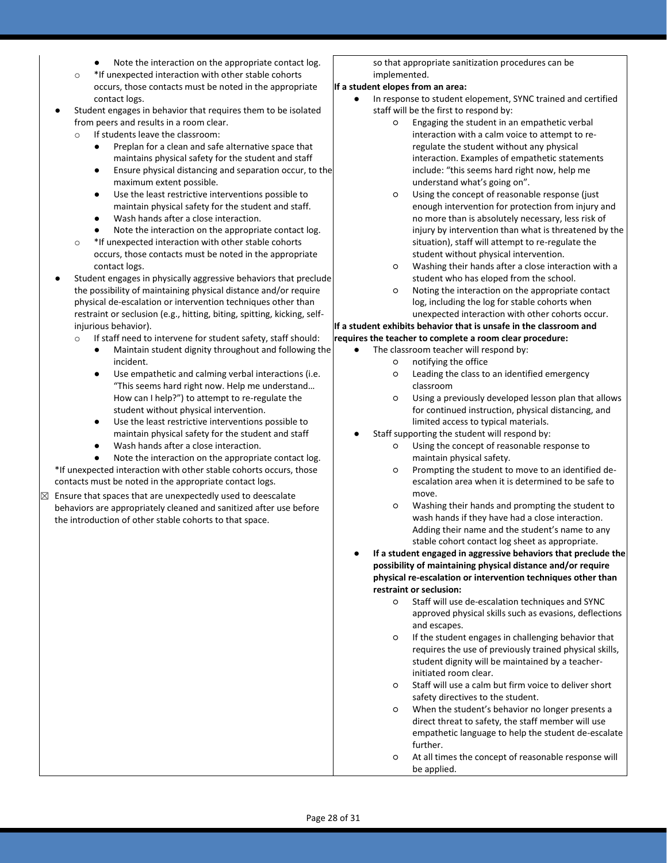- Note the interaction on the appropriate contact log.
- o \*If unexpected interaction with other stable cohorts occurs, those contacts must be noted in the appropriate contact logs.
- Student engages in behavior that requires them to be isolated from peers and results in a room clear.
	- If students leave the classroom:
		- Preplan for a clean and safe alternative space that maintains physical safety for the student and staff
		- Ensure physical distancing and separation occur, to the maximum extent possible.
		- Use the least restrictive interventions possible to maintain physical safety for the student and staff.
		- Wash hands after a close interaction.
		- Note the interaction on the appropriate contact log.
	- o \*If unexpected interaction with other stable cohorts occurs, those contacts must be noted in the appropriate contact logs.
- Student engages in physically aggressive behaviors that preclude the possibility of maintaining physical distance and/or require physical de-escalation or intervention techniques other than restraint or seclusion (e.g., hitting, biting, spitting, kicking, selfinjurious behavior).
	- o If staff need to intervene for student safety, staff should:
		- Maintain student dignity throughout and following the incident.
		- Use empathetic and calming verbal interactions (i.e. "This seems hard right now. Help me understand… How can I help?") to attempt to re-regulate the student without physical intervention.
		- Use the least restrictive interventions possible to maintain physical safety for the student and staff
		- Wash hands after a close interaction.
- Note the interaction on the appropriate contact log. \*If unexpected interaction with other stable cohorts occurs, those contacts must be noted in the appropriate contact logs.
- $\boxtimes$  Ensure that spaces that are unexpectedly used to deescalate behaviors are appropriately cleaned and sanitized after use before the introduction of other stable cohorts to that space.

so that appropriate sanitization procedures can be implemented.

#### **If a student elopes from an area:**

- In response to student elopement, SYNC trained and certified staff will be the first to respond by:
	- Engaging the student in an empathetic verbal interaction with a calm voice to attempt to reregulate the student without any physical interaction. Examples of empathetic statements include: "this seems hard right now, help me understand what's going on".
	- Using the concept of reasonable response (just enough intervention for protection from injury and no more than is absolutely necessary, less risk of injury by intervention than what is threatened by the situation), staff will attempt to re-regulate the student without physical intervention.
	- Washing their hands after a close interaction with a student who has eloped from the school.
	- Noting the interaction on the appropriate contact log, including the log for stable cohorts when unexpected interaction with other cohorts occur.

#### **If a student exhibits behavior that is unsafe in the classroom and**

#### **requires the teacher to complete a room clear procedure:**

- The classroom teacher will respond by:
	- notifying the office
	- Leading the class to an identified emergency classroom
	- Using a previously developed lesson plan that allows for continued instruction, physical distancing, and limited access to typical materials.
- Staff supporting the student will respond by:
	- Using the concept of reasonable response to maintain physical safety.
	- Prompting the student to move to an identified deescalation area when it is determined to be safe to move.
	- Washing their hands and prompting the student to wash hands if they have had a close interaction. Adding their name and the student's name to any stable cohort contact log sheet as appropriate.
- If a student engaged in aggressive behaviors that preclude the **possibility of maintaining physical distance and/or require physical re-escalation or intervention techniques other than restraint or seclusion:**
	- Staff will use de-escalation techniques and SYNC approved physical skills such as evasions, deflections and escapes.
	- If the student engages in challenging behavior that requires the use of previously trained physical skills, student dignity will be maintained by a teacherinitiated room clear.
	- Staff will use a calm but firm voice to deliver short safety directives to the student.
	- When the student's behavior no longer presents a direct threat to safety, the staff member will use empathetic language to help the student de-escalate further.
	- At all times the concept of reasonable response will be applied.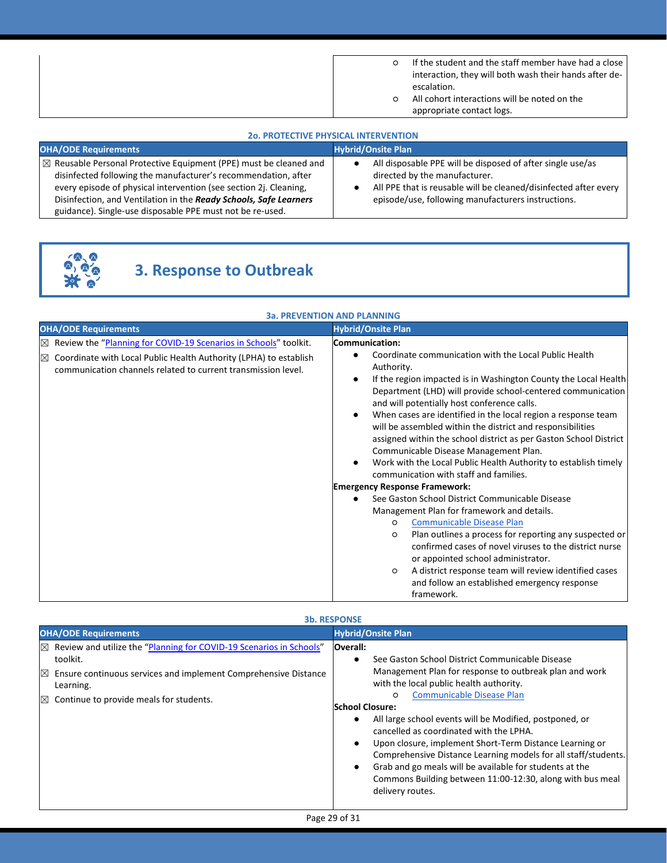| If the student and the staff member have had a close   |
|--------------------------------------------------------|
| interaction, they will both wash their hands after de- |
| escalation.                                            |
| All cohort interactions will be noted on the           |
| appropriate contact logs.                              |

#### **2o. PROTECTIVE PHYSICAL INTERVENTION**

| <b>OHA/ODE Requirements</b>                                                                                                                                                                                                                                                                                                                           | <b>Hybrid/Onsite Plan</b>                                                                                                                                                                                             |
|-------------------------------------------------------------------------------------------------------------------------------------------------------------------------------------------------------------------------------------------------------------------------------------------------------------------------------------------------------|-----------------------------------------------------------------------------------------------------------------------------------------------------------------------------------------------------------------------|
| $\boxtimes$ Reusable Personal Protective Equipment (PPE) must be cleaned and<br>disinfected following the manufacturer's recommendation, after<br>every episode of physical intervention (see section 2j. Cleaning,<br>Disinfection, and Ventilation in the Ready Schools, Safe Learners<br>guidance). Single-use disposable PPE must not be re-used. | All disposable PPE will be disposed of after single use/as<br>directed by the manufacturer.<br>All PPE that is reusable will be cleaned/disinfected after every<br>episode/use, following manufacturers instructions. |



# **3. Response to Outbreak**

#### **3a. PREVENTION AND PLANNING**

| <b>OHA/ODE Requirements</b>                                                                                                                    | <b>Hybrid/Onsite Plan</b>                                                                                                                                                                                                                                                                                                                                                                                                                                                                                                                                                                                                                                                                                                                                                                              |
|------------------------------------------------------------------------------------------------------------------------------------------------|--------------------------------------------------------------------------------------------------------------------------------------------------------------------------------------------------------------------------------------------------------------------------------------------------------------------------------------------------------------------------------------------------------------------------------------------------------------------------------------------------------------------------------------------------------------------------------------------------------------------------------------------------------------------------------------------------------------------------------------------------------------------------------------------------------|
| Review the "Planning for COVID-19 Scenarios in Schools" toolkit.<br>$\boxtimes$                                                                | Communication:                                                                                                                                                                                                                                                                                                                                                                                                                                                                                                                                                                                                                                                                                                                                                                                         |
| Coordinate with Local Public Health Authority (LPHA) to establish<br>$\times$<br>communication channels related to current transmission level. | Coordinate communication with the Local Public Health<br>Authority.<br>If the region impacted is in Washington County the Local Health<br>Department (LHD) will provide school-centered communication<br>and will potentially host conference calls.<br>When cases are identified in the local region a response team<br>will be assembled within the district and responsibilities<br>assigned within the school district as per Gaston School District<br>Communicable Disease Management Plan.<br>Work with the Local Public Health Authority to establish timely<br>communication with staff and families.<br><b>Emergency Response Framework:</b><br>See Gaston School District Communicable Disease<br>Management Plan for framework and details.<br><b>Communicable Disease Plan</b><br>$\circ$ |
|                                                                                                                                                | Plan outlines a process for reporting any suspected or<br>$\circ$                                                                                                                                                                                                                                                                                                                                                                                                                                                                                                                                                                                                                                                                                                                                      |
|                                                                                                                                                | confirmed cases of novel viruses to the district nurse                                                                                                                                                                                                                                                                                                                                                                                                                                                                                                                                                                                                                                                                                                                                                 |
|                                                                                                                                                | or appointed school administrator.<br>A district response team will review identified cases<br>$\circ$                                                                                                                                                                                                                                                                                                                                                                                                                                                                                                                                                                                                                                                                                                 |
|                                                                                                                                                | and follow an established emergency response                                                                                                                                                                                                                                                                                                                                                                                                                                                                                                                                                                                                                                                                                                                                                           |
|                                                                                                                                                | framework.                                                                                                                                                                                                                                                                                                                                                                                                                                                                                                                                                                                                                                                                                                                                                                                             |

|                                                                                                                                                                                                                                                     | <b>3b. RESPONSE</b>                                                                                                                                                                                                                                                                                                                                                                                                                                                                                                                                                                                                                                                     |
|-----------------------------------------------------------------------------------------------------------------------------------------------------------------------------------------------------------------------------------------------------|-------------------------------------------------------------------------------------------------------------------------------------------------------------------------------------------------------------------------------------------------------------------------------------------------------------------------------------------------------------------------------------------------------------------------------------------------------------------------------------------------------------------------------------------------------------------------------------------------------------------------------------------------------------------------|
| <b>OHA/ODE Requirements</b>                                                                                                                                                                                                                         | <b>Hybrid/Onsite Plan</b>                                                                                                                                                                                                                                                                                                                                                                                                                                                                                                                                                                                                                                               |
| Review and utilize the "Planning for COVID-19 Scenarios in Schools"<br>$\times$<br>toolkit.<br>Ensure continuous services and implement Comprehensive Distance<br>$\mathbb{X}$<br>Learning.<br>Continue to provide meals for students.<br>$\bowtie$ | lOverall:<br>See Gaston School District Communicable Disease<br>$\bullet$<br>Management Plan for response to outbreak plan and work<br>with the local public health authority.<br><b>Communicable Disease Plan</b><br>O<br><b>School Closure:</b><br>All large school events will be Modified, postponed, or<br>$\bullet$<br>cancelled as coordinated with the LPHA.<br>Upon closure, implement Short-Term Distance Learning or<br>$\bullet$<br>Comprehensive Distance Learning models for all staff/students.<br>Grab and go meals will be available for students at the<br>$\bullet$<br>Commons Building between 11:00-12:30, along with bus meal<br>delivery routes. |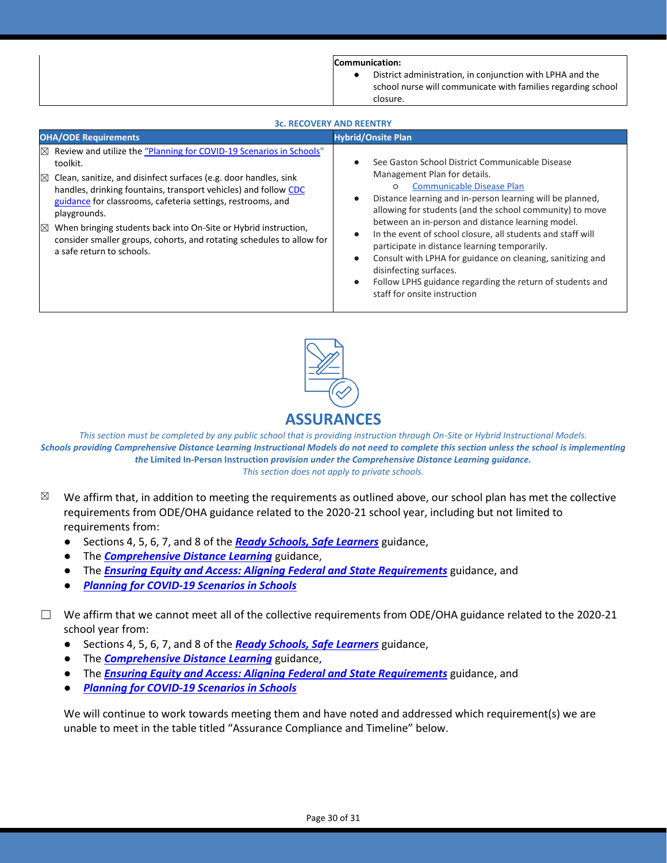**Communication:**

District administration, in conjunction with LPHA and the school nurse will communicate with families regarding school closure.

| <b>3c. RECOVERY AND REENTRY</b>                                                                                                                                                                                                                                                                                                                                                                                                                                                                                       |                                                                                                                                                                                                                                                                                                                                                                                                                                                                                                                                                                                                                                             |
|-----------------------------------------------------------------------------------------------------------------------------------------------------------------------------------------------------------------------------------------------------------------------------------------------------------------------------------------------------------------------------------------------------------------------------------------------------------------------------------------------------------------------|---------------------------------------------------------------------------------------------------------------------------------------------------------------------------------------------------------------------------------------------------------------------------------------------------------------------------------------------------------------------------------------------------------------------------------------------------------------------------------------------------------------------------------------------------------------------------------------------------------------------------------------------|
| <b>OHA/ODE Requirements</b>                                                                                                                                                                                                                                                                                                                                                                                                                                                                                           | <b>Hybrid/Onsite Plan</b>                                                                                                                                                                                                                                                                                                                                                                                                                                                                                                                                                                                                                   |
| Review and utilize the "Planning for COVID-19 Scenarios in Schools"<br>$\times$<br>toolkit.<br>Clean, sanitize, and disinfect surfaces (e.g. door handles, sink<br>$\boxtimes$<br>handles, drinking fountains, transport vehicles) and follow CDC<br>guidance for classrooms, cafeteria settings, restrooms, and<br>playgrounds.<br>When bringing students back into On-Site or Hybrid instruction,<br>$\times$<br>consider smaller groups, cohorts, and rotating schedules to allow for<br>a safe return to schools. | See Gaston School District Communicable Disease<br>Management Plan for details.<br><b>Communicable Disease Plan</b><br>$\circ$<br>Distance learning and in-person learning will be planned,<br>allowing for students (and the school community) to move<br>between an in-person and distance learning model.<br>In the event of school closure, all students and staff will<br>$\bullet$<br>participate in distance learning temporarily.<br>Consult with LPHA for guidance on cleaning, sanitizing and<br>$\bullet$<br>disinfecting surfaces.<br>Follow LPHS guidance regarding the return of students and<br>staff for onsite instruction |



*This section must be completed by any public school that is providing instruction through On-Site or Hybrid Instructional Models. Schools providing Comprehensive Distance Learning Instructional Models do not need to complete this section unless the school is implementing the* **Limited In-Person Instruction** *provision under the Comprehensive Distance Learning guidance. This section does not apply to private schools.*

- $\boxtimes$  We affirm that, in addition to meeting the requirements as outlined above, our school plan has met the collective requirements from ODE/OHA guidance related to the 2020-21 school year, including but not limited to requirements from:
	- Sections 4, 5, 6, 7, and 8 of the *[Ready Schools, Safe Learners](https://www.oregon.gov/ode/students-and-family/healthsafety/Documents/Ready%20Schools%20Safe%20Learners%202020-21%20Guidance.pdf)* guidance,
	- **The** *[Comprehensive Distance Learning](https://www.oregon.gov/ode/educator-resources/standards/Pages/Comprehensive-Distance-Learning.aspx)* guidance,
	- The *[Ensuring Equity and Access: Aligning Federal and State Requirements](https://www.oregon.gov/ode/students-and-family/healthsafety/Documents/Ensuring%20Equity%20and%20Access%20Aligning%20State%20and%20Federal%20Requirements.pdf)* guidance, and
	- *[Planning for COVID-19 Scenarios in Schools](https://www.oregon.gov/ode/students-and-family/healthsafety/Documents/Planning%20and%20Responding%20to%20COVID-19%20Scenarios%20in%20Schools%20August%202020.pdf)*
- $\Box$  We affirm that we cannot meet all of the collective requirements from ODE/OHA guidance related to the 2020-21 school year from:
	- Sections 4, 5, 6, 7, and 8 of the **[Ready Schools, Safe Learners](https://www.oregon.gov/ode/students-and-family/healthsafety/Documents/Ready%20Schools%20Safe%20Learners%202020-21%20Guidance.pdf)** guidance,
	- The *[Comprehensive Distance Learning](https://www.oregon.gov/ode/educator-resources/standards/Pages/Comprehensive-Distance-Learning.aspx)* guidance,
	- The *[Ensuring Equity and Access: Aligning Federal and State Requirements](https://www.oregon.gov/ode/students-and-family/healthsafety/Documents/Ensuring%20Equity%20and%20Access%20Aligning%20State%20and%20Federal%20Requirements.pdf)* guidance, and
	- **[Planning for COVID-19 Scenarios in Schools](https://www.oregon.gov/ode/students-and-family/healthsafety/Documents/Planning%20and%20Responding%20to%20COVID-19%20Scenarios%20in%20Schools%20August%202020.pdf)**

We will continue to work towards meeting them and have noted and addressed which requirement(s) we are unable to meet in the table titled "Assurance Compliance and Timeline" below.